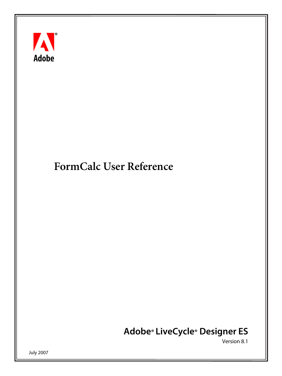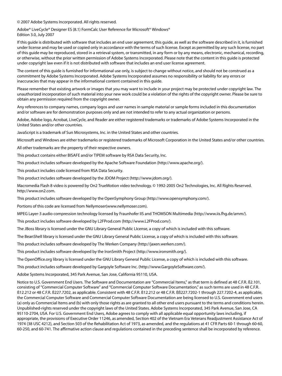© 2007 Adobe Systems Incorporated. All rights reserved.

Adobe® LiveCycle® Designer ES (8.1) FormCalc User Reference for Microsoft® Windows® Edition 3.0, July 2007

If this guide is distributed with software that includes an end user agreement, this guide, as well as the software described in it, is furnished under license and may be used or copied only in accordance with the terms of such license. Except as permitted by any such license, no part of this guide may be reproduced, stored in a retrieval system, or transmitted, in any form or by any means, electronic, mechanical, recording, or otherwise, without the prior written permission of Adobe Systems Incorporated. Please note that the content in this guide is protected under copyright law even if it is not distributed with software that includes an end user license agreement.

The content of this guide is furnished for informational use only, is subject to change without notice, and should not be construed as a commitment by Adobe Systems Incorporated. Adobe Systems Incorporated assumes no responsibility or liability for any errors or inaccuracies that may appear in the informational content contained in this guide.

Please remember that existing artwork or images that you may want to include in your project may be protected under copyright law. The unauthorized incorporation of such material into your new work could be a violation of the rights of the copyright owner. Please be sure to obtain any permission required from the copyright owner.

Any references to company names, company logos and user names in sample material or sample forms included in this documentation and/or software are for demonstration purposes only and are not intended to refer to any actual organization or persons.

Adobe, Adobe logo, Acrobat, LiveCycle, and Reader are either registered trademarks or trademarks of Adobe Systems Incorporated in the United States and/or other countries.

JavaScript is a trademark of Sun Microsystems, Inc. in the United States and other countries.

Microsoft and Windows are either trademarks or registered trademarks of Microsoft Corporation in the United States and/or other countries.

All other trademarks are the property of their respective owners.

This product contains either BISAFE and/or TIPEM software by RSA Data Security, Inc.

This product includes software developed by the Apache Software Foundation (http://www.apache.org/).

This product includes code licensed from RSA Data Security.

This product includes software developed by the JDOM Project (http://www.jdom.org/).

Macromedia Flash 8 video is powered by On2 TrueMotion video technology. © 1992-2005 On2 Technologies, Inc. All Rights Reserved. http://www.on2.com.

This product includes software developed by the OpenSymphony Group (http://www.opensymphony.com/).

Portions of this code are licensed from Nellymoser(www.nellymoser.com).

MPEG Layer-3 audio compression technology licensed by Fraunhofer IIS and THOMSON Multimedia (http://www.iis.fhg.de/amm/).

This product includes software developed by L2FProd.com (http://www.L2FProd.com/).

The JBoss library is licensed under the GNU Library General Public LIcense, a copy of which is included with this software.

The BeanShell library is licensed under the GNU Library General Public License, a copy of which is included with this software.

This product includes software developed by The Werken Company (http://jaxen.werken.com/).

This product includes software developed by the IronSmith Project (http://www.ironsmith.org/).

The OpenOffice.org library is licensed under the GNU Library General Public License, a copy of which is included with this software.

This product includes software developed by Gargoyle Software Inc. (http://www.GargoyleSoftware.com/).

Adobe Systems Incorporated, 345 Park Avenue, San Jose, California 95110, USA.

Notice to U.S. Government End Users. The Software and Documentation are "Commercial Items," as that term is defined at 48 C.F.R. ß2.101, consisting of "Commercial Computer Software" and "Commercial Computer Software Documentation," as such terms are used in 48 C.F.R. ß12.212 or 48 C.F.R. ß227.7202, as applicable. Consistent with 48 C.F.R. ß12.212 or 48 C.F.R. ßß227.7202-1 through 227.7202-4, as applicable, the Commercial Computer Software and Commercial Computer Software Documentation are being licensed to U.S. Government end users (a) only as Commercial Items and (b) with only those rights as are granted to all other end users pursuant to the terms and conditions herein. Unpublished-rights reserved under the copyright laws of the United States. Adobe Systems Incorporated, 345 Park Avenue, San Jose, CA 95110-2704, USA. For U.S. Government End Users, Adobe agrees to comply with all applicable equal opportunity laws including, if appropriate, the provisions of Executive Order 11246, as amended, Section 402 of the Vietnam Era Veterans Readjustment Assistance Act of 1974 (38 USC 4212), and Section 503 of the Rehabilitation Act of 1973, as amended, and the regulations at 41 CFR Parts 60-1 through 60-60, 60-250, and 60-741. The affirmative action clause and regulations contained in the preceding sentence shall be incorporated by reference.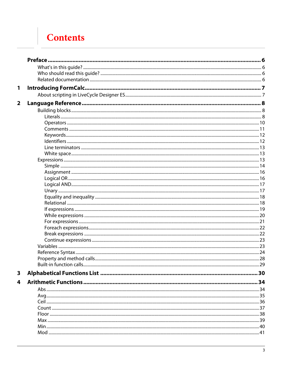# **Contents**

| 1                       |  |
|-------------------------|--|
|                         |  |
| $\overline{\mathbf{2}}$ |  |
|                         |  |
|                         |  |
|                         |  |
|                         |  |
|                         |  |
|                         |  |
|                         |  |
|                         |  |
|                         |  |
|                         |  |
|                         |  |
|                         |  |
|                         |  |
|                         |  |
|                         |  |
|                         |  |
|                         |  |
|                         |  |
|                         |  |
|                         |  |
|                         |  |
|                         |  |
|                         |  |
|                         |  |
|                         |  |
|                         |  |
| 3                       |  |
| 4                       |  |
|                         |  |
|                         |  |
|                         |  |
|                         |  |
|                         |  |
|                         |  |
|                         |  |
|                         |  |
|                         |  |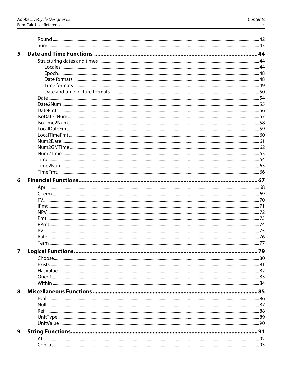| 5 |                                                                                                                | 44 |
|---|----------------------------------------------------------------------------------------------------------------|----|
|   |                                                                                                                |    |
|   |                                                                                                                |    |
|   |                                                                                                                |    |
|   |                                                                                                                |    |
|   |                                                                                                                |    |
|   |                                                                                                                |    |
|   |                                                                                                                |    |
|   |                                                                                                                |    |
|   |                                                                                                                |    |
|   |                                                                                                                |    |
|   |                                                                                                                |    |
|   |                                                                                                                |    |
|   |                                                                                                                |    |
|   |                                                                                                                |    |
|   |                                                                                                                |    |
|   |                                                                                                                |    |
|   |                                                                                                                |    |
|   |                                                                                                                |    |
|   |                                                                                                                |    |
| 6 |                                                                                                                |    |
|   |                                                                                                                |    |
|   |                                                                                                                |    |
|   |                                                                                                                |    |
|   |                                                                                                                |    |
|   |                                                                                                                |    |
|   |                                                                                                                |    |
|   |                                                                                                                |    |
|   |                                                                                                                |    |
|   |                                                                                                                |    |
|   |                                                                                                                |    |
|   |                                                                                                                |    |
| 7 |                                                                                                                |    |
|   |                                                                                                                |    |
|   |                                                                                                                |    |
|   |                                                                                                                |    |
|   |                                                                                                                |    |
|   |                                                                                                                |    |
| 8 |                                                                                                                |    |
|   |                                                                                                                |    |
|   |                                                                                                                |    |
|   |                                                                                                                |    |
|   |                                                                                                                |    |
|   | 00.com/wildows.com/wildows.com/wildows.com/wildows.com/wildows.com/wildows.com/wildows.com/wildows.com/wildows |    |
|   |                                                                                                                |    |
| 9 |                                                                                                                |    |
|   |                                                                                                                |    |
|   |                                                                                                                |    |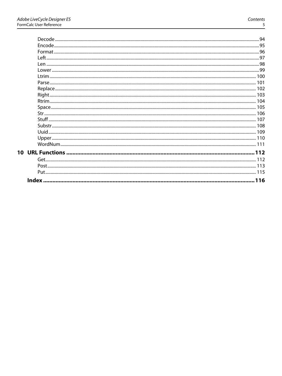10

| Index. | 116 |
|--------|-----|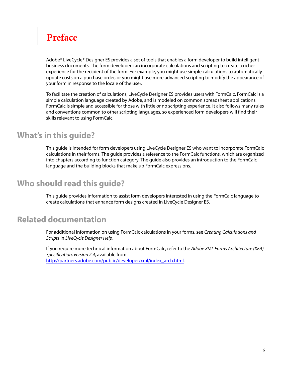# <span id="page-5-0"></span>**Preface**

Adobe® LiveCycle® Designer ES provides a set of tools that enables a form developer to build intelligent business documents. The form developer can incorporate calculations and scripting to create a richer experience for the recipient of the form. For example, you might use simple calculations to automatically update costs on a purchase order, or you might use more advanced scripting to modify the appearance of your form in response to the locale of the user.

To facilitate the creation of calculations, LiveCycle Designer ES provides users with FormCalc. FormCalc is a simple calculation language created by Adobe, and is modeled on common spreadsheet applications. FormCalc is simple and accessible for those with little or no scripting experience. It also follows many rules and conventions common to other scripting languages, so experienced form developers will find their skills relevant to using FormCalc.

# <span id="page-5-1"></span>**What's in this guide?**

This guide is intended for form developers using LiveCycle Designer ES who want to incorporate FormCalc calculations in their forms. The guide provides a reference to the FormCalc functions, which are organized into chapters according to function category. The guide also provides an introduction to the FormCalc language and the building blocks that make up FormCalc expressions.

## <span id="page-5-2"></span>**Who should read this guide?**

This guide provides information to assist form developers interested in using the FormCalc language to create calculations that enhance form designs created in LiveCycle Designer ES.

# <span id="page-5-3"></span>**Related documentation**

For additional information on using FormCalc calculations in your forms, see Creating Calculations and Scripts in LiveCycle Designer Help.

If you require more technical information about FormCalc, refer to the Adobe XML Forms Architecture (XFA) Specification, version 2.4, available from [http://partners.adobe.com/public/developer/xml/index\\_arch.html](http://partners.adobe.com/public/developer/xml/index_arch.html).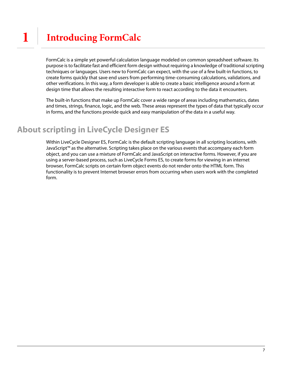<span id="page-6-0"></span>FormCalc is a simple yet powerful calculation language modeled on common spreadsheet software. Its purpose is to facilitate fast and efficient form design without requiring a knowledge of traditional scripting techniques or languages. Users new to FormCalc can expect, with the use of a few built-in functions, to create forms quickly that save end users from performing time-consuming calculations, validations, and other verifications. In this way, a form developer is able to create a basic intelligence around a form at design time that allows the resulting interactive form to react according to the data it encounters.

The built-in functions that make up FormCalc cover a wide range of areas including mathematics, dates and times, strings, finance, logic, and the web. These areas represent the types of data that typically occur in forms, and the functions provide quick and easy manipulation of the data in a useful way.

# <span id="page-6-1"></span>**About scripting in LiveCycle Designer ES**

Within LiveCycle Designer ES, FormCalc is the default scripting language in all scripting locations, with JavaScript™ as the alternative. Scripting takes place on the various events that accompany each form object, and you can use a mixture of FormCalc and JavaScript on interactive forms. However, if you are using a server-based process, such as LiveCycle Forms ES, to create forms for viewing in an internet browser, FormCalc scripts on certain form object events do not render onto the HTML form. This functionality is to prevent Internet browser errors from occurring when users work with the completed form.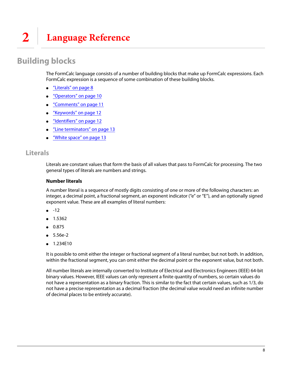# <span id="page-7-0"></span>**2 Language Reference**

# <span id="page-7-1"></span>**Building blocks**

The FormCalc language consists of a number of building blocks that make up FormCalc expressions. Each FormCalc expression is a sequence of some combination of these building blocks.

- ["Literals" on page 8](#page-7-2)
- ["Operators" on page 10](#page-9-0)
- ["Comments" on page 11](#page-10-0)
- ["Keywords" on page 12](#page-11-0)
- ["Identifiers" on page 12](#page-11-1)
- ["Line terminators" on page 13](#page-12-0)
- ["White space" on page 13](#page-12-1)

## <span id="page-7-2"></span>**Literals**

Literals are constant values that form the basis of all values that pass to FormCalc for processing. The two general types of literals are numbers and strings.

#### <span id="page-7-3"></span>**Number literals**

A number literal is a sequence of mostly digits consisting of one or more of the following characters: an integer, a decimal point, a fractional segment, an exponent indicator ("e" or "E"), and an optionally signed exponent value. These are all examples of literal numbers:

- $-12$
- 1.5362
- 0.875
- 5.56e-2
- 1.234E10

It is possible to omit either the integer or fractional segment of a literal number, but not both. In addition, within the fractional segment, you can omit either the decimal point or the exponent value, but not both.

All number literals are internally converted to Institute of Electrical and Electronics Engineers (IEEE) 64-bit binary values. However, IEEE values can only represent a finite quantity of numbers, so certain values do not have a representation as a binary fraction. This is similar to the fact that certain values, such as 1/3, do not have a precise representation as a decimal fraction (the decimal value would need an infinite number of decimal places to be entirely accurate).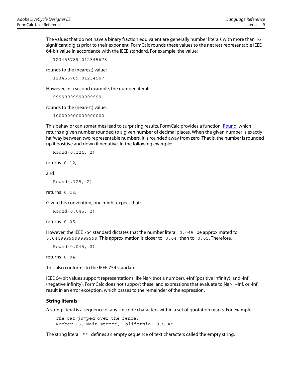The values that do not have a binary fraction equivalent are generally number literals with more than 16 significant digits prior to their exponent. FormCalc rounds these values to the nearest representable IEEE 64-bit value in accordance with the IEEE standard. For example, the value:

```
123456789.012345678
```
rounds to the (nearest) value:

123456789.01234567

However, in a second example, the number literal:

99999999999999999

rounds to the (nearest) value:

100000000000000000

This behavior can sometimes lead to surprising results. FormCalc provides a function, [Round](#page-41-1), which returns a given number rounded to a given number of decimal places. When the given number is exactly halfway between two representable numbers, it is rounded away from zero. That is, the number is rounded up if positive and down if negative. In the following example:

```
Round(0.124, 2)
```
returns 0.12,

and

Round(.125, 2)

returns 0.13.

Given this convention, one might expect that:

```
Round(0.045, 2)
```
returns 0.05.

However, the IEEE 754 standard dictates that the number literal 0.045 be approximated to 0.0449999999999999. This approximation is closer to 0.04 than to 0.05. Therefore,

```
Round(0.045, 2)
```
returns 0.04.

This also conforms to the IEEE 754 standard.

IEEE 64-bit values support representations like NaN (not a number), +Inf (positive infinity), and -Inf (negative infinity). FormCalc does not support these, and expressions that evaluate to NaN, +Inf, or -Inf result in an error exception, which passes to the remainder of the expression.

#### **String literals**

A string literal is a sequence of any Unicode characters within a set of quotation marks. For example:

"The cat jumped over the fence." "Number 15, Main street, California, U.S.A"

The string literal "" defines an empty sequence of text characters called the empty string.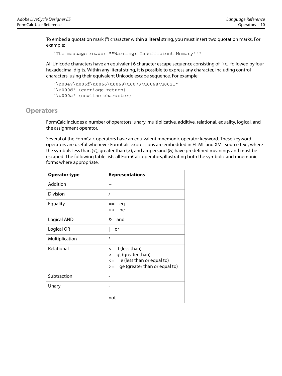To embed a quotation mark (") character within a literal string, you must insert two quotation marks. For example:

"The message reads: ""Warning: Insufficient Memory"""

All Unicode characters have an equivalent 6 character escape sequence consisting of  $\mathcal{U}$  followed by four hexadecimal digits. Within any literal string, it is possible to express any character, including control characters, using their equivalent Unicode escape sequence. For example:

```
"\u0047\u006f\u0066\u0069\u0073\u0068\u0021"
"\u000d" (carriage return)
"\u000a" (newline character)
```
### <span id="page-9-0"></span>**Operators**

FormCalc includes a number of operators: unary, multiplicative, additive, relational, equality, logical, and the assignment operator.

Several of the FormCalc operators have an equivalent mnemonic operator keyword. These keyword operators are useful whenever FormCalc expressions are embedded in HTML and XML source text, where the symbols less than (<), greater than (>), and ampersand (&) have predefined meanings and must be escaped. The following table lists all FormCalc operators, illustrating both the symbolic and mnemonic forms where appropriate.

| <b>Operator type</b> | <b>Representations</b>                                                                                                       |
|----------------------|------------------------------------------------------------------------------------------------------------------------------|
| Addition             | $^{+}$                                                                                                                       |
| Division             | /                                                                                                                            |
| Equality             | eq<br>$==$<br>$\left\langle \right\rangle$<br>ne                                                                             |
| Logical AND          | and<br>&                                                                                                                     |
| Logical OR           | or                                                                                                                           |
| Multiplication       | ⋇                                                                                                                            |
| Relational           | $\langle$ It (less than)<br>$>$ gt (greater than)<br>$\leq$ le (less than or equal to)<br>$>=$ ge (greater than or equal to) |
| Subtraction          | $\overline{\phantom{0}}$                                                                                                     |
| Unary                | -<br>$+$<br>not                                                                                                              |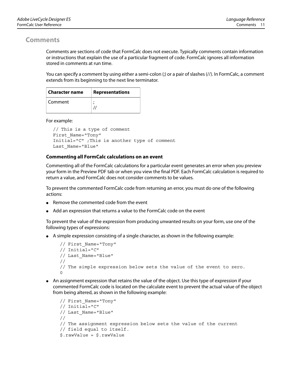## <span id="page-10-0"></span>**Comments**

Comments are sections of code that FormCalc does not execute. Typically comments contain information or instructions that explain the use of a particular fragment of code. FormCalc ignores all information stored in comments at run time.

You can specify a comment by using either a semi-colon (;) or a pair of slashes (//). In FormCalc, a comment extends from its beginning to the next line terminator.

| Character name | <b>Representations</b> |
|----------------|------------------------|
| Comment        |                        |

#### For example:

```
// This is a type of comment
First_Name="Tony"
Initial="C" ;This is another type of comment
Last_Name="Blue"
```
#### **Commenting all FormCalc calculations on an event**

Commenting all of the FormCalc calculations for a particular event generates an error when you preview your form in the Preview PDF tab or when you view the final PDF. Each FormCalc calculation is required to return a value, and FormCalc does not consider comments to be values.

To prevent the commented FormCalc code from returning an error, you must do one of the following actions:

- Remove the commented code from the event
- Add an expression that returns a value to the FormCalc code on the event

To prevent the value of the expression from producing unwanted results on your form, use one of the following types of expressions:

● A simple expression consisting of a single character, as shown in the following example:

```
// First_Name="Tony"
// Initial="C"
// Last_Name="Blue"
//
// The simple expression below sets the value of the event to zero.
\Omega
```
● An assignment expression that retains the value of the object. Use this type of expression if your commented FormCalc code is located on the calculate event to prevent the actual value of the object from being altered, as shown in the following example:

```
// First_Name="Tony"
// Initial="C"
// Last_Name="Blue"
//
// The assignment expression below sets the value of the current
// field equal to itself.
$.rawValue = $.rawValue
```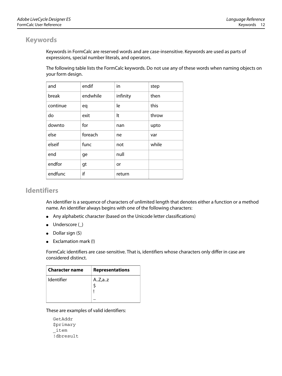## <span id="page-11-0"></span>**Keywords**

Keywords in FormCalc are reserved words and are case-insensitive. Keywords are used as parts of expressions, special number literals, and operators.

The following table lists the FormCalc keywords. Do not use any of these words when naming objects on your form design.

| and      | endif    | in       | step  |
|----------|----------|----------|-------|
| break    | endwhile | infinity | then  |
| continue | eq       | le       | this  |
| do       | exit     | It       | throw |
| downto   | for      | nan      | upto  |
| else     | foreach  | ne       | var   |
| elseif   | func     | not      | while |
| end      | qe       | null     |       |
| endfor   | gt       | or       |       |
| endfunc  | if       | return   |       |

## <span id="page-11-1"></span>**Identifiers**

An identifier is a sequence of characters of unlimited length that denotes either a function or a method name. An identifier always begins with one of the following characters:

- Any alphabetic character (based on the Unicode letter classifications)
- Underscore (\_)
- Dollar sign  $(5)$
- Exclamation mark (!)

FormCalc identifiers are case-sensitive. That is, identifiers whose characters only differ in case are considered distinct.

| <b>Character name</b> | <b>Representations</b> |
|-----------------------|------------------------|
| <b>Identifier</b>     | A.Z.a.x                |

These are examples of valid identifiers:

```
GetAddr
$primary
_item
!dbresult
```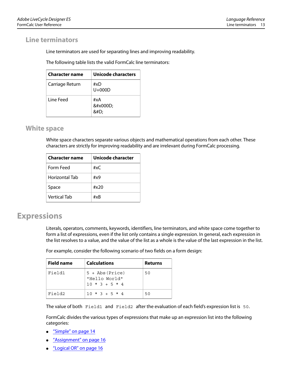## <span id="page-12-0"></span>**Line terminators**

Line terminators are used for separating lines and improving readability.

The following table lists the valid FormCalc line terminators:

| <b>Character name</b> | Unicode characters                        |
|-----------------------|-------------------------------------------|
| Carriage Return       | #xD<br>$U+000D$                           |
| Line Feed             | #xA<br><br>&#D:</td></tr></tbody></table> |

## <span id="page-12-1"></span>**White space**

White space characters separate various objects and mathematical operations from each other. These characters are strictly for improving readability and are irrelevant during FormCalc processing.

| <b>Character name</b> | Unicode character |
|-----------------------|-------------------|
| Form Feed             | #xC               |
| Horizontal Tab        | #x9               |
| Space                 | #x20              |
| <b>Vertical Tab</b>   | #xR               |

## <span id="page-12-2"></span>**Expressions**

Literals, operators, comments, keywords, identifiers, line terminators, and white space come together to form a list of expressions, even if the list only contains a single expression. In general, each expression in the list resolves to a value, and the value of the list as a whole is the value of the last expression in the list.

For example, consider the following scenario of two fields on a form design:

| <b>Field name</b> | <b>Calculations</b>                                   | <b>Returns</b> |
|-------------------|-------------------------------------------------------|----------------|
| Field1            | $5 + Abs(Price)$<br>"Hello World"<br>$10 * 3 + 5 * 4$ | 50             |
| Field2            | $10 * 3 + 5 * 4$                                      | 50             |

The value of both Field1 and Field2 after the evaluation of each field's expression list is 50.

FormCalc divides the various types of expressions that make up an expression list into the following categories:

- ["Simple" on page 14](#page-13-0)
- ["Assignment" on page 16](#page-15-0)
- ["Logical OR" on page 16](#page-15-1)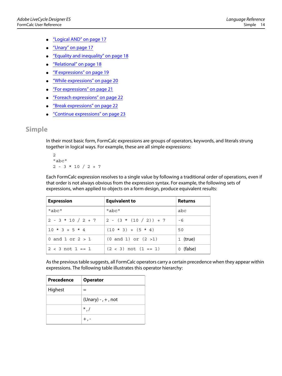- ["Logical AND" on page 17](#page-16-0)
- ["Unary" on page 17](#page-16-1)
- ["Equality and inequality" on page 18](#page-17-0)
- ["Relational" on page 18](#page-17-1)
- ["If expressions" on page 19](#page-18-0)
- ["While expressions" on page 20](#page-19-0)
- ["For expressions" on page 21](#page-20-0)
- ["Foreach expressions" on page 22](#page-21-0)
- ["Break expressions" on page 22](#page-21-1)
- ["Continue expressions" on page 23](#page-22-0)

### <span id="page-13-0"></span>**Simple**

In their most basic form, FormCalc expressions are groups of operators, keywords, and literals strung together in logical ways. For example, these are all simple expressions:

2 "abc"  $2 - 3 * 10 / 2 + 7$ 

Each FormCalc expression resolves to a single value by following a traditional order of operations, even if that order is not always obvious from the expression syntax. For example, the following sets of expressions, when applied to objects on a form design, produce equivalent results:

| <b>Expression</b>    | <b>Equivalent to</b>                            | <b>Returns</b> |
|----------------------|-------------------------------------------------|----------------|
| "abc"                | "abc"                                           | abc            |
| $2 - 3 * 10 / 2 + 7$ | $ 2 - (3 * (10 / 2)) + 7$                       | -6             |
| $10 * 3 + 5 * 4$     | $(10 * 3) + (5 * 4)$                            | 50             |
| 0 and 1 or $2 > 1$   | $(0 \text{ and } 1) \text{ or } (2 \text{ } 2)$ | 1 (true)       |
| $2 < 3$ not $1 == 1$ | $(2 < 3)$ not $(1 == 1)$                        | 0 (false)      |

As the previous table suggests, all FormCalc operators carry a certain precedence when they appear within expressions. The following table illustrates this operator hierarchy:

| <b>Precedence</b> | <b>Operator</b>      |
|-------------------|----------------------|
| Highest           | =                    |
|                   | $(Unary) -$ , +, not |
|                   | $*$ , /              |
|                   | $+$ .                |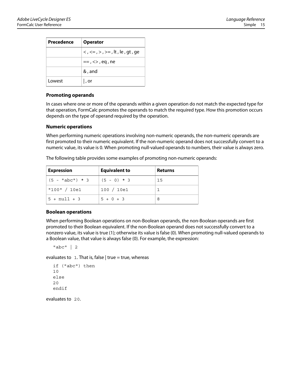| <b>Precedence</b> | <b>Operator</b>                                              |  |
|-------------------|--------------------------------------------------------------|--|
|                   | $\langle , \langle = , \rangle , \rangle =$ , lt, le, gt, ge |  |
|                   | $==$ , $<<$ , eq , ne                                        |  |
|                   | &, and                                                       |  |
| Lowest            | $\vert$ , or                                                 |  |

#### **Promoting operands**

In cases where one or more of the operands within a given operation do not match the expected type for that operation, FormCalc promotes the operands to match the required type. How this promotion occurs depends on the type of operand required by the operation.

#### **Numeric operations**

When performing numeric operations involving non-numeric operands, the non-numeric operands are first promoted to their numeric equivalent. If the non-numeric operand does not successfully convert to a numeric value, its value is 0. When promoting null-valued operands to numbers, their value is always zero.

The following table provides some examples of promoting non-numeric operands:

| <b>Expression</b> | <b>Equivalent to</b> | <b>Returns</b> |
|-------------------|----------------------|----------------|
| $(5 - "abc") * 3$ | $(5 - 0) * 3$        | 15             |
| "100" / 10e1      | 100 / 10e1           |                |
| $5 + null + 3$    | $5 + 0 + 3$          | 8              |

#### **Boolean operations**

When performing Boolean operations on non-Boolean operands, the non-Boolean operands are first promoted to their Boolean equivalent. If the non-Boolean operand does not successfully convert to a nonzero value, its value is true (1); otherwise its value is false (0). When promoting null-valued operands to a Boolean value, that value is always false (0). For example, the expression:

 $"abc" | 2$ 

evaluates to 1. That is, false  $|$  true = true, whereas

```
if ("abc") then
10
else
20
endif
```
evaluates to 20.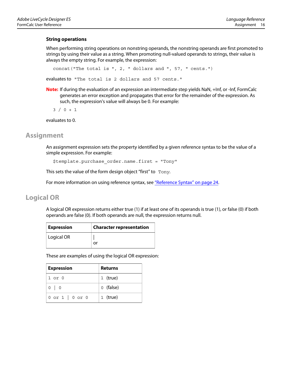#### **String operations**

When performing string operations on nonstring operands, the nonstring operands are first promoted to strings by using their value as a string. When promoting null-valued operands to strings, their value is always the empty string. For example, the expression:

concat("The total is ", 2, " dollars and ", 57, " cents.")

evaluates to "The total is 2 dollars and 57 cents."

**Note:** If during the evaluation of an expression an intermediate step yields NaN, +Inf, or -Inf, FormCalc generates an error exception and propagates that error for the remainder of the expression. As such, the expression's value will always be 0. For example:

3 / 0 + 1

evaluates to 0.

#### <span id="page-15-0"></span>**Assignment**

An assignment expression sets the property identified by a given reference syntax to be the value of a simple expression. For example:

\$template.purchase\_order.name.first = "Tony"

This sets the value of the form design object "first" to Tony.

For more information on using reference syntax, see ["Reference Syntax" on page 24.](#page-23-0)

### <span id="page-15-1"></span>**Logical OR**

A logical OR expression returns either true (1) if at least one of its operands is true (1), or false (0) if both operands are false (0). If both operands are null, the expression returns null.

| Expression | <b>Character representation</b> |
|------------|---------------------------------|
| Logical OR | Ωr                              |

These are examples of using the logical OR expression:

| <b>Expression</b>                      | <b>Returns</b> |
|----------------------------------------|----------------|
| $1$ or $0$                             | $1$ (true)     |
| $0 \mid 0$                             | 0 (false)      |
| $0 \text{ or } 1 \mid 0 \text{ or } 0$ | $1$ (true)     |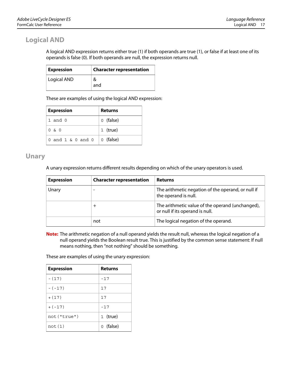## <span id="page-16-0"></span>**Logical AND**

A logical AND expression returns either true (1) if both operands are true (1), or false if at least one of its operands is false (0). If both operands are null, the expression returns null.

| <b>Expression</b> | <b>Character representation</b> |
|-------------------|---------------------------------|
| Logical AND       | &<br>and                        |

These are examples of using the logical AND expression:

| <b>Expression</b>             | <b>Returns</b> |
|-------------------------------|----------------|
| $1$ and $0$                   | 0 (false)      |
| 0 & 0                         | 1 (true)       |
| 0 and 1 & 0 and 0   0 (false) |                |

## <span id="page-16-1"></span>**Unary**

A unary expression returns different results depending on which of the unary operators is used.

| <b>Expression</b> | <b>Character representation</b> | <b>Returns</b>                                                                      |
|-------------------|---------------------------------|-------------------------------------------------------------------------------------|
| Unary             | $\overline{\phantom{a}}$        | The arithmetic negation of the operand, or null if<br>the operand is null.          |
|                   | $^{+}$                          | The arithmetic value of the operand (unchanged),<br>or null if its operand is null. |
|                   | not                             | The logical negation of the operand.                                                |

**Note:** The arithmetic negation of a null operand yields the result null, whereas the logical negation of a null operand yields the Boolean result true. This is justified by the common sense statement: If null means nothing, then "not nothing" should be something.

These are examples of using the unary expression:

| <b>Expression</b> | <b>Returns</b> |
|-------------------|----------------|
| $- (17)$          | $-17$          |
| $-(-17)$          | 17             |
| $+ (17)$          | 17             |
| $+ (-17)$         | $-17$          |
| not ("true")      | $1$ (true)     |
| not(1)            | 0 (false)      |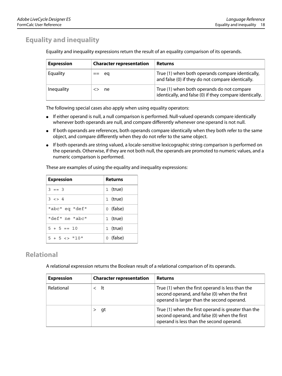## <span id="page-17-0"></span>**Equality and inequality**

| <b>Expression</b> | <b>Character representation</b> | <b>Returns</b>                                                                                        |
|-------------------|---------------------------------|-------------------------------------------------------------------------------------------------------|
| Equality          | eg                              | True (1) when both operands compare identically,<br>and false (0) if they do not compare identically. |
| Inequality        | ne                              | True (1) when both operands do not compare<br>identically, and false (0) if they compare identically. |

Equality and inequality expressions return the result of an equality comparison of its operands.

The following special cases also apply when using equality operators:

- If either operand is null, a null comparison is performed. Null-valued operands compare identically whenever both operands are null, and compare differently whenever one operand is not null.
- If both operands are references, both operands compare identically when they both refer to the same object, and compare differently when they do not refer to the same object.
- If both operands are string valued, a locale-sensitive lexicographic string comparison is performed on the operands. Otherwise, if they are not both null, the operands are promoted to numeric values, and a numeric comparison is performed.

| <b>Expression</b>    | <b>Returns</b> |
|----------------------|----------------|
| $3 == 3$             | 1 (true)       |
| $3 \le 4$            | 1 (true)       |
| "abc" eq "def"       | 0 (false)      |
| "def" ne "abc"       | 1 (true)       |
| $5 + 5 == 10$        | 1 (true)       |
| $5 + 5 <$ $\ge$ "10" | 0 (false)      |

These are examples of using the equality and inequality expressions:

## <span id="page-17-1"></span>**Relational**

A relational expression returns the Boolean result of a relational comparison of its operands.

| <b>Expression</b> | <b>Character representation</b> | <b>Returns</b>                                                                                                                                  |
|-------------------|---------------------------------|-------------------------------------------------------------------------------------------------------------------------------------------------|
| Relational        | - It                            | True (1) when the first operand is less than the<br>second operand, and false (0) when the first<br>operand is larger than the second operand.  |
|                   | gt                              | True (1) when the first operand is greater than the<br>second operand, and false (0) when the first<br>operand is less than the second operand. |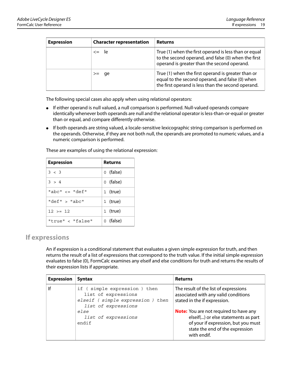| <b>Expression</b> | <b>Character representation</b> | <b>Returns</b>                                                                                                                                              |
|-------------------|---------------------------------|-------------------------------------------------------------------------------------------------------------------------------------------------------------|
|                   | <= le                           | True (1) when the first operand is less than or equal<br>to the second operand, and false (0) when the first<br>operand is greater than the second operand. |
|                   | $>=$ ge                         | True (1) when the first operand is greater than or<br>equal to the second operand, and false (0) when<br>the first operand is less than the second operand. |

The following special cases also apply when using relational operators:

- If either operand is null valued, a null comparison is performed. Null-valued operands compare identically whenever both operands are null and the relational operator is less-than-or-equal or greater than or equal, and compare differently otherwise.
- If both operands are string valued, a locale-sensitive lexicographic string comparison is performed on the operands. Otherwise, if they are not both null, the operands are promoted to numeric values, and a numeric comparison is performed.

These are examples of using the relational expression:

| <b>Expression</b>  | <b>Returns</b> |
|--------------------|----------------|
| 3 < 3              | 0 (false)      |
| 3 > 4              | 0 (false)      |
| "abc" $\leq$ "def" | 1 (true)       |
| "def" > "abc"      | 1 (true)       |
| $12 \ge 12$        | $1$ (true)     |
| "true" < "false"   | 0 (false)      |

## <span id="page-18-0"></span>**If expressions**

An if expression is a conditional statement that evaluates a given simple expression for truth, and then returns the result of a list of expressions that correspond to the truth value. If the initial simple expression evaluates to false (0), FormCalc examines any elseif and else conditions for truth and returns the results of their expression lists if appropriate.

| <b>Expression</b> | <b>Syntax</b>                                                                                                                                          | <b>Returns</b>                                                                                                                                                                                                                                                                                 |
|-------------------|--------------------------------------------------------------------------------------------------------------------------------------------------------|------------------------------------------------------------------------------------------------------------------------------------------------------------------------------------------------------------------------------------------------------------------------------------------------|
| lf                | if (simple expression ) then<br>list of expressions<br>elseif (simple expression ) then<br>list of expressions<br>else<br>list of expressions<br>endif | The result of the list of expressions<br>associated with any valid conditions<br>stated in the if expression.<br><b>Note:</b> You are not required to have any<br>elseif() or else statements as part<br>of your if expression, but you must<br>state the end of the expression<br>with endif. |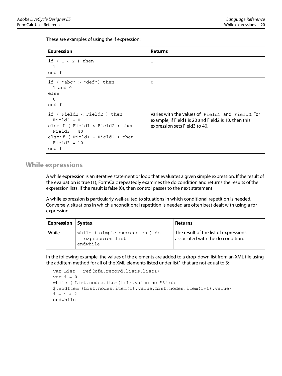These are examples of using the if expression:

| <b>Expression</b>                                                                                                                                              | <b>Returns</b>                                                                                                                                |
|----------------------------------------------------------------------------------------------------------------------------------------------------------------|-----------------------------------------------------------------------------------------------------------------------------------------------|
| if $(1 < 2)$ then<br>$\mathbf{1}$<br>endif                                                                                                                     | 1                                                                                                                                             |
| if $($ "abc" > "def") then<br>1 and 0<br>else<br>$\Omega$<br>endif                                                                                             | 0                                                                                                                                             |
| if ( Field1 < Field2 ) then<br>$Field3 = 0$<br>elseif ( Field1 > Field2 ) then<br>$Field3 = 40$<br>elseif ( $Field1 = Field2$ ) then<br>$Field3 = 10$<br>endif | Varies with the values of $Find 1$ and $Find 2.$ For<br>example, if Field1 is 20 and Field2 is 10, then this<br>expression sets Field3 to 40. |

## <span id="page-19-0"></span>**While expressions**

A while expression is an iterative statement or loop that evaluates a given simple expression. If the result of the evaluation is true (1), FormCalc repeatedly examines the do condition and returns the results of the expression lists. If the result is false (0), then control passes to the next statement.

A while expression is particularly well-suited to situations in which conditional repetition is needed. Conversely, situations in which unconditional repetition is needed are often best dealt with using a for expression.

| <b>Expression</b> Syntax |                                                              | <b>Returns</b>                                                             |
|--------------------------|--------------------------------------------------------------|----------------------------------------------------------------------------|
| While                    | while (simple expression ) do<br>expression list<br>endwhile | The result of the list of expressions<br>associated with the do condition. |

In the following example, the values of the elements are added to a drop-down list from an XML file using the addItem method for all of the XML elements listed under list1 that are not equal to 3:

```
var List = ref(xfa.record.lists.list1)
var i = 0while ( List.nodes.item(i+1).value ne "3")do
$.addItem (List.nodes.item(i).value,List.nodes.item(i+1).value)
i = i + 2endwhile
```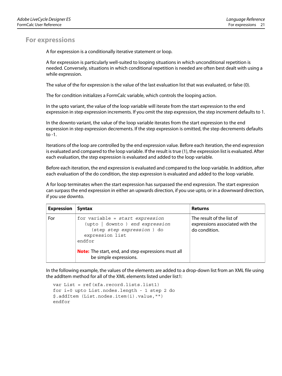## <span id="page-20-0"></span>**For expressions**

A for expression is a conditionally iterative statement or loop.

A for expression is particularly well-suited to looping situations in which unconditional repetition is needed. Conversely, situations in which conditional repetition is needed are often best dealt with using a while expression.

The value of the for expression is the value of the last evaluation list that was evaluated, or false (0).

The for condition initializes a FormCalc variable, which controls the looping action.

In the upto variant, the value of the loop variable will iterate from the start expression to the end expression in step expression increments. If you omit the step expression, the step increment defaults to 1.

In the downto variant, the value of the loop variable iterates from the start expression to the end expression in step expression decrements. If the step expression is omitted, the step decrements defaults to -1.

Iterations of the loop are controlled by the end expression value. Before each iteration, the end expression is evaluated and compared to the loop variable. If the result is true (1), the expression list is evaluated. After each evaluation, the step expression is evaluated and added to the loop variable.

Before each iteration, the end expression is evaluated and compared to the loop variable. In addition, after each evaluation of the do condition, the step expression is evaluated and added to the loop variable.

A for loop terminates when the start expression has surpassed the end expression. The start expression can surpass the end expression in either an upwards direction, if you use upto, or in a downward direction, if you use downto.

| <b>Expression</b> | <b>Syntax</b>                                                                                                                                                                                                  | <b>Returns</b>                                                                |
|-------------------|----------------------------------------------------------------------------------------------------------------------------------------------------------------------------------------------------------------|-------------------------------------------------------------------------------|
| For               | for variable = start expression<br>(upto   downto ) end expression<br>(step step expression ) do<br>expression list<br>endfor<br>Note: The start, end, and step expressions must all<br>be simple expressions. | The result of the list of<br>expressions associated with the<br>do condition. |

In the following example, the values of the elements are added to a drop-down list from an XML file using the addItem method for all of the XML elements listed under list1:

```
var List = ref(xfa.record.lists.list1)
for i=0 upto List.nodes.length - 1 step 2 do
$.addItem (List.nodes.item(i).value,"")
endfor
```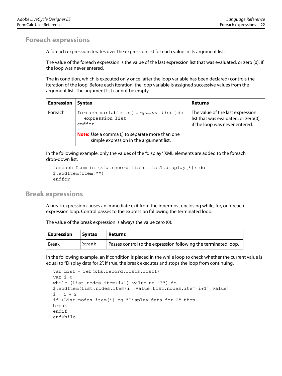## <span id="page-21-0"></span>**Foreach expressions**

A foreach expression iterates over the expression list for each value in its argument list.

The value of the foreach expression is the value of the last expression list that was evaluated, or zero (0), if the loop was never entered.

The in condition, which is executed only once (after the loop variable has been declared) controls the iteration of the loop. Before each iteration, the loop variable is assigned successive values from the argument list. The argument list cannot be empty.

| <b>Expression</b> Syntax |                                                                                                   | <b>Returns</b>                                                                                             |
|--------------------------|---------------------------------------------------------------------------------------------------|------------------------------------------------------------------------------------------------------------|
| Foreach                  | foreach variable in( argument list) do<br>expression list<br>endfor                               | The value of the last expression<br>list that was evaluated, or zero(0),<br>if the loop was never entered. |
|                          | <b>Note:</b> Use a comma (,) to separate more than one<br>simple expression in the argument list. |                                                                                                            |

In the following example, only the values of the "display" XML elements are added to the foreach drop-down list.

```
foreach Item in (xfa.record.lists.list1.display[*]) do
$.addItem(Item,"")
endfor
```
## <span id="page-21-1"></span>**Break expressions**

A break expression causes an immediate exit from the innermost enclosing while, for, or foreach expression loop. Control passes to the expression following the terminated loop.

The value of the break expression is always the value zero (0).

| <b>Expression</b> | <b>Syntax</b> | <b>Returns</b>                                                  |
|-------------------|---------------|-----------------------------------------------------------------|
| <b>Break</b>      | break         | Passes control to the expression following the terminated loop. |

In the following example, an if condition is placed in the while loop to check whether the current value is equal to "Display data for 2". If true, the break executes and stops the loop from continuing.

```
var List = ref(xfa.record.lists.list1)
var i=0
while (List.nodes.item(i+1).value ne "3") do
$.addItem(List.nodes.item(i).value,List.nodes.item(i+1).value)
i = i + 2if (List.nodes.item(i) eq "Display data for 2" then
break
endif
endwhile
```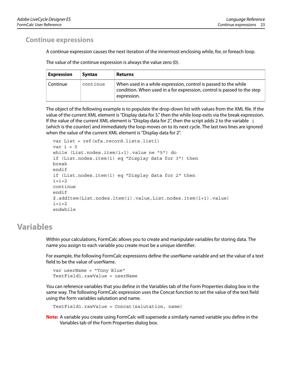## <span id="page-22-0"></span>**Continue expressions**

A continue expression causes the next iteration of the innermost enclosing while, for, or foreach loop.

The value of the continue expression is always the value zero (0).

| <b>Expression</b> | <b>Syntax</b> | <b>Returns</b>                                                                                                                                            |
|-------------------|---------------|-----------------------------------------------------------------------------------------------------------------------------------------------------------|
| Continue          | continue      | When used in a while expression, control is passed to the while<br>condition. When used in a for expression, control is passed to the step<br>expression. |

The object of the following example is to populate the drop-down list with values from the XML file. If the value of the current XML element is "Display data for 3," then the while loop exits via the break expression. If the value of the current XML element is "Display data for 2", then the script adds 2 to the variable  $\pm$ (which is the counter) and immediately the loop moves on to its next cycle. The last two lines are ignored when the value of the current XML element is "Display data for 2".

```
var List = ref(xfa.record.lists.list1)
var i = 0while (List.nodes.item(i+1).value ne "5") do
if (List.nodes.item(i) eq "Display data for 3") then
break
endif
if (List.nodes.item(i) eq "Display data for 2" then
i=i+2continue
endif
$.addItem(List.nodes.item(i).value,List.nodes.item(i+1).value)
i=i+2endwhile
```
## <span id="page-22-1"></span>**Variables**

Within your calculations, FormCalc allows you to create and manipulate variables for storing data. The name you assign to each variable you create must be a unique [identifier.](#page-11-1)

For example, the following FormCalc expressions define the userName variable and set the value of a text field to be the value of userName.

```
var userName = "Tony Blue"
TextField1.rawValue = userName
```
You can reference variables that you define in the Variables tab of the Form Properties dialog box in the same way. The following FormCalc expression uses the Concat function to set the value of the text field using the form variables salutation and name.

```
TextField1.rawValue = Concat(salutation, name)
```
**Note:** A variable you create using FormCalc will supersede a similarly named variable you define in the Variables tab of the Form Properties dialog box.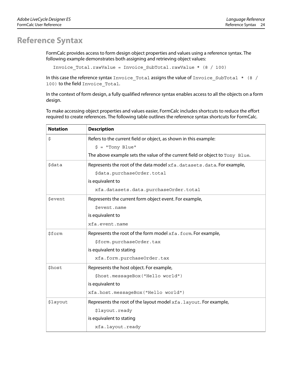# <span id="page-23-0"></span>**Reference Syntax**

FormCalc provides access to form design object properties and values using a reference syntax. The following example demonstrates both assigning and retrieving object values:

```
Invoice_Total.rawValue = Invoice_SubTotal.rawValue * (8 / 100)
```
In this case the reference syntax Invoice\_Total assigns the value of Invoice\_SubTotal \* (8 / 100) to the field Invoice\_Total.

In the context of form design, a fully qualified reference syntax enables access to all the objects on a form design.

To make accessing object properties and values easier, FormCalc includes shortcuts to reduce the effort required to create references. The following table outlines the reference syntax shortcuts for FormCalc.

| <b>Notation</b>       | <b>Description</b>                                                            |
|-----------------------|-------------------------------------------------------------------------------|
| \$                    | Refers to the current field or object, as shown in this example:              |
|                       | $$ = " Tony Blue"$                                                            |
|                       | The above example sets the value of the current field or object to Tony Blue. |
| <i><b>\$data</b></i>  | Represents the root of the data model xfa.datasets.data. For example,         |
|                       | \$data.purchaseOrder.total                                                    |
|                       | is equivalent to                                                              |
|                       | xfa.datasets.data.purchaseOrder.total                                         |
| <i><b>\$event</b></i> | Represents the current form object event. For example,                        |
|                       | \$event.name                                                                  |
|                       | is equivalent to                                                              |
|                       | xfa.event.name                                                                |
| \$form                | Represents the root of the form model xfa. form. For example,                 |
|                       | \$form.purchaseOrder.tax                                                      |
|                       | is equivalent to stating                                                      |
|                       | xfa.form.purchaseOrder.tax                                                    |
| \$host                | Represents the host object. For example,                                      |
|                       | \$host.messageBox("Hello world")                                              |
|                       | is equivalent to                                                              |
|                       | xfa.host.messageBox("Hello world")                                            |
| \$layout              | Represents the root of the layout model xfa. layout. For example,             |
|                       | \$layout.ready                                                                |
|                       | is equivalent to stating                                                      |
|                       | xfa.layout.ready                                                              |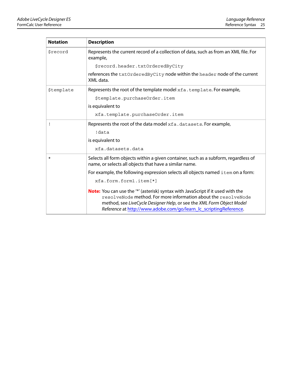| <b>Notation</b>          | <b>Description</b>                                                                                                                                                                                                                                                                                     |
|--------------------------|--------------------------------------------------------------------------------------------------------------------------------------------------------------------------------------------------------------------------------------------------------------------------------------------------------|
| <i><b>\$record</b></i>   | Represents the current record of a collection of data, such as from an XML file. For<br>example,                                                                                                                                                                                                       |
|                          | \$record.header.txtOrderedByCity                                                                                                                                                                                                                                                                       |
|                          | references the txtOrderedByCity node within the header node of the current<br>XML data.                                                                                                                                                                                                                |
| <i><b>\$template</b></i> | Represents the root of the template model xfa. template. For example,                                                                                                                                                                                                                                  |
|                          | \$template.purchaseOrder.item                                                                                                                                                                                                                                                                          |
|                          | is equivalent to                                                                                                                                                                                                                                                                                       |
|                          | xfa.template.purchaseOrder.item                                                                                                                                                                                                                                                                        |
|                          | Represents the root of the data model xfa. datasets. For example,                                                                                                                                                                                                                                      |
|                          | !data                                                                                                                                                                                                                                                                                                  |
|                          | is equivalent to                                                                                                                                                                                                                                                                                       |
|                          | xfa.datasets.data                                                                                                                                                                                                                                                                                      |
| $\star$                  | Selects all form objects within a given container, such as a subform, regardless of<br>name, or selects all objects that have a similar name.                                                                                                                                                          |
|                          | For example, the following expression selects all objects named item on a form:                                                                                                                                                                                                                        |
|                          | xfa.form.form1.item[*]                                                                                                                                                                                                                                                                                 |
|                          | <b>Note:</b> You can use the '*' (asterisk) syntax with JavaScript if it used with the<br>resolveNode method. For more information about the resolveNode<br>method, see LiveCycle Designer Help, or see the XML Form Object Model<br>Reference at http://www.adobe.com/go/learn_lc_scriptingReference. |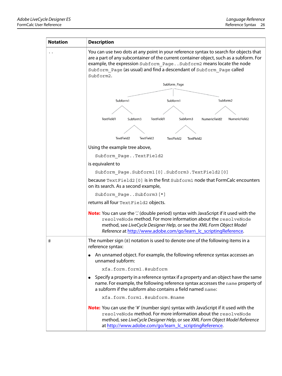| <b>Notation</b> | <b>Description</b>                                                                                                                                                                                                                                                                                                                          |  |
|-----------------|---------------------------------------------------------------------------------------------------------------------------------------------------------------------------------------------------------------------------------------------------------------------------------------------------------------------------------------------|--|
| . .             | You can use two dots at any point in your reference syntax to search for objects that<br>are a part of any subcontainer of the current container object, such as a subform. For<br>example, the expression Subform_Page Subform2 means locate the node<br>Subform Page (as usual) and find a descendant of Subform Page called<br>Subform2. |  |
|                 | Subform_Page                                                                                                                                                                                                                                                                                                                                |  |
|                 |                                                                                                                                                                                                                                                                                                                                             |  |
|                 | Subform2<br>Subform1<br>Subform1                                                                                                                                                                                                                                                                                                            |  |
|                 |                                                                                                                                                                                                                                                                                                                                             |  |
|                 | TextField1<br>Subform3<br>TextField1<br>Subform3<br>NumericField2<br>NumericField2                                                                                                                                                                                                                                                          |  |
|                 |                                                                                                                                                                                                                                                                                                                                             |  |
|                 | TextField2<br>TextField2<br>TextField2<br>TextField2                                                                                                                                                                                                                                                                                        |  |
|                 | Using the example tree above,                                                                                                                                                                                                                                                                                                               |  |
|                 | Subform PageTextField2                                                                                                                                                                                                                                                                                                                      |  |
|                 | is equivalent to                                                                                                                                                                                                                                                                                                                            |  |
|                 | Subform_Page.Subform1[0].Subform3.TextField2[0]                                                                                                                                                                                                                                                                                             |  |
|                 | because TextField2 [0] is in the first Subform1 node that FormCalc encounters<br>on its search. As a second example,                                                                                                                                                                                                                        |  |
|                 | Subform PageSubform3[*]                                                                                                                                                                                                                                                                                                                     |  |
|                 | returns all four TextField2 objects.                                                                                                                                                                                                                                                                                                        |  |
|                 | <b>Note:</b> You can use the ".' (double period) syntax with JavaScript if it used with the<br>resolveNode method. For more information about the resolveNode<br>method, see LiveCycle Designer Help, or see the XML Form Object Model<br>Reference at http://www.adobe.com/go/learn_lc_scriptingReference.                                 |  |
| #               | The number sign (#) notation is used to denote one of the following items in a<br>reference syntax:                                                                                                                                                                                                                                         |  |
|                 | An unnamed object. For example, the following reference syntax accesses an<br>unnamed subform:                                                                                                                                                                                                                                              |  |
|                 | xfa.form.form1.#subform                                                                                                                                                                                                                                                                                                                     |  |
|                 | Specify a property in a reference syntax if a property and an object have the same<br>name. For example, the following reference syntax accesses the name property of<br>a subform if the subform also contains a field named name:                                                                                                         |  |
|                 | xfa.form.form1.#subform.#name                                                                                                                                                                                                                                                                                                               |  |
|                 | <b>Note:</b> You can use the '#' (number sign) syntax with JavaScript if it used with the<br>resolveNode method. For more information about the resolveNode<br>method, see LiveCycle Designer Help, or see XML Form Object Model Reference<br>at http://www.adobe.com/go/learn_lc_scriptingReference.                                       |  |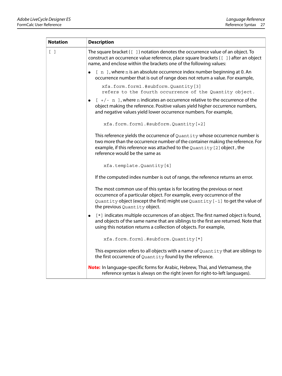| <b>Notation</b> | <b>Description</b>                                                                                                                                                                                                                                                         |
|-----------------|----------------------------------------------------------------------------------------------------------------------------------------------------------------------------------------------------------------------------------------------------------------------------|
| $[ \ ]$         | The square bracket ([ ]) notation denotes the occurrence value of an object. To<br>construct an occurrence value reference, place square brackets ([]]) after an object<br>name, and enclose within the brackets one of the following values:                              |
|                 | $\lceil$ n ], where n is an absolute occurrence index number beginning at 0. An<br>occurrence number that is out of range does not return a value. For example,                                                                                                            |
|                 | xfa.form.form1.#subform.Quantity[3]<br>refers to the fourth occurrence of the Quantity object.                                                                                                                                                                             |
|                 | $\lceil$ +/- n ], where n indicates an occurrence relative to the occurrence of the<br>object making the reference. Positive values yield higher occurrence numbers,<br>and negative values yield lower occurrence numbers. For example,                                   |
|                 | xfa.form.form1.#subform.Quantity[+2]                                                                                                                                                                                                                                       |
|                 | This reference yields the occurrence of Quantity whose occurrence number is<br>two more than the occurrence number of the container making the reference. For<br>example, if this reference was attached to the Quantity [2] object, the<br>reference would be the same as |
|                 | xfa.template.Quantity[4]                                                                                                                                                                                                                                                   |
|                 | If the computed index number is out of range, the reference returns an error.                                                                                                                                                                                              |
|                 | The most common use of this syntax is for locating the previous or next<br>occurrence of a particular object. For example, every occurrence of the<br>Quantity object (except the first) might use Quantity [-1] to get the value of<br>the previous Quantity object.      |
|                 | [*] indicates multiple occurrences of an object. The first named object is found,<br>and objects of the same name that are siblings to the first are returned. Note that<br>using this notation returns a collection of objects. For example,                              |
|                 | xfa.form.form1.#subform.Quantity[*]                                                                                                                                                                                                                                        |
|                 | This expression refers to all objects with a name of Quantity that are siblings to<br>the first occurrence of Quantity found by the reference.                                                                                                                             |
|                 | Note: In language-specific forms for Arabic, Hebrew, Thai, and Vietnamese, the<br>reference syntax is always on the right (even for right-to-left languages).                                                                                                              |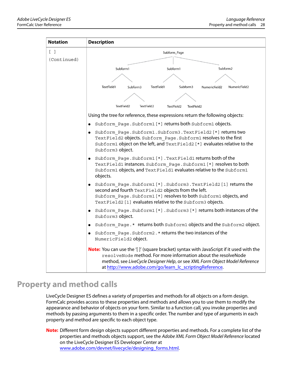| <b>Notation</b> | <b>Description</b>                                                                                                                                                                                                                                                                                        |  |
|-----------------|-----------------------------------------------------------------------------------------------------------------------------------------------------------------------------------------------------------------------------------------------------------------------------------------------------------|--|
| $[\ ]$          | Subform_Page                                                                                                                                                                                                                                                                                              |  |
| (Continued)     |                                                                                                                                                                                                                                                                                                           |  |
|                 | Subform1<br>Subform2<br>Subform1                                                                                                                                                                                                                                                                          |  |
|                 |                                                                                                                                                                                                                                                                                                           |  |
|                 | TextField1<br>TextField1<br>Subform3<br>NumericField2<br>Subform3<br>NumericField2                                                                                                                                                                                                                        |  |
|                 |                                                                                                                                                                                                                                                                                                           |  |
|                 | TextField2<br>TextField2<br>TextField2<br>TextField2                                                                                                                                                                                                                                                      |  |
|                 | Using the tree for reference, these expressions return the following objects:                                                                                                                                                                                                                             |  |
|                 | Subform Page. Subform1 [*] returns both Subform1 objects.                                                                                                                                                                                                                                                 |  |
|                 | Subform Page.Subform1.Subform3.TextField2[*] returnstwo<br>TextField2 objects. Subform Page. Subform1 resolves to the first<br>Subform1 object on the left, and TextField2 [*] evaluates relative to the<br>Subform3 object.                                                                              |  |
|                 | Subform Page.Subform1[*].TextField1returnsboth of the<br>TextField1 instances. Subform Page. Subform1 [*] resolves to both<br>Subform1 objects, and TextField1 evaluates relative to the Subform1<br>objects.                                                                                             |  |
|                 | Subform Page.Subform1[*].Subform3.TextField2[1] returns the<br>second and fourth TextField2 objects from the left.<br>Subform Page. Subform1 [*] resolves to both Subform1 objects, and<br>TextField2 [1] evaluates relative to the Subform3 objects.                                                     |  |
|                 | Subform Page. Subform1 [*]. Subform3 [*] returns both instances of the<br>Subform3 object.                                                                                                                                                                                                                |  |
|                 | Subform_Page.* returns both Subform1 objects and the Subform2 object.<br>$\bullet$                                                                                                                                                                                                                        |  |
|                 | Subform Page. Subform2. * returns the two instances of the<br>$\bullet$<br>NumericField2 object.                                                                                                                                                                                                          |  |
|                 | <b>Note:</b> You can use the '[]' (square bracket) syntax with JavaScript if it used with the<br>resolveNode method. For more information about the resolveNode<br>method, see LiveCycle Designer Help, or see XML Form Object Model Reference<br>at http://www.adobe.com/go/learn_lc_scriptingReference. |  |

# <span id="page-27-0"></span>**Property and method calls**

LiveCycle Designer ES defines a variety of properties and methods for all objects on a form design. FormCalc provides access to these properties and methods and allows you to use them to modify the appearance and behavior of objects on your form. Similar to a function call, you invoke properties and methods by passing arguments to them in a specific order. The number and type of arguments in each property and method are specific to each object type.

**Note:** Different form design objects support different properties and methods. For a complete list of the properties and methods objects support, see the Adobe XML Form Object Model Reference located on the LiveCycle Designer ES Developer Center at [www.adobe.com/devnet/livecycle/designing\\_forms.html](http://www.adobe.com/devnet/livecycle/designing_forms.html).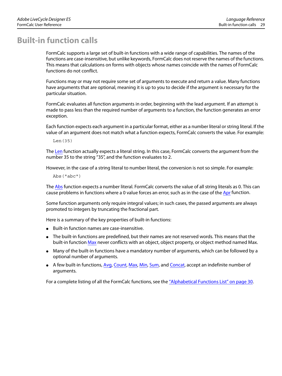# <span id="page-28-0"></span>**Built-in function calls**

FormCalc supports a large set of built-in functions with a wide range of capabilities. The names of the functions are case-insensitive, but unlike keywords, FormCalc does not reserve the names of the functions. This means that calculations on forms with objects whose names coincide with the names of FormCalc functions do not conflict.

Functions may or may not require some set of arguments to execute and return a value. Many functions have arguments that are optional, meaning it is up to you to decide if the argument is necessary for the particular situation.

FormCalc evaluates all function arguments in order, beginning with the lead argument. If an attempt is made to pass less than the required number of arguments to a function, the function generates an error exception.

Each function expects each argument in a particular format, either as a number literal or string literal. If the value of an argument does not match what a function expects, FormCalc converts the value. For example:

Len(35)

The [Len](#page-97-1) function actually expects a literal string. In this case, FormCalc converts the argument from the number 35 to the string "35", and the function evaluates to 2.

However, in the case of a string literal to number literal, the conversion is not so simple. For example:

Abs("abc")

The [Abs](#page-33-2) function expects a number literal. FormCalc converts the value of all string literals as 0. This can cause problems in functions where a 0 value forces an error, such as in the case of the [Apr](#page-67-1) function.

Some function arguments only require integral values; in such cases, the passed arguments are always promoted to integers by truncating the fractional part.

Here is a summary of the key properties of built-in functions:

- Built-in function names are case-insensitive.
- The built-in functions are predefined, but their names are not reserved words. This means that the built-in function [Max](#page-38-1) never conflicts with an object, object property, or object method named Max.
- Many of the built-in functions have a mandatory number of arguments, which can be followed by a optional number of arguments.
- A few built-in functions, [Avg](#page-34-1), [Count](#page-36-1), [Max](#page-38-1), [Min](#page-39-1), [Sum](#page-42-1), and [Concat,](#page-92-1) accept an indefinite number of arguments.

For a complete listing of all the FormCalc functions, see the ["Alphabetical Functions List" on page 30](#page-29-1).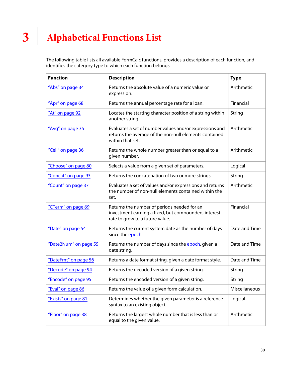# <span id="page-29-1"></span><span id="page-29-0"></span>**3 Alphabetical Functions List**

The following table lists all available FormCalc functions, provides a description of each function, and identifies the category type to which each function belongs.

| <b>Function</b>       | <b>Description</b>                                                                                                                     | <b>Type</b>   |
|-----------------------|----------------------------------------------------------------------------------------------------------------------------------------|---------------|
| "Abs" on page 34      | Returns the absolute value of a numeric value or<br>expression.                                                                        | Arithmetic    |
| "Apr" on page 68      | Returns the annual percentage rate for a loan.                                                                                         | Financial     |
| "At" on page 92       | Locates the starting character position of a string within<br>another string.                                                          | String        |
| "Avg" on page 35      | Evaluates a set of number values and/or expressions and<br>returns the average of the non-null elements contained<br>within that set.  | Arithmetic    |
| "Ceil" on page 36     | Returns the whole number greater than or equal to a<br>given number.                                                                   | Arithmetic    |
| "Choose" on page 80   | Selects a value from a given set of parameters.                                                                                        | Logical       |
| "Concat" on page 93   | Returns the concatenation of two or more strings.                                                                                      | String        |
| "Count" on page 37    | Evaluates a set of values and/or expressions and returns<br>the number of non-null elements contained within the<br>set.               | Arithmetic    |
| "CTerm" on page 69    | Returns the number of periods needed for an<br>investment earning a fixed, but compounded, interest<br>rate to grow to a future value. | Financial     |
| "Date" on page 54     | Returns the current system date as the number of days<br>since the epoch.                                                              | Date and Time |
| "Date2Num" on page 55 | Returns the number of days since the epoch, given a<br>date string.                                                                    | Date and Time |
| "DateFmt" on page 56  | Returns a date format string, given a date format style.                                                                               | Date and Time |
| "Decode" on page 94   | Returns the decoded version of a given string.                                                                                         | String        |
| "Encode" on page 95   | Returns the encoded version of a given string.                                                                                         | String        |
| "Eval" on page 86     | Returns the value of a given form calculation.                                                                                         | Miscellaneous |
| "Exists" on page 81   | Determines whether the given parameter is a reference<br>syntax to an existing object.                                                 | Logical       |
| "Floor" on page 38    | Returns the largest whole number that is less than or<br>equal to the given value.                                                     | Arithmetic    |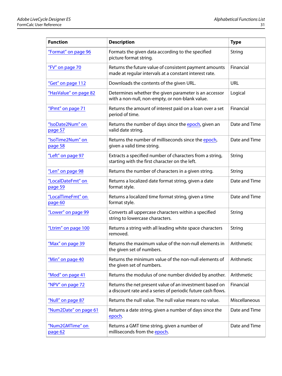| <b>Function</b>              | <b>Description</b>                                                                                                     | <b>Type</b>   |
|------------------------------|------------------------------------------------------------------------------------------------------------------------|---------------|
| "Format" on page 96          | Formats the given data according to the specified<br>picture format string.                                            | String        |
| "FV" on page 70              | Returns the future value of consistent payment amounts<br>made at regular intervals at a constant interest rate.       | Financial     |
| "Get" on page 112            | Downloads the contents of the given URL.                                                                               | <b>URL</b>    |
| "HasValue" on page 82        | Determines whether the given parameter is an accessor<br>with a non-null, non-empty, or non-blank value.               | Logical       |
| "IPmt" on page 71            | Returns the amount of interest paid on a loan over a set<br>period of time.                                            | Financial     |
| "IsoDate2Num" on<br>page 57  | Returns the number of days since the epoch, given an<br>valid date string.                                             | Date and Time |
| "IsoTime2Num" on<br>page 58  | Returns the number of milliseconds since the epoch,<br>given a valid time string.                                      | Date and Time |
| "Left" on page 97            | Extracts a specified number of characters from a string,<br>starting with the first character on the left.             | String        |
| "Len" on page 98             | Returns the number of characters in a given string.                                                                    | String        |
| "LocalDateFmt" on<br>page 59 | Returns a localized date format string, given a date<br>format style.                                                  | Date and Time |
| "LocalTimeFmt" on<br>page 60 | Returns a localized time format string, given a time<br>format style.                                                  | Date and Time |
| "Lower" on page 99           | Converts all uppercase characters within a specified<br>string to lowercase characters.                                | String        |
| "Ltrim" on page 100          | Returns a string with all leading white space characters<br>removed.                                                   | String        |
| "Max" on page 39             | Returns the maximum value of the non-null elements in<br>the given set of numbers.                                     | Arithmetic    |
| "Min" on page 40             | Returns the minimum value of the non-null elements of<br>the given set of numbers.                                     | Arithmetic    |
| "Mod" on page 41             | Returns the modulus of one number divided by another.                                                                  | Arithmetic    |
| "NPV" on page 72             | Returns the net present value of an investment based on<br>a discount rate and a series of periodic future cash flows. | Financial     |
| "Null" on page 87            | Returns the null value. The null value means no value.                                                                 | Miscellaneous |
| "Num2Date" on page 61        | Returns a date string, given a number of days since the<br>epoch.                                                      | Date and Time |
| "Num2GMTime" on<br>page 62   | Returns a GMT time string, given a number of<br>milliseconds from the epoch.                                           | Date and Time |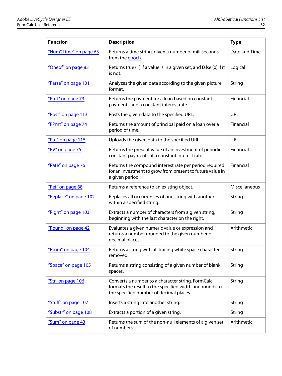| <b>Function</b>       | <b>Description</b>                                                                                                                                      | <b>Type</b>   |
|-----------------------|---------------------------------------------------------------------------------------------------------------------------------------------------------|---------------|
| "Num2Time" on page 63 | Returns a time string, given a number of milliseconds<br>from the epoch.                                                                                | Date and Time |
| "Oneof" on page 83    | Returns true (1) if a value is in a given set, and false (0) if it<br>is not.                                                                           | Logical       |
| "Parse" on page 101   | Analyzes the given data according to the given picture<br>format.                                                                                       | String        |
| "Pmt" on page 73      | Returns the payment for a loan based on constant<br>payments and a constant interest rate.                                                              | Financial     |
| "Post" on page 113    | Posts the given data to the specified URL.                                                                                                              | <b>URL</b>    |
| "PPmt" on page 74     | Returns the amount of principal paid on a loan over a<br>period of time.                                                                                | Financial     |
| "Put" on page 115     | Uploads the given data to the specified URL.                                                                                                            | <b>URL</b>    |
| "PV" on page 75       | Returns the present value of an investment of periodic<br>constant payments at a constant interest rate.                                                | Financial     |
| "Rate" on page 76     | Returns the compound interest rate per period required<br>for an investment to grow from present to future value in<br>a given period.                  | Financial     |
| "Ref" on page 88      | Returns a reference to an existing object.                                                                                                              | Miscellaneous |
| "Replace" on page 102 | Replaces all occurrences of one string with another<br>within a specified string.                                                                       | String        |
| "Right" on page 103   | Extracts a number of characters from a given string,<br>beginning with the last character on the right.                                                 | String        |
| "Round" on page 42    | Evaluates a given numeric value or expression and<br>returns a number rounded to the given number of<br>decimal places.                                 | Arithmetic    |
| "Rtrim" on page 104   | Returns a string with all trailing white space characters<br>removed.                                                                                   | String        |
| "Space" on page 105   | Returns a string consisting of a given number of blank<br>spaces.                                                                                       | String        |
| "Str" on page 106     | Converts a number to a character string. FormCalc<br>formats the result to the specified width and rounds to<br>the specified number of decimal places. | String        |
| "Stuff" on page 107   | Inserts a string into another string.                                                                                                                   | String        |
| "Substr" on page 108  | Extracts a portion of a given string.                                                                                                                   | String        |
| "Sum" on page 43      | Returns the sum of the non-null elements of a given set<br>of numbers.                                                                                  | Arithmetic    |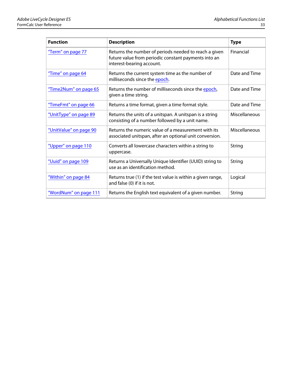| <b>Function</b>        | <b>Description</b>                                                                                                                         | <b>Type</b>   |
|------------------------|--------------------------------------------------------------------------------------------------------------------------------------------|---------------|
| "Term" on page 77      | Returns the number of periods needed to reach a given<br>future value from periodic constant payments into an<br>interest-bearing account. | Financial     |
| "Time" on page 64      | Returns the current system time as the number of<br>milliseconds since the epoch.                                                          | Date and Time |
| "Time2Num" on page 65  | Returns the number of milliseconds since the epoch,<br>given a time string.                                                                | Date and Time |
| "TimeFmt" on page 66   | Returns a time format, given a time format style.                                                                                          | Date and Time |
| "UnitType" on page 89  | Returns the units of a unitspan. A unitspan is a string<br>consisting of a number followed by a unit name.                                 | Miscellaneous |
| "UnitValue" on page 90 | Returns the numeric value of a measurement with its<br>associated unitspan, after an optional unit conversion.                             | Miscellaneous |
| "Upper" on page 110    | Converts all lowercase characters within a string to<br>uppercase.                                                                         | String        |
| "Uuid" on page 109     | Returns a Universally Unique Identifier (UUID) string to<br>use as an identification method.                                               | String        |
| "Within" on page 84    | Returns true (1) if the test value is within a given range,<br>and false (0) if it is not.                                                 | Logical       |
| "WordNum" on page 111  | Returns the English text equivalent of a given number.                                                                                     | String        |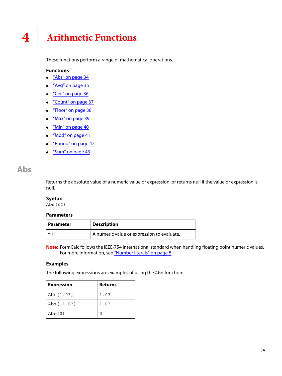# <span id="page-33-0"></span>**4 Arithmetic Functions**

These functions perform a range of mathematical operations.

#### **Functions**

- ["Abs" on page 34](#page-33-1)
- ["Avg" on page 35](#page-34-0)
- ["Ceil" on page 36](#page-35-0)
- ["Count" on page 37](#page-36-0)
- ["Floor" on page 38](#page-37-0)
- ["Max" on page 39](#page-38-0)
- ["Min" on page 40](#page-39-0)
- ["Mod" on page 41](#page-40-0)
- ["Round" on page 42](#page-41-0)
- ["Sum" on page 43](#page-42-0)

## <span id="page-33-2"></span><span id="page-33-1"></span>**Abs**

Returns the absolute value of a numeric value or expression, or returns null if the value or expression is null.

#### **Syntax**

Abs(*n1*)

#### **Parameters**

| <b>Parameter</b> | <b>Description</b>                         |
|------------------|--------------------------------------------|
| $\sim$ 1         | A numeric value or expression to evaluate. |

**Note:** FormCalc follows the IEEE-754 international standard when handling floating point numeric values. For more information, see ["Number literals" on page 8](#page-7-3).

#### **Examples**

The following expressions are examples of using the Abs function:

| <b>Expression</b> | <b>Returns</b> |
|-------------------|----------------|
| Abs(1.03)         | 1.03           |
| $Abs(-1.03)$      | 1.03           |
| $\Delta bs(0)$    | ∩              |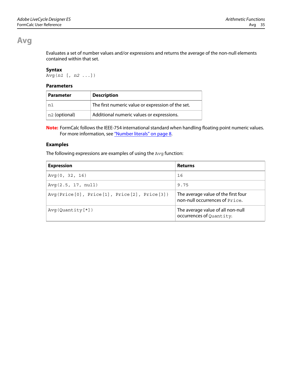## <span id="page-34-1"></span><span id="page-34-0"></span>**Avg**

Evaluates a set of number values and/or expressions and returns the average of the non-null elements contained within that set.

#### **Syntax**

Avg(*n1* [, *n2* ...])

#### **Parameters**

| <b>Parameter</b> | <b>Description</b>                                |
|------------------|---------------------------------------------------|
| n <sub>1</sub>   | The first numeric value or expression of the set. |
| n2 (optional)    | Additional numeric values or expressions.         |

**Note:** FormCalc follows the IEEE-754 international standard when handling floating point numeric values. For more information, see ["Number literals" on page 8](#page-7-3).

#### **Examples**

The following expressions are examples of using the Avg function:

| <b>Expression</b>                           | <b>Returns</b>                                                        |
|---------------------------------------------|-----------------------------------------------------------------------|
| Avg(0, 32, 16)                              | 16                                                                    |
| Avg(2.5, 17, null)                          | 9.75                                                                  |
| Avq(Price[0], Price[1], Price[2], Price[3]) | The average value of the first four<br>non-null occurrences of Price. |
| $Avg(Quantity[*])$                          | The average value of all non-null<br>occurrences of Quantity.         |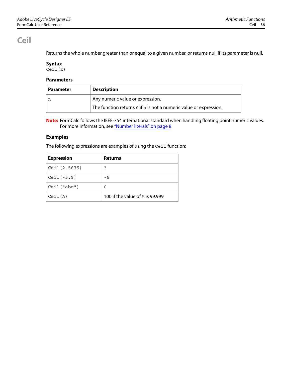# <span id="page-35-1"></span><span id="page-35-0"></span>**Ceil**

Returns the whole number greater than or equal to a given number, or returns null if its parameter is null.

**Syntax**

Ceil(*n*)

#### **Parameters**

| <b>Parameter</b> | <b>Description</b>                                                    |
|------------------|-----------------------------------------------------------------------|
| n                | Any numeric value or expression.                                      |
|                  | The function returns $0$ if $n$ is not a numeric value or expression. |

**Note:** FormCalc follows the IEEE-754 international standard when handling floating point numeric values. For more information, see ["Number literals" on page 8](#page-7-3).

#### **Examples**

The following expressions are examples of using the Ceil function:

| <b>Expression</b> | <b>Returns</b>                    |
|-------------------|-----------------------------------|
| Ceil (2.5875)     | 3                                 |
| $Ceil(-5.9)$      | - 5                               |
| Ceil("abc")       | O                                 |
| Cei1(A)           | 100 if the value of $A$ is 99.999 |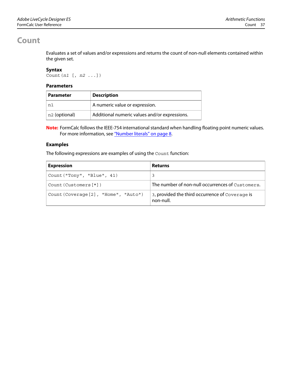# **Count**

Evaluates a set of values and/or expressions and returns the count of non-null elements contained within the given set.

#### **Syntax**

Count(*n1* [, *n2* ...])

#### **Parameters**

| <b>Parameter</b> | <b>Description</b>                            |  |
|------------------|-----------------------------------------------|--|
| n1               | A numeric value or expression.                |  |
| n2 (optional)    | Additional numeric values and/or expressions. |  |

**Note:** FormCalc follows the IEEE-754 international standard when handling floating point numeric values. For more information, see ["Number literals" on page 8](#page-7-0).

#### **Examples**

The following expressions are examples of using the Count function:

| <b>Expression</b>                    | <b>Returns</b>                                               |  |
|--------------------------------------|--------------------------------------------------------------|--|
| Count ("Tony", "Blue", 41)           |                                                              |  |
| Count (Customers [*])                | The number of non-null occurrences of Customers.             |  |
| Count (Coverage [2], "Home", "Auto") | 3, provided the third occurrence of Coverage is<br>non-null. |  |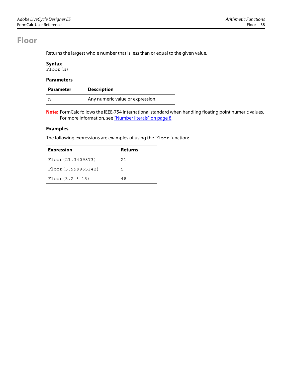### **Floor**

Returns the largest whole number that is less than or equal to the given value.

#### **Syntax**

Floor(*n*)

#### **Parameters**

| <b>Parameter</b> | <b>Description</b>               |
|------------------|----------------------------------|
|                  | Any numeric value or expression. |

**Note:** FormCalc follows the IEEE-754 international standard when handling floating point numeric values. For more information, see ["Number literals" on page 8](#page-7-0).

#### **Examples**

The following expressions are examples of using the Floor function:

| <b>Expression</b>   | <b>Returns</b> |
|---------------------|----------------|
| Floor (21.3409873)  | 2.1            |
| Floor (5.999965342) | 5              |
| $Floor(3.2 * 15)$   | 48             |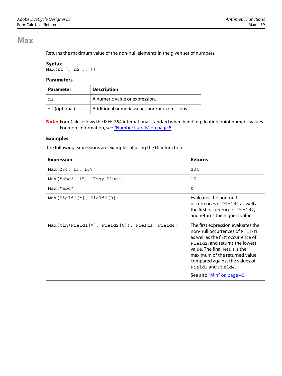### <span id="page-38-0"></span>**Max**

Returns the maximum value of the non-null elements in the given set of numbers.

#### **Syntax**

Max(*n1* [, *n2* ...])

#### **Parameters**

| <b>Parameter</b> | <b>Description</b>                            |  |
|------------------|-----------------------------------------------|--|
| n1               | A numeric value or expression.                |  |
| n2 (optional)    | Additional numeric values and/or expressions. |  |

**Note:** FormCalc follows the IEEE-754 international standard when handling floating point numeric values. For more information, see ["Number literals" on page 8](#page-7-0).

#### **Examples**

The following expressions are examples of using the Max function:

| <b>Expression</b>                                | <b>Returns</b>                                                                                                                                                                                                                                                                                                     |
|--------------------------------------------------|--------------------------------------------------------------------------------------------------------------------------------------------------------------------------------------------------------------------------------------------------------------------------------------------------------------------|
| Max(234, 15, 107)                                | 234                                                                                                                                                                                                                                                                                                                |
| Max("abc", 15, "Tony Blue")                      | 15                                                                                                                                                                                                                                                                                                                 |
| Max("abc")                                       | $\Omega$                                                                                                                                                                                                                                                                                                           |
| $Max(Field1[*], Field2[0])$                      | Evaluates the non-null<br>occurrences of Field1 as well as<br>the first occurrence of Field2,<br>and returns the highest value.                                                                                                                                                                                    |
| Max (Min (Field1[*], Field2[0]), Field3, Field4) | The first expression evaluates the<br>non-null occurrences of Field1<br>as well as the first occurrence of<br>Field <sub>2</sub> , and returns the lowest<br>value. The final result is the<br>maximum of the returned value<br>compared against the values of<br>Field3 and Field4.<br>See also "Min" on page 40. |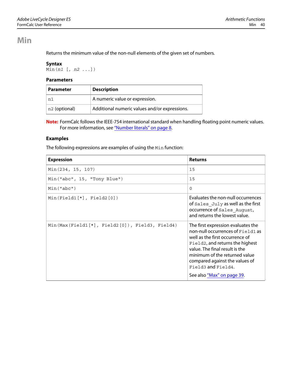## <span id="page-39-0"></span>**Min**

Returns the minimum value of the non-null elements of the given set of numbers.

#### **Syntax**

Min(*n1* [, *n2* ...])

#### **Parameters**

| <b>Parameter</b> | <b>Description</b>                            |  |
|------------------|-----------------------------------------------|--|
| n1               | A numeric value or expression.                |  |
| n2 (optional)    | Additional numeric values and/or expressions. |  |

**Note:** FormCalc follows the IEEE-754 international standard when handling floating point numeric values. For more information, see ["Number literals" on page 8](#page-7-0).

#### **Examples**

The following expressions are examples of using the Min function:

| <b>Expression</b>                              | <b>Returns</b>                                                                                                                                                                                                                                                                                                                  |
|------------------------------------------------|---------------------------------------------------------------------------------------------------------------------------------------------------------------------------------------------------------------------------------------------------------------------------------------------------------------------------------|
| Min(234, 15, 107)                              | 15                                                                                                                                                                                                                                                                                                                              |
| Min("abc", 15, "Tony Blue")                    | 15                                                                                                                                                                                                                                                                                                                              |
| Min("abc")                                     | $\Omega$                                                                                                                                                                                                                                                                                                                        |
| Min(Field1[*], Field2[0])                      | Evaluates the non-null occurrences<br>of Sales July as well as the first<br>occurrence of Sales August,<br>and returns the lowest value.                                                                                                                                                                                        |
| Min(Max(Field1[*], Field2[0]), Field3, Field4) | The first expression evaluates the<br>non-null occurrences of Field1 as<br>well as the first occurrence of<br>Field2, and returns the highest<br>value. The final result is the<br>minimum of the returned value<br>compared against the values of<br>Field <sub>3</sub> and Field <sub>4</sub> .<br>See also "Max" on page 39. |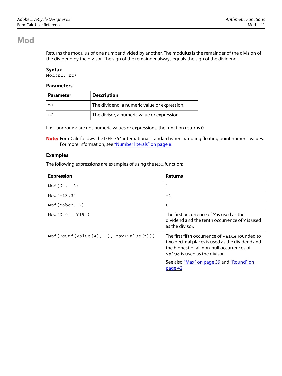### **Mod**

Returns the modulus of one number divided by another. The modulus is the remainder of the division of the dividend by the divisor. The sign of the remainder always equals the sign of the dividend.

**Syntax**

Mod(*n1*, *n2*)

#### **Parameters**

| <b>Parameter</b> | <b>Description</b>                           |  |
|------------------|----------------------------------------------|--|
| n1               | The dividend, a numeric value or expression. |  |
| n <sub>2</sub>   | The divisor, a numeric value or expression.  |  |

If n1 and/or n2 are not numeric values or expressions, the function returns 0.

**Note:** FormCalc follows the IEEE-754 international standard when handling floating point numeric values. For more information, see ["Number literals" on page 8](#page-7-0).

#### **Examples**

The following expressions are examples of using the Mod function:

| <b>Expression</b>                        | <b>Returns</b>                                                                                                                                                                  |
|------------------------------------------|---------------------------------------------------------------------------------------------------------------------------------------------------------------------------------|
| $Mod(64, -3)$                            | $\mathbf{1}$                                                                                                                                                                    |
| $Mod(-13, 3)$                            | $-1$                                                                                                                                                                            |
| Mod("abc", 2)                            | $\Omega$                                                                                                                                                                        |
| Mod(X[0], Y[9])                          | The first occurrence of $x$ is used as the<br>dividend and the tenth occurrence of Y is used<br>as the divisor.                                                                 |
| $Mod(Round(Value[4], 2), Max(Value[*]))$ | The first fifth occurrence of Value rounded to<br>two decimal places is used as the dividend and<br>the highest of all non-null occurrences of<br>Value is used as the divisor. |
|                                          | See also "Max" on page 39 and "Round" on<br>page 42.                                                                                                                            |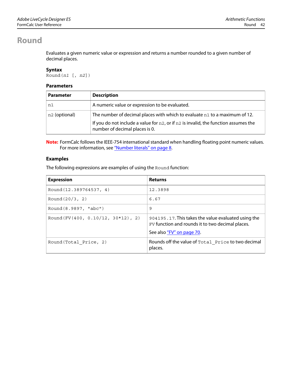# <span id="page-41-0"></span>**Round**

Evaluates a given numeric value or expression and returns a number rounded to a given number of decimal places.

#### **Syntax**

Round(*n1* [, *n2*])

#### **Parameters**

| <b>Parameter</b> | <b>Description</b>                                                                                                                                                                                       |
|------------------|----------------------------------------------------------------------------------------------------------------------------------------------------------------------------------------------------------|
| n1               | A numeric value or expression to be evaluated.                                                                                                                                                           |
| n2 (optional)    | The number of decimal places with which to evaluate n1 to a maximum of 12.<br>If you do not include a value for $n2$ , or if $n2$ is invalid, the function assumes the<br>number of decimal places is 0. |

**Note:** FormCalc follows the IEEE-754 international standard when handling floating point numeric values. For more information, see ["Number literals" on page 8](#page-7-0).

#### **Examples**

The following expressions are examples of using the Round function:

| <b>Expression</b>                         | <b>Returns</b>                                                                                                                       |
|-------------------------------------------|--------------------------------------------------------------------------------------------------------------------------------------|
| Round (12.389764537, 4)                   | 12.3898                                                                                                                              |
| Round $(20/3, 2)$                         | 6.67                                                                                                                                 |
| Round (8.9897, "abc")                     | 9                                                                                                                                    |
| Round (FV (400, $0.10/12$ , $30*12$ ), 2) | 904195.17. This takes the value evaluated using the<br>FV function and rounds it to two decimal places.<br>See also "FV" on page 70. |
| Round (Total Price, 2)                    | Rounds off the value of Total Price to two decimal<br>places.                                                                        |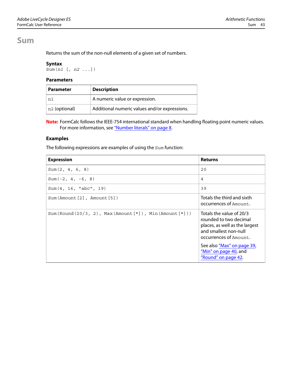### **Sum**

Returns the sum of the non-null elements of a given set of numbers.

#### **Syntax**

Sum(*n1* [, *n2* ...])

#### **Parameters**

| <b>Parameter</b> | <b>Description</b>                            |  |
|------------------|-----------------------------------------------|--|
| n1               | A numeric value or expression.                |  |
| n2 (optional)    | Additional numeric values and/or expressions. |  |

**Note:** FormCalc follows the IEEE-754 international standard when handling floating point numeric values. For more information, see ["Number literals" on page 8](#page-7-0).

#### **Examples**

The following expressions are examples of using the Sum function:

| <b>Expression</b>                                           | <b>Returns</b>                                                                                                                          |
|-------------------------------------------------------------|-----------------------------------------------------------------------------------------------------------------------------------------|
| Sum(2, 4, 6, 8)                                             | 20                                                                                                                                      |
| Sum $(-2, 4, -6, 8)$                                        | 4                                                                                                                                       |
| Sum $(4, 16, "abc", 19)$                                    | 39                                                                                                                                      |
| Sum(Amount[2], Amount[5])                                   | Totals the third and sixth<br>occurrences of Amount.                                                                                    |
| Sum(Round(20/3, 2), Max(Amount $[*]$ ), Min(Amount $[*])$ ) | Totals the value of 20/3<br>rounded to two decimal<br>places, as well as the largest<br>and smallest non-null<br>occurrences of Amount. |
|                                                             | See also "Max" on page 39,<br>"Min" on page 40, and<br>"Round" on page 42.                                                              |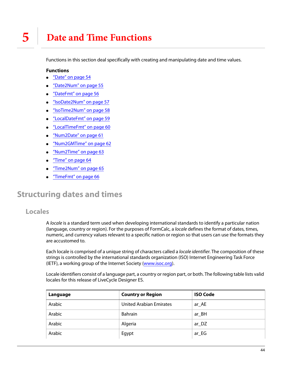# **5 Date and Time Functions**

Functions in this section deal specifically with creating and manipulating date and time values.

#### **Functions**

- ["Date" on page 54](#page-53-0)
- ["Date2Num" on page 55](#page-54-0)
- ["DateFmt" on page 56](#page-55-0)
- ["IsoDate2Num" on page 57](#page-56-0)
- ["IsoTime2Num" on page 58](#page-57-0)
- ["LocalDateFmt" on page 59](#page-58-0)
- ["LocalTimeFmt" on page 60](#page-59-0)
- ["Num2Date" on page 61](#page-60-0)
- ["Num2GMTime" on page 62](#page-61-0)
- ["Num2Time" on page 63](#page-62-0)
- ["Time" on page 64](#page-63-0)
- ["Time2Num" on page 65](#page-64-0)
- ["TimeFmt" on page 66](#page-65-0)

### **Structuring dates and times**

### **Locales**

A locale is a standard term used when developing international standards to identify a particular nation (language, country or region). For the purposes of FormCalc, a locale defines the format of dates, times, numeric, and currency values relevant to a specific nation or region so that users can use the formats they are accustomed to.

Each locale is comprised of a unique string of characters called a locale identifier. The composition of these strings is controlled by the international standards organization (ISO) Internet Engineering Task Force (IETF), a working group of the Internet Society ([www.isoc.org](http://www.isoc.org)).

Locale identifiers consist of a language part, a country or region part, or both. The following table lists valid locales for this release of LiveCycle Designer ES.

| Language | <b>Country or Region</b>       | <b>ISO Code</b> |
|----------|--------------------------------|-----------------|
| Arabic   | <b>United Arabian Emirates</b> | ar_AE           |
| Arabic   | <b>Bahrain</b>                 | ar BH           |
| Arabic   | Algeria                        | ar DZ           |
| Arabic   | Egypt                          | ar_EG           |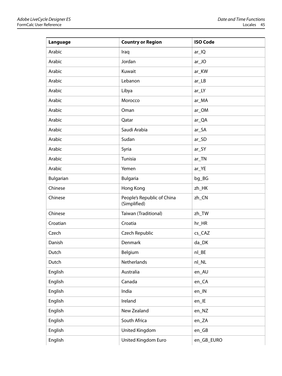| Language         | <b>Country or Region</b>                   | <b>ISO Code</b>                      |
|------------------|--------------------------------------------|--------------------------------------|
| Arabic           | Iraq                                       | ar_IQ                                |
| Arabic           | Jordan                                     | ar_JO                                |
| Arabic           | Kuwait                                     | ar_KW                                |
| Arabic           | Lebanon                                    | $ar_l$ B                             |
| Arabic           | Libya                                      | $ar$ <sub><math>_K</math></sub> $LY$ |
| Arabic           | Morocco                                    | ar_MA                                |
| Arabic           | Oman                                       | ar_OM                                |
| Arabic           | Qatar                                      | ar_QA                                |
| Arabic           | Saudi Arabia                               | $ar\_SA$                             |
| Arabic           | Sudan                                      | ar_SD                                |
| Arabic           | Syria                                      | $ar_SY$                              |
| Arabic           | Tunisia                                    | ar_TN                                |
| Arabic           | Yemen                                      | ar_YE                                |
| <b>Bulgarian</b> | <b>Bulgaria</b>                            | $bg_BG$                              |
| Chinese          | Hong Kong                                  | zh_HK                                |
| Chinese          | People's Republic of China<br>(Simplified) | zh_CN                                |
| Chinese          | Taiwan (Traditional)                       | zh_TW                                |
| Croatian         | Croatia                                    | $hr_HR$                              |
| Czech            | Czech Republic                             | cs_CAZ                               |
| Danish           | Denmark                                    | da_DK                                |
| Dutch            | Belgium                                    | $nl$ $BE$                            |
| Dutch            | Netherlands                                | $nl$ <sub>_NL</sub>                  |
| English          | Australia                                  | en_AU                                |
| English          | Canada                                     | en_CA                                |
| English          | India                                      | en_IN                                |
| English          | Ireland                                    | en_IE                                |
| English          | New Zealand                                | $en_NZ$                              |
| English          | South Africa                               | $en_ZA$                              |
| English          | United Kingdom                             | $en_GB$                              |
| English          | United Kingdom Euro                        | en_GB_EURO                           |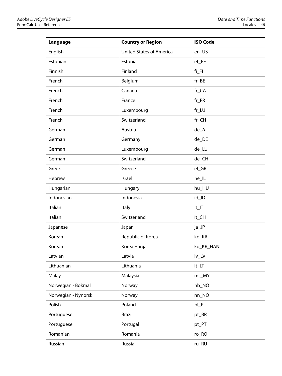| Language            | <b>Country or Region</b>        | <b>ISO Code</b>     |
|---------------------|---------------------------------|---------------------|
| English             | <b>United States of America</b> | en_US               |
| Estonian            | Estonia                         | $et$ $E$            |
| Finnish             | Finland                         | $fi_F$              |
| French              | Belgium                         | $fr$ <sub>_BE</sub> |
| French              | Canada                          | $fr_C A$            |
| French              | France                          | $fr_F$ R            |
| French              | Luxembourg                      | fr_LU               |
| French              | Switzerland                     | fr_CH               |
| German              | Austria                         | de_AT               |
| German              | Germany                         | de_DE               |
| German              | Luxembourg                      | de_LU               |
| German              | Switzerland                     | de_CH               |
| Greek               | Greece                          | $el_GR$             |
| Hebrew              | Israel                          | he_IL               |
| Hungarian           | Hungary                         | hu_HU               |
| Indonesian          | Indonesia                       | id_ID               |
| Italian             | Italy                           | it_IT               |
| Italian             | Switzerland                     | it_CH               |
| Japanese            | Japan                           | ja_JP               |
| Korean              | Republic of Korea               | ko_KR               |
| Korean              | Korea Hanja                     | ko_KR_HANI          |
| Latvian             | Latvia                          | $Iv_LV$             |
| Lithuanian          | Lithuania                       | $It_LIT$            |
| Malay               | Malaysia                        | ms_MY               |
| Norwegian - Bokmal  | Norway                          | nb_NO               |
| Norwegian - Nynorsk | Norway                          | nn_NO               |
| Polish              | Poland                          | pl_PL               |
| Portuguese          | <b>Brazil</b>                   | pt_BR               |
| Portuguese          | Portugal                        | pt_PT               |
| Romanian            | Romania                         | ro_RO               |
| Russian             | Russia                          | ru_RU               |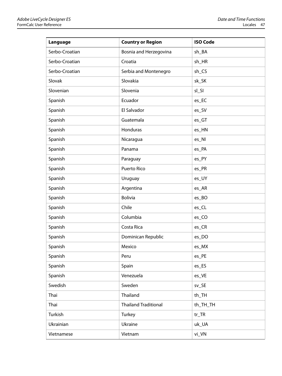| Language       | <b>Country or Region</b>    | <b>ISO Code</b> |
|----------------|-----------------------------|-----------------|
| Serbo-Croatian | Bosnia and Herzegovina      | $sh$ $BA$       |
| Serbo-Croatian | Croatia                     | sh_HR           |
| Serbo-Croatian | Serbia and Montenegro       | $sh_C$ CS       |
| Slovak         | Slovakia                    | sk_SK           |
| Slovenian      | Slovenia                    | $sl_S$          |
| Spanish        | Ecuador                     | es_EC           |
| Spanish        | El Salvador                 | es_SV           |
| Spanish        | Guatemala                   | es_GT           |
| Spanish        | Honduras                    | es_HN           |
| Spanish        | Nicaragua                   | es_NI           |
| Spanish        | Panama                      | es_PA           |
| Spanish        | Paraguay                    | es_PY           |
| Spanish        | Puerto Rico                 | es_PR           |
| Spanish        | Uruguay                     | es_UY           |
| Spanish        | Argentina                   | es_AR           |
| Spanish        | Bolivia                     | es_BO           |
| Spanish        | Chile                       | $es_C$ CL       |
| Spanish        | Columbia                    | es_CO           |
| Spanish        | Costa Rica                  | $es_C$ CR       |
| Spanish        | Dominican Republic          | es_DO           |
| Spanish        | Mexico                      | es_MX           |
| Spanish        | Peru                        | es_PE           |
| Spanish        | Spain                       | es_ES           |
| Spanish        | Venezuela                   | es_VE           |
| Swedish        | Sweden                      | sv_SE           |
| Thai           | Thailand                    | th_TH           |
| Thai           | <b>Thailand Traditional</b> | th_TH_TH        |
| Turkish        | Turkey                      | $tr_T$ TR       |
| Ukrainian      | Ukraine                     | uk_UA           |
| Vietnamese     | Vietnam                     | vi_VN           |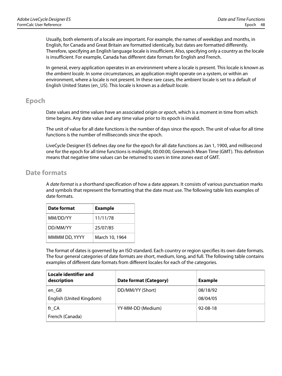Usually, both elements of a locale are important. For example, the names of weekdays and months, in English, for Canada and Great Britain are formatted identically, but dates are formatted differently. Therefore, specifying an English language locale is insufficient. Also, specifying only a country as the locale is insufficient. For example, Canada has different date formats for English and French.

In general, every application operates in an environment where a locale is present. This locale is known as the *ambient locale*. In some circumstances, an application might operate on a system, or within an environment, where a locale is not present. In these rare cases, the ambient locale is set to a default of English United States (en\_US). This locale is known as a default locale.

### **Epoch**

Date values and time values have an associated origin or epoch, which is a moment in time from which time begins. Any date value and any time value prior to its epoch is invalid.

The unit of value for all date functions is the number of days since the epoch. The unit of value for all time functions is the number of milliseconds since the epoch.

LiveCycle Designer ES defines day one for the epoch for all date functions as Jan 1, 1900, and millisecond one for the epoch for all time functions is midnight, 00:00:00, Greenwich Mean Time (GMT). This definition means that negative time values can be returned to users in time zones east of GMT.

### **Date formats**

A date format is a shorthand specification of how a date appears. It consists of various punctuation marks and symbols that represent the formatting that the date must use. The following table lists examples of date formats.

| Date format   | <b>Example</b> |
|---------------|----------------|
| MM/DD/YY      | 11/11/78       |
| DD/MM/YY      | 25/07/85       |
| MMMM DD, YYYY | March 10, 1964 |

The format of dates is governed by an ISO standard. Each country or region specifies its own date formats. The four general categories of date formats are short, medium, long, and full. The following table contains examples of different date formats from different locales for each of the categories.

| <b>Locale identifier and</b><br>description | Date format (Category) | <b>Example</b> |
|---------------------------------------------|------------------------|----------------|
| en GB                                       | DD/MM/YY (Short)       | 08/18/92       |
| English (United Kingdom)                    |                        | 08/04/05       |
| fr CA                                       | YY-MM-DD (Medium)      | $92 - 08 - 18$ |
| French (Canada)                             |                        |                |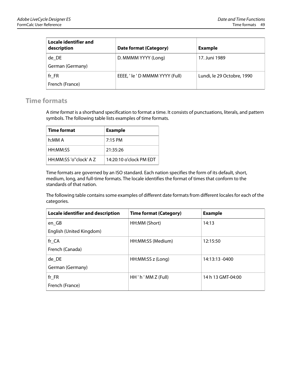| <b>Locale identifier and</b><br>description | Date format (Category)          | <b>Example</b>             |
|---------------------------------------------|---------------------------------|----------------------------|
| de DE                                       | D. MMMM YYYY (Long)             | 17. Juni 1989              |
| German (Germany)                            |                                 |                            |
| fr FR                                       | EEEE, ' le ' D MMMM YYYY (Full) | Lundi, le 29 Octobre, 1990 |
| French (France)                             |                                 |                            |

### **Time formats**

A time format is a shorthand specification to format a time. It consists of punctuations, literals, and pattern symbols. The following table lists examples of time formats.

| Time format            | <b>Example</b>            |
|------------------------|---------------------------|
| h:MM A                 | $7:15$ PM                 |
| HH:MM:SS               | 21:35:26                  |
| HH:MM:SS 'o"clock' A Z | 14:20:10 o'clock PM $EDT$ |

Time formats are governed by an ISO standard. Each nation specifies the form of its default, short, medium, long, and full-time formats. The locale identifies the format of times that conform to the standards of that nation.

The following table contains some examples of different date formats from different locales for each of the categories.

| <b>Locale identifier and description</b> | <b>Time format (Category)</b> | <b>Example</b>    |
|------------------------------------------|-------------------------------|-------------------|
| $en_GB$                                  | HH:MM (Short)                 | 14:13             |
| English (United Kingdom)                 |                               |                   |
| fr_CA                                    | HH:MM:SS (Medium)             | 12:15:50          |
| French (Canada)                          |                               |                   |
| de DE                                    | HH:MM:SS z (Long)             | 14:13:13 -0400    |
| German (Germany)                         |                               |                   |
| $fr_F$ FR                                | HH' h' MM Z (Full)            | 14 h 13 GMT-04:00 |
| French (France)                          |                               |                   |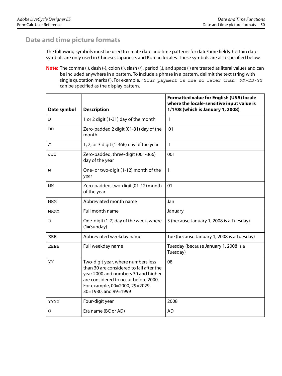### **Date and time picture formats**

The following symbols must be used to create date and time patterns for date/time fields. Certain date symbols are only used in Chinese, Japanese, and Korean locales. These symbols are also specified below.

**Note:** The comma (,), dash (-), colon (:), slash (/), period (.), and space () are treated as literal values and can be included anywhere in a pattern. To include a phrase in a pattern, delimit the text string with single quotation marks ('). For example, 'Your payment is due no later than' MM-DD-YY can be specified as the display pattern.

| Date symbol   | <b>Description</b>                                                                                                                                                                                                      | <b>Formatted value for English (USA) locale</b><br>where the locale-sensitive input value is<br>1/1/08 (which is January 1, 2008) |
|---------------|-------------------------------------------------------------------------------------------------------------------------------------------------------------------------------------------------------------------------|-----------------------------------------------------------------------------------------------------------------------------------|
| $\mathcal{D}$ | 1 or 2 digit (1-31) day of the month                                                                                                                                                                                    | $\mathbf{1}$                                                                                                                      |
| DD            | Zero-padded 2 digit (01-31) day of the<br>month                                                                                                                                                                         | 01                                                                                                                                |
| J             | 1, 2, or 3 digit (1-366) day of the year                                                                                                                                                                                | 1                                                                                                                                 |
| JJJ           | Zero-padded, three-digit (001-366)<br>day of the year                                                                                                                                                                   | 001                                                                                                                               |
| М             | One- or two-digit (1-12) month of the<br>year                                                                                                                                                                           | $\mathbf{1}$                                                                                                                      |
| MM            | Zero-padded, two-digit (01-12) month<br>of the year                                                                                                                                                                     | 01                                                                                                                                |
| <b>MMM</b>    | Abbreviated month name                                                                                                                                                                                                  | Jan                                                                                                                               |
| <b>MMMM</b>   | Full month name                                                                                                                                                                                                         | January                                                                                                                           |
| Ε             | One-digit (1-7) day of the week, where<br>$(1=Sumday)$                                                                                                                                                                  | 3 (because January 1, 2008 is a Tuesday)                                                                                          |
| <b>EEE</b>    | Abbreviated weekday name                                                                                                                                                                                                | Tue (because January 1, 2008 is a Tuesday)                                                                                        |
| <b>EEEE</b>   | Full weekday name                                                                                                                                                                                                       | Tuesday (because January 1, 2008 is a<br>Tuesday)                                                                                 |
| YY            | Two-digit year, where numbers less<br>than 30 are considered to fall after the<br>year 2000 and numbers 30 and higher<br>are considered to occur before 2000.<br>For example, 00=2000, 29=2029,<br>30=1930, and 99=1999 | 08                                                                                                                                |
| YYYY          | Four-digit year                                                                                                                                                                                                         | 2008                                                                                                                              |
| G             | Era name (BC or AD)                                                                                                                                                                                                     | <b>AD</b>                                                                                                                         |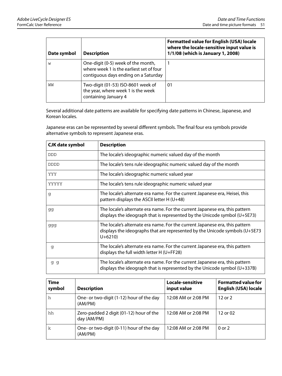| Date symbol | <b>Description</b>                                                                                                     | <b>Formatted value for English (USA) locale</b><br>where the locale-sensitive input value is<br>1/1/08 (which is January 1, 2008) |
|-------------|------------------------------------------------------------------------------------------------------------------------|-----------------------------------------------------------------------------------------------------------------------------------|
| W           | One-digit (0-5) week of the month,<br>where week 1 is the earliest set of four<br>contiguous days ending on a Saturday |                                                                                                                                   |
| МM          | Two-digit (01-53) ISO-8601 week of<br>the year, where week 1 is the week<br>containing January 4                       | 01                                                                                                                                |

Several additional date patterns are available for specifying date patterns in Chinese, Japanese, and Korean locales.

Japanese eras can be represented by several different symbols. The final four era symbols provide alternative symbols to represent Japanese eras.

| <b>CJK</b> date symbol | <b>Description</b>                                                                                                                                                       |
|------------------------|--------------------------------------------------------------------------------------------------------------------------------------------------------------------------|
| <b>DDD</b>             | The locale's ideographic numeric valued day of the month                                                                                                                 |
| <b>DDDD</b>            | The locale's tens rule ideographic numeric valued day of the month                                                                                                       |
| YYY                    | The locale's ideographic numeric valued year                                                                                                                             |
| YYYYY                  | The locale's tens rule ideographic numeric valued year                                                                                                                   |
| g                      | The locale's alternate era name. For the current Japanese era, Heisei, this<br>pattern displays the ASCII letter H (U+48)                                                |
| gg                     | The locale's alternate era name. For the current Japanese era, this pattern<br>displays the ideograph that is represented by the Unicode symbol $(U+5E73)$               |
| ggg                    | The locale's alternate era name. For the current Japanese era, this pattern<br>displays the ideographs that are represented by the Unicode symbols (U+5E73<br>$U + 6210$ |
| q                      | The locale's alternate era name. For the current Japanese era, this pattern<br>displays the full width letter H (U+FF28)                                                 |
| g g                    | The locale's alternate era name. For the current Japanese era, this pattern<br>displays the ideograph that is represented by the Unicode symbol $(U+337B)$               |

| <b>Time</b><br>symbol | <b>Description</b>                                     | Locale-sensitive<br>input value | <b>Formatted value for</b><br><b>English (USA) locale</b> |
|-----------------------|--------------------------------------------------------|---------------------------------|-----------------------------------------------------------|
| h                     | One- or two-digit (1-12) hour of the day<br>(AM/PM)    | 12:08 AM or 2:08 PM             | 12 or 2                                                   |
| hh                    | Zero-padded 2 digit (01-12) hour of the<br>day (AM/PM) | 12:08 AM or 2:08 PM             | 12 or 02                                                  |
| k                     | One- or two-digit (0-11) hour of the day<br>(AM/PM)    | 12:08 AM or 2:08 PM             | $0$ or $2$                                                |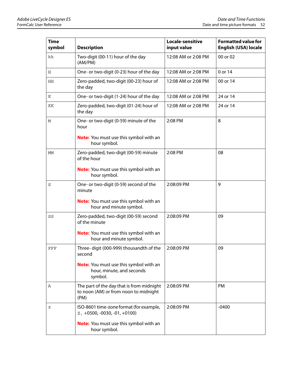| <b>Time</b><br>symbol | <b>Description</b>                                                                         | Locale-sensitive<br>input value | <b>Formatted value for</b><br>English (USA) locale |
|-----------------------|--------------------------------------------------------------------------------------------|---------------------------------|----------------------------------------------------|
| kk                    | Two-digit (00-11) hour of the day<br>(AM/PM)                                               | 12:08 AM or 2:08 PM             | 00 or 02                                           |
| Н                     | One- or two-digit (0-23) hour of the day                                                   | 12:08 AM or 2:08 PM             | 0 or 14                                            |
| ΗH                    | Zero-padded, two-digit (00-23) hour of<br>the day                                          | 12:08 AM or 2:08 PM             | 00 or 14                                           |
| Κ                     | One- or two-digit (1-24) hour of the day                                                   | 12:08 AM or 2:08 PM             | 24 or 14                                           |
| KK                    | Zero-padded, two-digit (01-24) hour of<br>the day                                          | 12:08 AM or 2:08 PM             | 24 or 14                                           |
| М                     | One- or two-digit (0-59) minute of the<br>hour<br>Note: You must use this symbol with an   | 2:08 PM                         | 8                                                  |
|                       | hour symbol.                                                                               |                                 |                                                    |
| MM                    | Zero-padded, two-digit (00-59) minute<br>of the hour                                       | 2:08 PM                         | 08                                                 |
|                       | Note: You must use this symbol with an<br>hour symbol.                                     |                                 |                                                    |
| S                     | One- or two-digit (0-59) second of the<br>minute                                           | 2:08:09 PM                      | 9                                                  |
|                       | Note: You must use this symbol with an<br>hour and minute symbol.                          |                                 |                                                    |
| $_{\rm SS}$           | Zero-padded, two-digit (00-59) second<br>of the minute                                     | 2:08:09 PM                      | 09                                                 |
|                       | Note: You must use this symbol with an<br>hour and minute symbol.                          |                                 |                                                    |
| ${\rm FFF}$           | Three-digit (000-999) thousandth of the<br>second                                          | 2:08:09 PM                      | 09                                                 |
|                       | <b>Note:</b> You must use this symbol with an<br>hour, minute, and seconds<br>symbol.      |                                 |                                                    |
| Α                     | The part of the day that is from midnight<br>to noon (AM) or from noon to midnight<br>(PM) | 2:08:09 PM                      | PM                                                 |
| Ζ                     | ISO-8601 time-zone format (for example,<br>$Z, +0500, -0030, -01, +0100$                   | 2:08:09 PM                      | $-0400$                                            |
|                       | Note: You must use this symbol with an<br>hour symbol.                                     |                                 |                                                    |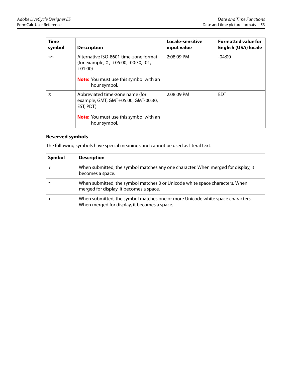| <b>Time</b><br>symbol | <b>Description</b>                                                                                                                                          | Locale-sensitive<br>input value | <b>Formatted value for</b><br><b>English (USA) locale</b> |
|-----------------------|-------------------------------------------------------------------------------------------------------------------------------------------------------------|---------------------------------|-----------------------------------------------------------|
| ZZ                    | Alternative ISO-8601 time-zone format<br>(for example, z, +05:00, -00:30, -01,<br>$+01:00$<br><b>Note:</b> You must use this symbol with an<br>hour symbol. | 2:08:09 PM                      | $-04:00$                                                  |
| $Z_{\rm i}$           | Abbreviated time-zone name (for<br>example, GMT, GMT+05:00, GMT-00:30,<br>EST, PDT)<br><b>Note:</b> You must use this symbol with an<br>hour symbol.        | 2:08:09 PM                      | <b>EDT</b>                                                |

### **Reserved symbols**

The following symbols have special meanings and cannot be used as literal text.

| Symbol  | <b>Description</b>                                                                                                             |
|---------|--------------------------------------------------------------------------------------------------------------------------------|
|         | When submitted, the symbol matches any one character. When merged for display, it<br>becomes a space.                          |
| $\star$ | When submitted, the symbol matches 0 or Unicode white space characters. When<br>merged for display, it becomes a space.        |
|         | When submitted, the symbol matches one or more Unicode white space characters.<br>When merged for display, it becomes a space. |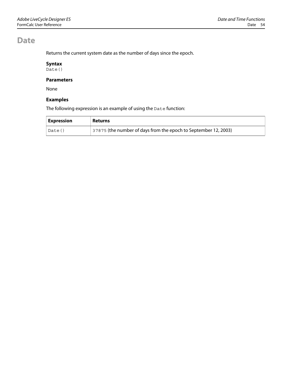### <span id="page-53-0"></span>**Date**

Returns the current system date as the number of days since the epoch.

#### **Syntax**

Date()

#### **Parameters**

None

#### **Examples**

The following expression is an example of using the Date function:

| Expression | <b>Returns</b>                                                  |
|------------|-----------------------------------------------------------------|
| Date (     | 37875 (the number of days from the epoch to September 12, 2003) |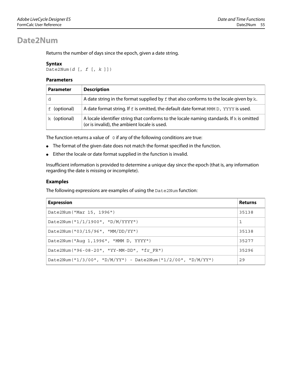### <span id="page-54-0"></span>**Date2Num**

Returns the number of days since the epoch, given a date string.

#### **Syntax**

Date2Num(*d* [, *f* [, *k* ]])

#### **Parameters**

| <b>Parameter</b> | <b>Description</b>                                                                                                                         |
|------------------|--------------------------------------------------------------------------------------------------------------------------------------------|
| d                | A date string in the format supplied by $f$ that also conforms to the locale given by $k$ .                                                |
| (optional)<br>f  | A date format string. If $f$ is omitted, the default date format MMM D, YYYY is used.                                                      |
| k (optional)     | A locale identifier string that conforms to the locale naming standards. If $k$ is omitted<br>(or is invalid), the ambient locale is used. |

The function returns a value of  $\circ$  if any of the following conditions are true:

- The format of the given date does not match the format specified in the function.
- Either the locale or date format supplied in the function is invalid.

Insufficient information is provided to determine a unique day since the epoch (that is, any information regarding the date is missing or incomplete).

#### **Examples**

The following expressions are examples of using the Date2Num function:

| <b>Expression</b><br><b>Returns</b>                         |       |
|-------------------------------------------------------------|-------|
| Date2Num("Mar 15, 1996")                                    | 35138 |
| Date2Num(" $1/1/1900$ ", "D/M/YYYY")                        | 1     |
| Date2Num("03/15/96", "MM/DD/YY")                            | 35138 |
| Date2Num("Aug $1,1996$ ", "MMM D, YYYY")                    | 35277 |
| Date2Num("96-08-20", "YY-MM-DD", "fr FR")                   | 35296 |
| Date2Num("1/3/00", "D/M/YY") - Date2Num("1/2/00", "D/M/YY") | 29    |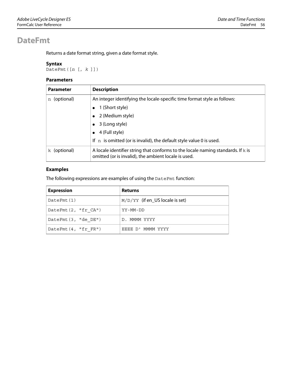# <span id="page-55-0"></span>**DateFmt**

Returns a date format string, given a date format style.

#### **Syntax**

DateFmt([*n* [, *k* ]])

#### **Parameters**

| <b>Parameter</b> | <b>Description</b>                                                                                                                         |
|------------------|--------------------------------------------------------------------------------------------------------------------------------------------|
| (optional)<br>n  | An integer identifying the locale-specific time format style as follows:                                                                   |
|                  | 1 (Short style)<br>$\bullet$                                                                                                               |
|                  | 2 (Medium style)<br>$\bullet$                                                                                                              |
|                  | 3 (Long style)<br>$\bullet$                                                                                                                |
|                  | 4 (Full style)<br>$\bullet$                                                                                                                |
|                  | If $n$ is omitted (or is invalid), the default style value 0 is used.                                                                      |
| k (optional)     | A locale identifier string that conforms to the locale naming standards. If $k$ is<br>omitted (or is invalid), the ambient locale is used. |

#### **Examples**

The following expressions are examples of using the DateFmt function:

| <b>Expression</b>      | <b>Returns</b>                  |
|------------------------|---------------------------------|
| DateFmt(1)             | M/D/YY (if en_US locale is set) |
| DateFmt $(2, "fr CA")$ | YY-MM-DD                        |
| DateFmt $(3, "de DE")$ | D. MMMM YYYY                    |
| DateFmt $(4, "fr Fr")$ | FFFF D' MMMM YYYY               |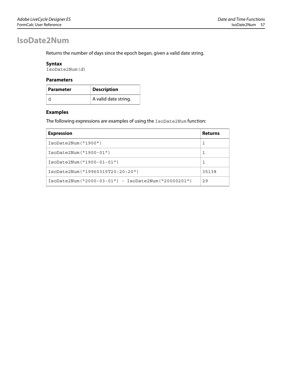### <span id="page-56-0"></span>**IsoDate2Num**

Returns the number of days since the epoch began, given a valid date string.

#### **Syntax**

IsoDate2Num(*d*)

#### **Parameters**

| Parameter | <b>Description</b>   |
|-----------|----------------------|
|           | A valid date string. |

#### **Examples**

The following expressions are examples of using the IsoDate2Num function:

| <b>Expression</b>                                   | <b>Returns</b> |
|-----------------------------------------------------|----------------|
| Isolate2Num('1900")                                 |                |
| $IsoDate2Num('1900-01")$                            | 1              |
| $Isolate2Num('1900-01-01")$                         | 1              |
| IsoDate2Num("19960315T20:20:20")                    | 35138          |
| IsoDate2Num("2000-03-01") - IsoDate2Num("20000201") | 29             |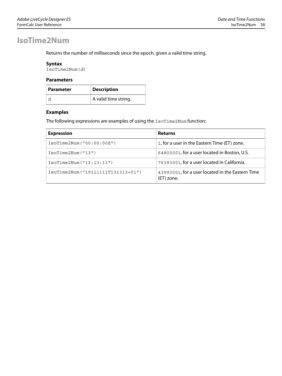# <span id="page-57-0"></span>**IsoTime2Num**

Returns the number of milliseconds since the epoch, given a valid time string.

#### **Syntax**

IsoTime2Num(*d*)

#### **Parameters**

| Parameter | <b>Description</b>   |
|-----------|----------------------|
|           | A valid time string. |

#### **Examples**

The following expressions are examples of using the IsoTime2Num function:

| <b>Expression</b>                  | <b>Returns</b>                                                 |
|------------------------------------|----------------------------------------------------------------|
| IsoTime2Num("00:00:00Z")           | 1, for a user in the Eastern Time (ET) zone.                   |
| Isorime2Num('13")                  | 64800001, for a user located in Boston, U.S.                   |
| IsoTime2Num("13:13:13")            | 76393001, for a user located in California.                    |
| IsoTime2Num("191111111T131313+01") | 43993001, for a user located in the Eastern Time<br>(ET) zone. |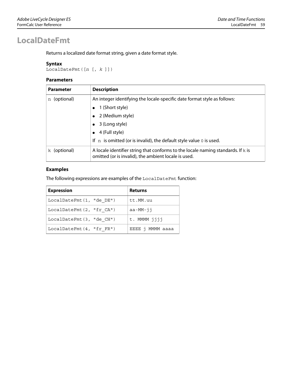## <span id="page-58-0"></span>**LocalDateFmt**

Returns a localized date format string, given a date format style.

#### **Syntax**

LocalDateFmt([*n* [, *k* ]])

#### **Parameters**

| <b>Parameter</b> | <b>Description</b>                                                                                                                         |
|------------------|--------------------------------------------------------------------------------------------------------------------------------------------|
| n (optional)     | An integer identifying the locale-specific date format style as follows:                                                                   |
|                  | 1 (Short style)<br>$\bullet$                                                                                                               |
|                  | 2 (Medium style)<br>$\bullet$                                                                                                              |
|                  | 3 (Long style)<br>$\bullet$                                                                                                                |
|                  | 4 (Full style)<br>$\bullet$                                                                                                                |
|                  | If $n$ is omitted (or is invalid), the default style value 0 is used.                                                                      |
| k (optional)     | A locale identifier string that conforms to the locale naming standards. If $k$ is<br>omitted (or is invalid), the ambient locale is used. |

#### **Examples**

The following expressions are examples of the LocalDateFmt function:

| <b>Expression</b>           | <b>Returns</b>   |
|-----------------------------|------------------|
| LocalDateFmt(1, "de DE")    | tt.MM.uu         |
| LocalDateFmt(2, "fr CA")    | aa-MM-ii         |
| LocalDateFmt(3, "de CH")    | t. MMMM jjjj     |
| LocalDateFmt $(4, "fr FR")$ | EEEE i MMMM aaaa |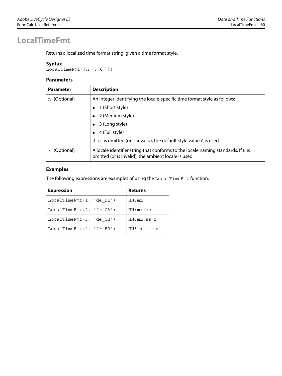# <span id="page-59-0"></span>**LocalTimeFmt**

Returns a localized time format string, given a time format style.

#### **Syntax**

LocalTimeFmt([*n* [, *k* ]])

#### **Parameters**

| <b>Parameter</b> | <b>Description</b>                                                                                                                         |
|------------------|--------------------------------------------------------------------------------------------------------------------------------------------|
| n (Optional)     | An integer identifying the locale-specific time format style as follows:                                                                   |
|                  | 1 (Short style)<br>$\bullet$                                                                                                               |
|                  | 2 (Medium style)<br>$\bullet$                                                                                                              |
|                  | 3 (Long style)<br>$\bullet$                                                                                                                |
|                  | 4 (Full style)<br>$\bullet$                                                                                                                |
|                  | If $n$ is omitted (or is invalid), the default style value 0 is used.                                                                      |
| k (Optional)     | A locale identifier string that conforms to the locale naming standards. If $k$ is<br>omitted (or is invalid), the ambient locale is used. |

#### **Examples**

The following expressions are examples of using the LocalTimeFmt function:

| <b>Expression</b>        | <b>Returns</b> |
|--------------------------|----------------|
| LocalTimeFmt(1, "de DE") | HH:mm          |
| LocalTimeFmt(2, "fr CA") | HH:mm:ss       |
| LocalTimeFmt(3, "de CH") | HH:mm:ss z     |
| LocalTimeFmt(4, "fr FR") | HH'h 'mm z     |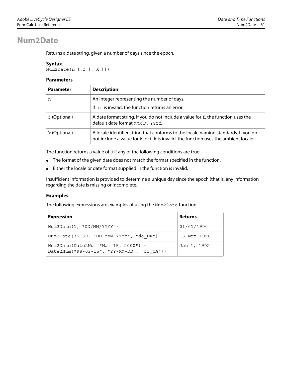### <span id="page-60-0"></span>**Num2Date**

Returns a date string, given a number of days since the epoch.

#### **Syntax**

Num2Date(*n* [,*f* [, *k* ]])

#### **Parameters**

| <b>Parameter</b> | <b>Description</b>                                                                                                                                                              |
|------------------|---------------------------------------------------------------------------------------------------------------------------------------------------------------------------------|
| n                | An integer representing the number of days.                                                                                                                                     |
|                  | If $n$ is invalid, the function returns an error.                                                                                                                               |
| f (Optional)     | A date format string. If you do not include a value for f, the function uses the<br>default date format MMM D, YYYY.                                                            |
| k (Optional)     | A locale identifier string that conforms to the locale naming standards. If you do<br>not include a value for $k$ , or if $k$ is invalid, the function uses the ambient locale. |

The function returns a value of  $0$  if any of the following conditions are true:

- The format of the given date does not match the format specified in the function.
- Either the locale or date format supplied in the function is invalid.

Insufficient information is provided to determine a unique day since the epoch (that is, any information regarding the date is missing or incomplete.

#### **Examples**

The following expressions are examples of using the Num2Date function:

| <b>Expression</b>                                                                 | <b>Returns</b> |
|-----------------------------------------------------------------------------------|----------------|
| Num2Date $(1, "DD/MM/YYYY")$                                                      | 01/01/1900     |
| Num2Date(35139, "DD-MMM-YYYY", "de DE")                                           | 16-Mrz-1996    |
| Num2Date(Date2Num("Mar 15, 2000") -<br>Date2Num("98-03-15", "YY-MM-DD", "fr CA")) | Jan 1, 1902    |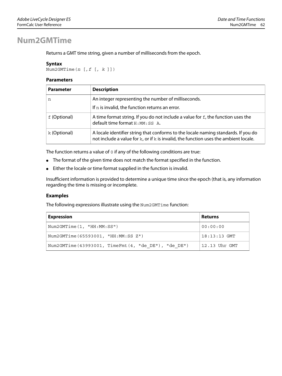### <span id="page-61-0"></span>**Num2GMTime**

Returns a GMT time string, given a number of milliseconds from the epoch.

#### **Syntax**

Num2GMTime(*n* [,*f* [, *k* ]])

#### **Parameters**

| <b>Parameter</b> | <b>Description</b>                                                                                                                                                              |
|------------------|---------------------------------------------------------------------------------------------------------------------------------------------------------------------------------|
| n                | An integer representing the number of milliseconds.                                                                                                                             |
|                  | If n is invalid, the function returns an error.                                                                                                                                 |
| f (Optional)     | A time format string. If you do not include a value for f, the function uses the<br>default time format $H:MM:SS$ A.                                                            |
| k (Optional)     | A locale identifier string that conforms to the locale naming standards. If you do<br>not include a value for $k$ , or if $k$ is invalid, the function uses the ambient locale. |

The function returns a value of  $0$  if any of the following conditions are true:

- The format of the given time does not match the format specified in the function.
- Either the locale or time format supplied in the function is invalid.

Insufficient information is provided to determine a unique time since the epoch (that is, any information regarding the time is missing or incomplete.

#### **Examples**

The following expressions illustrate using the Num2GMTime function:

| <b>Expression</b>                                  | Returns        |
|----------------------------------------------------|----------------|
| Num2GMTime(1, "HH:MM:SS")                          | 00:00:00       |
| Num2GMTime $(65593001, "HH:MM:SS Z")$              | $18:13:13$ GMT |
| Num2GMTime(43993001, TimeFmt(4, "de DE"), "de DE") | 12.13 Uhr GMT  |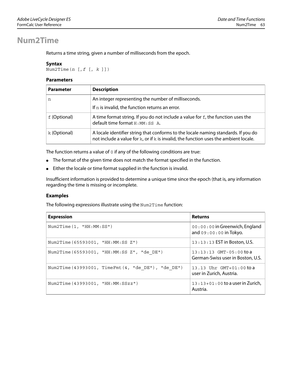# <span id="page-62-0"></span>**Num2Time**

Returns a time string, given a number of milliseconds from the epoch.

#### **Syntax**

Num2Time(*n* [,*f* [, *k* ]])

#### **Parameters**

| <b>Parameter</b> | <b>Description</b>                                                                                                                                                              |
|------------------|---------------------------------------------------------------------------------------------------------------------------------------------------------------------------------|
| n                | An integer representing the number of milliseconds.                                                                                                                             |
|                  | If n is invalid, the function returns an error.                                                                                                                                 |
| f (Optional)     | A time format string. If you do not include a value for f, the function uses the<br>default time format $H:MM:SSA$ .                                                            |
| k (Optional)     | A locale identifier string that conforms to the locale naming standards. If you do<br>not include a value for $k$ , or if $k$ is invalid, the function uses the ambient locale. |

The function returns a value of  $0$  if any of the following conditions are true:

- The format of the given time does not match the format specified in the function.
- Either the locale or time format supplied in the function is invalid.

Insufficient information is provided to determine a unique time since the epoch (that is, any information regarding the time is missing or incomplete.

#### **Examples**

The following expressions illustrate using the Num2Time function:

| <b>Expression</b>                                | <b>Returns</b>                                                 |
|--------------------------------------------------|----------------------------------------------------------------|
| Num2Time(1, "HH:MM:SS")                          | 00:00:00 in Greenwich, England<br>and 09:00:00 in Tokyo.       |
| Num2Time (65593001, "HH:MM:SS Z")                | $13:13:13$ EST in Boston, U.S.                                 |
| Num2Time(65593001, "HH:MM:SS Z", "de DE")        | $13:13:13$ GMT-05:00 to a<br>German-Swiss user in Boston, U.S. |
| Num2Time(43993001, TimeFmt(4, "de DE"), "de DE") | 13.13 Uhr GMT+01:00 to a<br>user in Zurich, Austria.           |
| Num2Time $(43993001, "HH:MM:SSzz")$              | $13:13+01:00$ to a user in Zurich,<br>Austria.                 |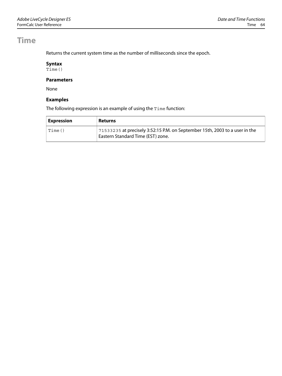### <span id="page-63-0"></span>**Time**

Returns the current system time as the number of milliseconds since the epoch.

#### **Syntax**

Time()

#### **Parameters**

None

#### **Examples**

The following expression is an example of using the Time function:

| Expression | <b>Returns</b>                                                                                                                 |
|------------|--------------------------------------------------------------------------------------------------------------------------------|
| Time()     | $\frac{1}{2}$ 71533235 at precisely 3:52:15 P.M. on September 15th, 2003 to a user in the<br>Eastern Standard Time (EST) zone. |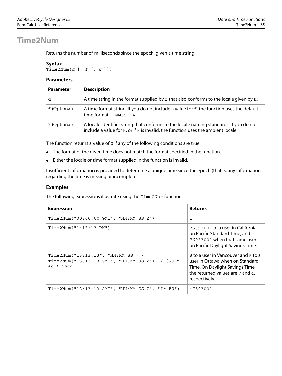### <span id="page-64-0"></span>**Time2Num**

Returns the number of milliseconds since the epoch, given a time string.

#### **Syntax**

Time2Num(*d* [, *f* [, *k* ]])

#### **Parameters**

| <b>Parameter</b> | <b>Description</b>                                                                                                                                                              |
|------------------|---------------------------------------------------------------------------------------------------------------------------------------------------------------------------------|
|                  | A time string in the format supplied by $f$ that also conforms to the locale given by $k$ .                                                                                     |
| f (Optional)     | A time format string. If you do not include a value for f, the function uses the default<br>time format H: MM: SS A.                                                            |
| k (Optional)     | A locale identifier string that conforms to the locale naming standards. If you do not<br>include a value for $k$ , or if $k$ is invalid, the function uses the ambient locale. |

The function returns a value of  $0$  if any of the following conditions are true:

- The format of the given time does not match the format specified in the function.
- Either the locale or time format supplied in the function is invalid.

Insufficient information is provided to determine a unique time since the epoch (that is, any information regarding the time is missing or incomplete.

#### **Examples**

The following expressions illustrate using the Time2Num function:

| <b>Expression</b>                                                                                            | <b>Returns</b>                                                                                                                                                 |
|--------------------------------------------------------------------------------------------------------------|----------------------------------------------------------------------------------------------------------------------------------------------------------------|
| $Time2Num("00:00:00 GMT", "HH:MM:SS Z")$                                                                     | 1                                                                                                                                                              |
| Time2Num("1:13:13 PM")                                                                                       | 76393001 to a user in California<br>on Pacific Standard Time, and<br>76033001 when that same user is<br>on Pacific Daylight Savings Time.                      |
| $Time2Num("13:13:13", "HH:MM:SS") -$<br>Time2Num("13:13:13 GMT", "HH:MM:SS Z")) / (60 $\star$<br>$60 * 1000$ | 8 to a user in Vancouver and 5 to a<br>user in Ottawa when on Standard<br>Time. On Daylight Savings Time,<br>the returned values are 7 and 4,<br>respectively. |
| Time2Num("13:13:13 GMT", "HH:MM:SS Z", "fr FR")                                                              | 47593001                                                                                                                                                       |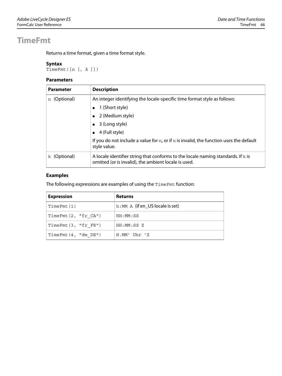# <span id="page-65-0"></span>**TimeFmt**

Returns a time format, given a time format style.

#### **Syntax**

TimeFmt([*n* [, *k* ]])

#### **Parameters**

| <b>Parameter</b> | <b>Description</b>                                                                                                                         |  |
|------------------|--------------------------------------------------------------------------------------------------------------------------------------------|--|
| n (Optional)     | An integer identifying the locale-specific time format style as follows:                                                                   |  |
|                  | 1 (Short style)                                                                                                                            |  |
|                  | 2 (Medium style)                                                                                                                           |  |
|                  | 3 (Long style)                                                                                                                             |  |
|                  | 4 (Full style)                                                                                                                             |  |
|                  | If you do not include a value for $n$ , or if $n$ is invalid, the function uses the default<br>style value.                                |  |
| k (Optional)     | A locale identifier string that conforms to the locale naming standards. If $k$ is<br>omitted (or is invalid), the ambient locale is used. |  |

#### **Examples**

The following expressions are examples of using the TimeFmt function:

| <b>Expression</b>      | <b>Returns</b>                      |
|------------------------|-------------------------------------|
| TimeFmt(1)             | $h : MM A$ (if en US locale is set) |
| TimeFmt(2, "fr CA")    | HH:MM:SS                            |
| TimeFmt(3, "fr FR")    | HH:MM:SS Z                          |
| TimeFmt $(4, "de DE")$ | H.MM' Uhr 'Z                        |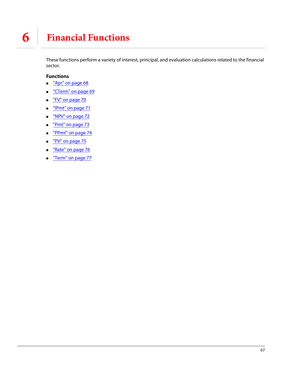These functions perform a variety of interest, principal, and evaluation calculations related to the financial sector.

#### **Functions**

- ["Apr" on page 68](#page-67-0)
- ["CTerm" on page 69](#page-68-0)
- <u>["FV" on page 70](#page-69-1)</u>
- <u>["IPmt" on page 71](#page-70-0)</u>
- ["NPV" on page 72](#page-71-0)
- <u>["Pmt" on page 73](#page-72-0)</u>
- <u>["PPmt" on page 74](#page-73-0)</u>
- ["PV" on page 75](#page-74-0)
- ["Rate" on page 76](#page-75-0)
- <u>["Term" on page 77](#page-76-0)</u>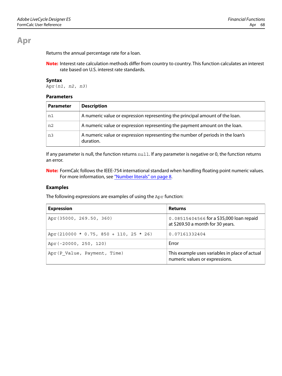### <span id="page-67-0"></span>**Apr**

Returns the annual percentage rate for a loan.

**Note:** Interest rate calculation methods differ from country to country. This function calculates an interest rate based on U.S. interest rate standards.

#### **Syntax**

Apr(*n1*, *n2*, *n3*)

#### **Parameters**

| <b>Parameter</b> | <b>Description</b>                                                                          |
|------------------|---------------------------------------------------------------------------------------------|
| n1               | A numeric value or expression representing the principal amount of the loan.                |
| n2               | A numeric value or expression representing the payment amount on the loan.                  |
| n3               | A numeric value or expression representing the number of periods in the loan's<br>duration. |

If any parameter is null, the function returns null. If any parameter is negative or 0, the function returns an error.

**Note:** FormCalc follows the IEEE-754 international standard when handling floating point numeric values. For more information, see ["Number literals" on page 8](#page-7-0).

#### **Examples**

The following expressions are examples of using the Apr function:

| <b>Expression</b>                      | <b>Returns</b>                                                                   |
|----------------------------------------|----------------------------------------------------------------------------------|
| Apr(35000, 269.50, 360)                | 0.08515404566 for a \$35,000 loan repaid<br>at \$269.50 a month for 30 years.    |
| Apr(210000 * 0.75, 850 + 110, 25 * 26) | 0.07161332404                                                                    |
| $Apr(-20000, 250, 120)$                | Error                                                                            |
| Apr (P Value, Payment, Time)           | This example uses variables in place of actual<br>numeric values or expressions. |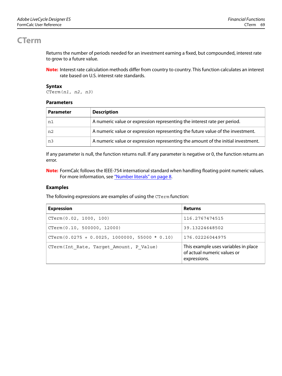### <span id="page-68-0"></span>**CTerm**

Returns the number of periods needed for an investment earning a fixed, but compounded, interest rate to grow to a future value.

**Note:** Interest rate calculation methods differ from country to country. This function calculates an interest rate based on U.S. interest rate standards.

#### **Syntax**

CTerm(*n1*, *n2*, *n3*)

#### **Parameters**

| <b>Parameter</b> | <b>Description</b>                                                               |
|------------------|----------------------------------------------------------------------------------|
| n1               | A numeric value or expression representing the interest rate per period.         |
| n2               | A numeric value or expression representing the future value of the investment.   |
| n <sub>3</sub>   | A numeric value or expression representing the amount of the initial investment. |

If any parameter is null, the function returns null. If any parameter is negative or 0, the function returns an error.

**Note:** FormCalc follows the IEEE-754 international standard when handling floating point numeric values. For more information, see ["Number literals" on page 8](#page-7-0).

#### **Examples**

The following expressions are examples of using the CTerm function:

| <b>Expression</b>                               | <b>Returns</b>                                                                      |
|-------------------------------------------------|-------------------------------------------------------------------------------------|
| CTerm(0.02, 1000, 100)                          | 116.2767474515                                                                      |
| CTerm(0.10, 500000, 12000)                      | 39.13224648502                                                                      |
| $CTerm(0.0275 + 0.0025, 1000000, 55000 * 0.10)$ | 176.02226044975                                                                     |
| CTerm(Int Rate, Target Amount, P Value)         | This example uses variables in place<br>of actual numeric values or<br>expressions. |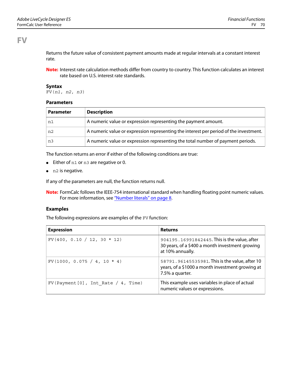### <span id="page-69-1"></span><span id="page-69-0"></span>**FV**

Returns the future value of consistent payment amounts made at regular intervals at a constant interest rate.

**Note:** Interest rate calculation methods differ from country to country. This function calculates an interest rate based on U.S. interest rate standards.

#### **Syntax**

FV(*n1*, *n2*, *n3*)

#### **Parameters**

| <b>Parameter</b> | <b>Description</b>                                                                    |
|------------------|---------------------------------------------------------------------------------------|
| n1               | A numeric value or expression representing the payment amount.                        |
| n2               | A numeric value or expression representing the interest per period of the investment. |
| n3               | A numeric value or expression representing the total number of payment periods.       |

The function returns an error if either of the following conditions are true:

- Either of n1 or n3 are negative or 0.
- n2 is negative.

If any of the parameters are null, the function returns null.

**Note:** FormCalc follows the IEEE-754 international standard when handling floating point numeric values. For more information, see ["Number literals" on page 8](#page-7-0).

#### **Examples**

The following expressions are examples of the FV function:

| <b>Expression</b>                  | <b>Returns</b>                                                                                                        |
|------------------------------------|-----------------------------------------------------------------------------------------------------------------------|
| $FV(400, 0.10 / 12, 30 * 12)$      | 904195.16991842445. This is the value, after<br>30 years, of a \$400 a month investment growing<br>at 10% annually.   |
| $FV(1000, 0.075 / 4, 10 * 4)$      | 58791.96145535981. This is the value, after 10<br>years, of a \$1000 a month investment growing at<br>7.5% a quarter. |
| FV(Payment[0], Int Rate / 4, Time) | This example uses variables in place of actual<br>numeric values or expressions.                                      |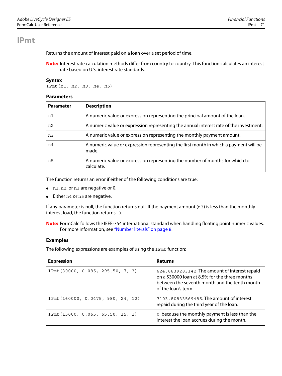### <span id="page-70-0"></span>**IPmt**

Returns the amount of interest paid on a loan over a set period of time.

**Note:** Interest rate calculation methods differ from country to country. This function calculates an interest rate based on U.S. interest rate standards.

#### **Syntax**

IPmt(*n1*, *n2*, *n3*, *n4*, *n5*)

#### **Parameters**

| <b>Parameter</b> | <b>Description</b>                                                                             |
|------------------|------------------------------------------------------------------------------------------------|
| n1               | A numeric value or expression representing the principal amount of the loan.                   |
| n2               | A numeric value or expression representing the annual interest rate of the investment.         |
| n3               | A numeric value or expression representing the monthly payment amount.                         |
| n4               | A numeric value or expression representing the first month in which a payment will be<br>made. |
| n5               | A numeric value or expression representing the number of months for which to<br>calculate.     |

The function returns an error if either of the following conditions are true:

- n1, n2, or n3 are negative or 0.
- Either n4 or n5 are negative.

If any parameter is null, the function returns null. If the payment amount  $(n3)$  is less than the monthly interest load, the function returns 0.

**Note:** FormCalc follows the IEEE-754 international standard when handling floating point numeric values. For more information, see ["Number literals" on page 8](#page-7-0).

#### **Examples**

The following expressions are examples of using the IPmt function:

| <b>Expression</b>                  | <b>Returns</b>                                                                                                                                                          |
|------------------------------------|-------------------------------------------------------------------------------------------------------------------------------------------------------------------------|
| IPmt (30000, 0.085, 295.50, 7, 3)  | 624.8839283142. The amount of interest repaid<br>on a \$30000 loan at 8.5% for the three months<br>between the seventh month and the tenth month<br>of the loan's term. |
| IPmt (160000, 0.0475, 980, 24, 12) | 7103.80833569485. The amount of interest<br>repaid during the third year of the loan.                                                                                   |
| IPmt (15000, 0.065, 65.50, 15, 1)  | 0, because the monthly payment is less than the<br>interest the loan accrues during the month.                                                                          |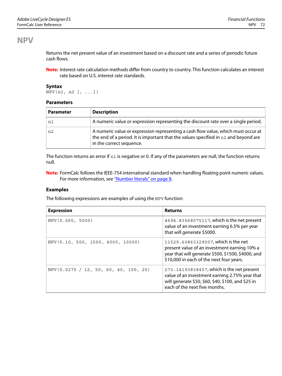### <span id="page-71-0"></span>**NPV**

Returns the net present value of an investment based on a discount rate and a series of periodic future cash flows.

**Note:** Interest rate calculation methods differ from country to country. This function calculates an interest rate based on U.S. interest rate standards.

#### **Syntax**

NPV(*n1*, *n2* [, ...])

#### **Parameters**

| <b>Parameter</b> | <b>Description</b>                                                                                                                                                                                      |
|------------------|---------------------------------------------------------------------------------------------------------------------------------------------------------------------------------------------------------|
| n1               | A numeric value or expression representing the discount rate over a single period.                                                                                                                      |
| n2               | A numeric value or expression representing a cash flow value, which must occur at<br>the end of a period. It is important that the values specified in $n^2$ and beyond are<br>in the correct sequence. |

The function returns an error if  $n1$  is negative or 0. If any of the parameters are null, the function returns null.

**Note:** FormCalc follows the IEEE-754 international standard when handling floating point numeric values. For more information, see ["Number literals" on page 8](#page-7-0).

#### **Examples**

The following expressions are examples of using the NPV function:

| <b>Expression</b>                        | <b>Returns</b>                                                                                                                                                                        |
|------------------------------------------|---------------------------------------------------------------------------------------------------------------------------------------------------------------------------------------|
| NPV (0.065, 5000)                        | 4694.83568075117, which is the net present<br>value of an investment earning 6.5% per year<br>that will generate \$5000.                                                              |
| NPV (0.10, 500, 1500, 4000, 10000)       | 11529.60863329007, which is the net<br>present value of an investment earning 10% a<br>year that will generate \$500, \$1500, \$4000, and<br>\$10,000 in each of the next four years. |
| NPV $(0.0275 / 12, 50, 60, 40, 100, 25)$ | 273.14193838457, which is the net present<br>value of an investment earning 2.75% year that<br>will generate \$50, \$60, \$40, \$100, and \$25 in<br>each of the next five months.    |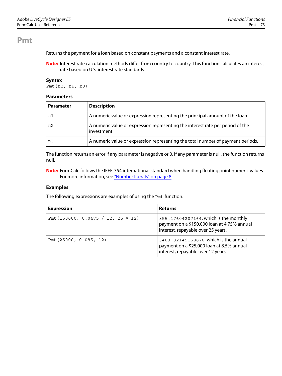### **Pmt**

Returns the payment for a loan based on constant payments and a constant interest rate.

**Note:** Interest rate calculation methods differ from country to country. This function calculates an interest rate based on U.S. interest rate standards.

#### **Syntax**

Pmt(*n1*, *n2*, *n3*)

#### **Parameters**

| <b>Parameter</b> | <b>Description</b>                                                                            |
|------------------|-----------------------------------------------------------------------------------------------|
| n1               | A numeric value or expression representing the principal amount of the loan.                  |
| n2               | A numeric value or expression representing the interest rate per period of the<br>investment. |
| n <sub>3</sub>   | A numeric value or expression representing the total number of payment periods.               |

The function returns an error if any parameter is negative or 0. If any parameter is null, the function returns null.

**Note:** FormCalc follows the IEEE-754 international standard when handling floating point numeric values. For more information, see ["Number literals" on page 8](#page-7-0).

#### **Examples**

The following expressions are examples of using the Pmt function:

| <b>Expression</b>                    | <b>Returns</b>                                                                                                             |
|--------------------------------------|----------------------------------------------------------------------------------------------------------------------------|
| Pmt (150000, 0.0475 / 12, 25 $*$ 12) | 855.17604207164, which is the monthly<br>payment on a \$150,000 loan at 4.75% annual<br>interest, repayable over 25 years. |
| Pmt $(25000, 0.085, 12)$             | 3403.82145169876, which is the annual<br>payment on a \$25,000 loan at 8.5% annual<br>interest, repayable over 12 years.   |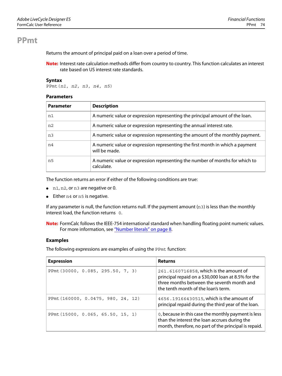### **PPmt**

Returns the amount of principal paid on a loan over a period of time.

**Note:** Interest rate calculation methods differ from country to country. This function calculates an interest rate based on US interest rate standards.

#### **Syntax**

PPmt(*n1*, *n2*, *n3*, *n4*, *n5*)

#### **Parameters**

| <b>Parameter</b> | <b>Description</b>                                                                             |
|------------------|------------------------------------------------------------------------------------------------|
| n1               | A numeric value or expression representing the principal amount of the loan.                   |
| n2               | A numeric value or expression representing the annual interest rate.                           |
| n3               | A numeric value or expression representing the amount of the monthly payment.                  |
| n4               | A numeric value or expression representing the first month in which a payment<br>will be made. |
| n5               | A numeric value or expression representing the number of months for which to<br>calculate.     |

The function returns an error if either of the following conditions are true:

- n1, n2, or n3 are negative or 0.
- $\bullet$  Either n4 or n5 is negative.

If any parameter is null, the function returns null. If the payment amount  $(n3)$  is less than the monthly interest load, the function returns 0.

**Note:** FormCalc follows the IEEE-754 international standard when handling floating point numeric values. For more information, see ["Number literals" on page 8](#page-7-0).

#### **Examples**

The following expressions are examples of using the PPmt function:

| <b>Expression</b>                  | <b>Returns</b>                                                                                                                                                                     |
|------------------------------------|------------------------------------------------------------------------------------------------------------------------------------------------------------------------------------|
| PPmt (30000, 0.085, 295.50, 7, 3)  | 261.6160716858, which is the amount of<br>principal repaid on a \$30,000 loan at 8.5% for the<br>three months between the seventh month and<br>the tenth month of the loan's term. |
| PPmt (160000, 0.0475, 980, 24, 12) | 4656.19166430515, which is the amount of<br>principal repaid during the third year of the loan.                                                                                    |
| PPmt (15000, 0.065, 65.50, 15, 1)  | 0, because in this case the monthly payment is less<br>than the interest the loan accrues during the<br>month, therefore, no part of the principal is repaid.                      |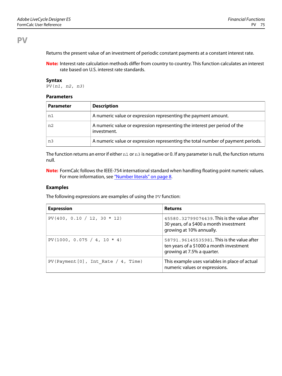### **PV**

Returns the present value of an investment of periodic constant payments at a constant interest rate.

**Note:** Interest rate calculation methods differ from country to country. This function calculates an interest rate based on U.S. interest rate standards.

#### **Syntax**

PV(*n1*, *n2*, *n3*)

#### **Parameters**

| <b>Parameter</b> | <b>Description</b>                                                                       |
|------------------|------------------------------------------------------------------------------------------|
| n1               | A numeric value or expression representing the payment amount.                           |
| n2               | A numeric value or expression representing the interest per period of the<br>investment. |
| n3               | A numeric value or expression representing the total number of payment periods.          |

The function returns an error if either  $n1$  or  $n3$  is negative or 0. If any parameter is null, the function returns null.

**Note:** FormCalc follows the IEEE-754 international standard when handling floating point numeric values. For more information, see ["Number literals" on page 8](#page-7-0).

#### **Examples**

The following expressions are examples of using the PV function:

| <b>Expression</b>                       | <b>Returns</b>                                                                                                       |
|-----------------------------------------|----------------------------------------------------------------------------------------------------------------------|
| $PV(400, 0.10 / 12, 30 * 12)$           | 45580.32799074439. This is the value after<br>30 years, of a \$400 a month investment<br>growing at 10% annually.    |
| $PV(1000, 0.075 / 4, 10 * 4)$           | 58791.96145535981. This is the value after<br>ten years of a \$1000 a month investment<br>growing at 7.5% a quarter. |
| PV (Payment $[0]$ , Int Rate / 4, Time) | This example uses variables in place of actual<br>numeric values or expressions.                                     |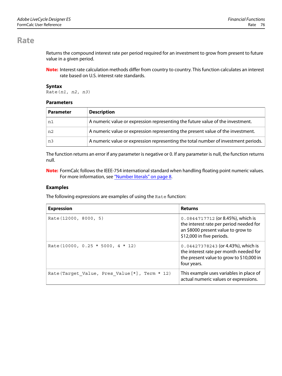### **Rate**

Returns the compound interest rate per period required for an investment to grow from present to future value in a given period.

**Note:** Interest rate calculation methods differ from country to country. This function calculates an interest rate based on U.S. interest rate standards.

#### **Syntax**

Rate(*n1*, *n2*, *n3*)

#### **Parameters**

| <b>Parameter</b> | <b>Description</b>                                                                 |
|------------------|------------------------------------------------------------------------------------|
| n1               | A numeric value or expression representing the future value of the investment.     |
| n2               | A numeric value or expression representing the present value of the investment.    |
| n3               | A numeric value or expression representing the total number of investment periods. |

The function returns an error if any parameter is negative or 0. If any parameter is null, the function returns null.

**Note:** FormCalc follows the IEEE-754 international standard when handling floating point numeric values. For more information, see ["Number literals" on page 8](#page-7-0).

#### **Examples**

The following expressions are examples of using the Rate function:

| <b>Expression</b>                            | <b>Returns</b>                                                                                                                                  |
|----------------------------------------------|-------------------------------------------------------------------------------------------------------------------------------------------------|
| Rate (12000, 8000, 5)                        | 0.0844717712 (or 8.45%), which is<br>the interest rate per period needed for<br>an \$8000 present value to grow to<br>\$12,000 in five periods. |
| Rate(10000, 0.25 $*$ 5000, 4 $*$ 12)         | 0.04427378243 (or 4.43%), which is<br>the interest rate per month needed for<br>the present value to grow to \$10,000 in<br>four years.         |
| Rate(Target Value, Pres Value[*], Term * 12) | This example uses variables in place of<br>actual numeric values or expressions.                                                                |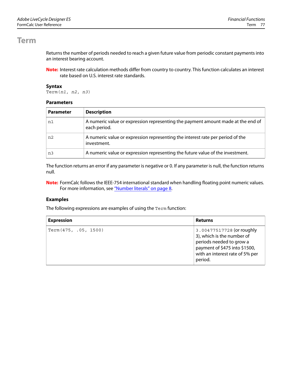### **Term**

Returns the number of periods needed to reach a given future value from periodic constant payments into an interest bearing account.

**Note:** Interest rate calculation methods differ from country to country. This function calculates an interest rate based on U.S. interest rate standards.

#### **Syntax**

Term(*n1*, *n2*, *n3*)

#### **Parameters**

| <b>Parameter</b> | <b>Description</b>                                                                               |
|------------------|--------------------------------------------------------------------------------------------------|
| n1               | A numeric value or expression representing the payment amount made at the end of<br>each period. |
| n2               | A numeric value or expression representing the interest rate per period of the<br>investment.    |
| n3               | A numeric value or expression representing the future value of the investment.                   |

The function returns an error if any parameter is negative or 0. If any parameter is null, the function returns null.

**Note:** FormCalc follows the IEEE-754 international standard when handling floating point numeric values. For more information, see ["Number literals" on page 8](#page-7-0).

#### **Examples**

The following expressions are examples of using the Term function:

| <b>Expression</b>    | <b>Returns</b>                                                                                                                                                     |
|----------------------|--------------------------------------------------------------------------------------------------------------------------------------------------------------------|
| Term(475, .05, 1500) | 3.00477517728 (or roughly<br>3), which is the number of<br>periods needed to grow a<br>payment of \$475 into \$1500,<br>with an interest rate of 5% per<br>period. |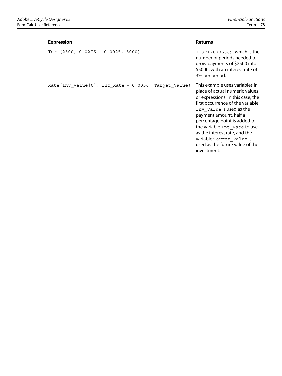| <b>Expression</b>                                     | <b>Returns</b>                                                                                                                                                                                                                                                                                                                                                                 |
|-------------------------------------------------------|--------------------------------------------------------------------------------------------------------------------------------------------------------------------------------------------------------------------------------------------------------------------------------------------------------------------------------------------------------------------------------|
| $Term(2500, 0.0275 + 0.0025, 5000)$                   | 1.97128786369, which is the<br>number of periods needed to<br>grow payments of \$2500 into<br>\$5000, with an interest rate of<br>3% per period.                                                                                                                                                                                                                               |
| Rate (Inv Value [0], Int Rate + 0.0050, Target Value) | This example uses variables in<br>place of actual numeric values<br>or expressions. In this case, the<br>first occurrence of the variable<br>Inv Value is used as the<br>payment amount, half a<br>percentage point is added to<br>the variable Int Rate to use<br>as the interest rate, and the<br>variable Target Value is<br>used as the future value of the<br>investment. |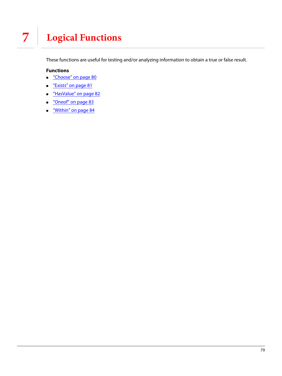# **7 Logical Functions**

These functions are useful for testing and/or analyzing information to obtain a true or false result.

#### **Functions**

- ["Choose" on page 80](#page-79-0)
- <u>["Exists" on page 81](#page-80-0)</u>
- ["HasValue" on page 82](#page-81-0)
- ["Oneof" on page 83](#page-82-0)
- ["Within" on page 84](#page-83-0)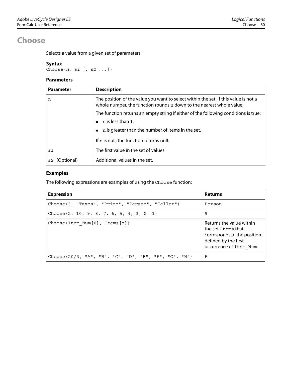# <span id="page-79-0"></span>**Choose**

Selects a value from a given set of parameters.

#### **Syntax**

Choose(*n*, *s1* [, *s2* ...])

#### **Parameters**

| <b>Parameter</b> | <b>Description</b>                                                                                                                                            |
|------------------|---------------------------------------------------------------------------------------------------------------------------------------------------------------|
| n                | The position of the value you want to select within the set. If this value is not a<br>whole number, the function rounds $n$ down to the nearest whole value. |
|                  | The function returns an empty string if either of the following conditions is true:                                                                           |
|                  | $\bullet$ n is less than 1.                                                                                                                                   |
|                  | $\bullet$ n is greater than the number of items in the set.                                                                                                   |
|                  | If $n$ is null, the function returns null.                                                                                                                    |
| s1               | The first value in the set of values.                                                                                                                         |
| (Optional)<br>s2 | Additional values in the set.                                                                                                                                 |

#### **Examples**

The following expressions are examples of using the Choose function:

| <b>Expression</b>                                       | <b>Returns</b>                                                                                                                   |
|---------------------------------------------------------|----------------------------------------------------------------------------------------------------------------------------------|
| Choose (3, "Taxes", "Price", "Person", "Teller")        | Person                                                                                                                           |
| Choose $(2, 10, 9, 8, 7, 6, 5, 4, 3, 2, 1)$             | 9                                                                                                                                |
| Choose (Item Num $[0]$ , Items $[*]$ )                  | Returns the value within<br>the set Thems that<br>corresponds to the position<br>defined by the first<br>occurrence of Item Num. |
| Choose $(20/3, "A", "B", "C", "D", "E", "F", "G", "H")$ | F                                                                                                                                |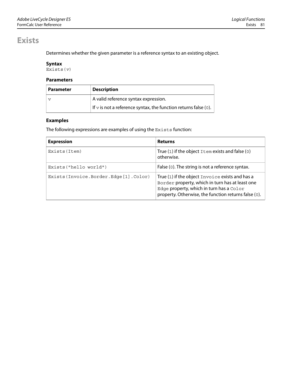### <span id="page-80-0"></span>**Exists**

Determines whether the given parameter is a reference syntax to an existing object.

#### **Syntax**

Exists(*v*)

#### **Parameters**

| <b>Parameter</b> | <b>Description</b>                                                |  |
|------------------|-------------------------------------------------------------------|--|
|                  | A valid reference syntax expression.                              |  |
|                  | If $v$ is not a reference syntax, the function returns false (0). |  |

#### **Examples**

The following expressions are examples of using the Exists function:

| <b>Expression</b>                     | <b>Returns</b>                                                                                                                                                                                           |
|---------------------------------------|----------------------------------------------------------------------------------------------------------------------------------------------------------------------------------------------------------|
| Exists (Item)                         | True $(1)$ if the object $I$ tem exists and false $(0)$<br>otherwise.                                                                                                                                    |
| Exists ("hello world")                | False (0). The string is not a reference syntax.                                                                                                                                                         |
| Exists (Invoice.Border.Edge[1].Color) | True $(1)$ if the object Invoice exists and has a<br>Border property, which in turn has at least one<br>Edge property, which in turn has a Color<br>property. Otherwise, the function returns false (0). |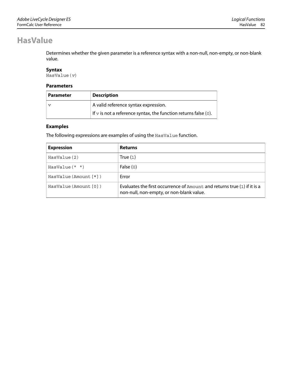# <span id="page-81-0"></span>**HasValue**

Determines whether the given parameter is a reference syntax with a non-null, non-empty, or non-blank value.

#### **Syntax**

HasValue(*v*)

#### **Parameters**

| <b>Parameter</b> | <b>Description</b>                                                |  |
|------------------|-------------------------------------------------------------------|--|
|                  | A valid reference syntax expression.                              |  |
|                  | If $v$ is not a reference syntax, the function returns false (0). |  |

#### **Examples**

The following expressions are examples of using the HasValue function.

| <b>Expression</b>     | <b>Returns</b>                                                                                                           |
|-----------------------|--------------------------------------------------------------------------------------------------------------------------|
| HasValue(2)           | True $(1)$                                                                                                               |
| HasValue("")          | False $(0)$                                                                                                              |
| HasValue (Amount [*]) | Error                                                                                                                    |
| HasValue (Amount [0]) | Evaluates the first occurrence of $Amount$ and returns true $(1)$ if it is a<br>non-null, non-empty, or non-blank value. |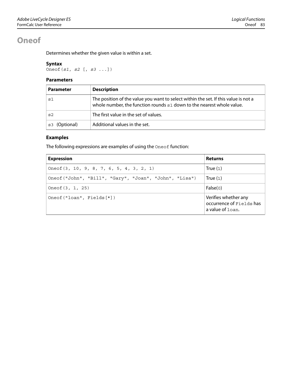### <span id="page-82-0"></span>**Oneof**

Determines whether the given value is within a set.

#### **Syntax**

Oneof(*s1*, *s2* [, *s3* ...])

#### **Parameters**

| <b>Parameter</b> | <b>Description</b>                                                                                                                                           |
|------------------|--------------------------------------------------------------------------------------------------------------------------------------------------------------|
| s1               | The position of the value you want to select within the set. If this value is not a<br>whole number, the function rounds s1 down to the nearest whole value. |
| s2               | The first value in the set of values.                                                                                                                        |
| s3 (Optional)    | Additional values in the set.                                                                                                                                |

#### **Examples**

The following expressions are examples of using the Oneof function:

| <b>Expression</b>                                      | <b>Returns</b>                                                       |
|--------------------------------------------------------|----------------------------------------------------------------------|
| Oneof $(3, 10, 9, 8, 7, 6, 5, 4, 3, 2, 1)$             | True $(1)$                                                           |
| Oneof ("John", "Bill", "Gary", "Joan", "John", "Lisa") | True $(1)$                                                           |
| Oneof (3, 1, 25)                                       | False(0)                                                             |
| $Oneof('Ioan', Fields[*])$                             | Verifies whether any<br>occurrence of Fields has<br>a value of loan. |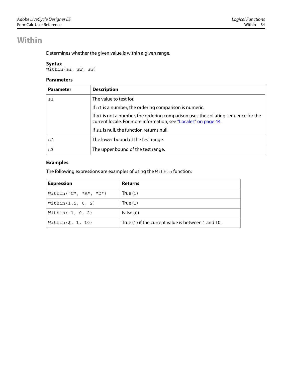### <span id="page-83-0"></span>**Within**

Determines whether the given value is within a given range.

#### **Syntax**

Within(*s1*, *s2*, *s3*)

#### **Parameters**

| <b>Parameter</b> | <b>Description</b>                                                                                                                                      |
|------------------|---------------------------------------------------------------------------------------------------------------------------------------------------------|
| s1               | The value to test for.                                                                                                                                  |
|                  | If $s1$ is a number, the ordering comparison is numeric.                                                                                                |
|                  | If $s1$ is not a number, the ordering comparison uses the collating sequence for the<br>current locale. For more information, see "Locales" on page 44. |
|                  | If s1 is null, the function returns null.                                                                                                               |
| s2               | The lower bound of the test range.                                                                                                                      |
| s3               | The upper bound of the test range.                                                                                                                      |

#### **Examples**

The following expressions are examples of using the Within function:

| <b>Expression</b>         | <b>Returns</b>                                       |
|---------------------------|------------------------------------------------------|
| Within("C", "A", "D")     | True $(1)$                                           |
| Within(1.5, 0, 2)         | True $(1)$                                           |
| Within $(-1, 0, 2)$       | False $(0)$                                          |
| Within $(\hat{S}, 1, 10)$ | True $(1)$ if the current value is between 1 and 10. |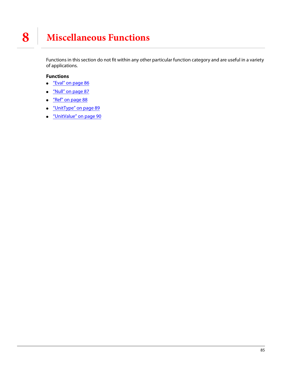# **8 Miscellaneous Functions**

Functions in this section do not fit within any other particular function category and are useful in a variety of applications.

#### **Functions**

- ["Eval" on page 86](#page-85-0)
- ["Null" on page 87](#page-86-0)
- <u>["Ref" on page 88](#page-87-0)</u>
- ["UnitType" on page 89](#page-88-0)
- ["UnitValue" on page 90](#page-89-0)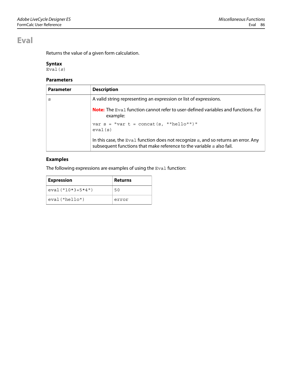### <span id="page-85-0"></span>**Eval**

Returns the value of a given form calculation.

#### **Syntax**

Eval(*s*)

#### **Parameters**

| <b>Parameter</b> | <b>Description</b>                                                                                                                                          |
|------------------|-------------------------------------------------------------------------------------------------------------------------------------------------------------|
| S                | A valid string representing an expression or list of expressions.                                                                                           |
|                  | <b>Note:</b> The Eval function cannot refer to user-defined variables and functions. For<br>example:                                                        |
|                  | var $s = "var t = concat(s, "Thello"")"$<br>eval(s)                                                                                                         |
|                  | In this case, the Eval function does not recognize s, and so returns an error. Any<br>subsequent functions that make reference to the variable s also fail. |

#### **Examples**

The following expressions are examples of using the Eval function:

| <b>Expression</b>  | <b>Returns</b> |
|--------------------|----------------|
| $eval("10*3+5*4")$ | 50             |
| eval("hello")      | error          |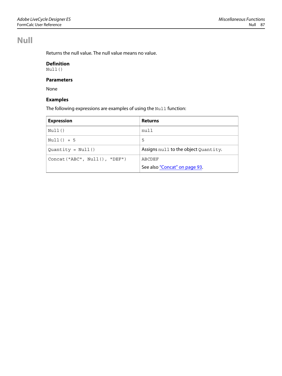### <span id="page-86-0"></span>**Null**

Returns the null value. The null value means no value.

#### **Definition**

Null()

#### **Parameters**

None

#### **Examples**

The following expressions are examples of using the Null function:

| <b>Expression</b>            | <b>Returns</b>                       |
|------------------------------|--------------------------------------|
| Null()                       | null                                 |
| $Null() + 5$                 | 5                                    |
| $Quantity = Null()$          | Assigns null to the object Quantity. |
| Concat('ABC', Null(), 'DEF') | ABCDEF                               |
|                              | See also "Concat" on page 93.        |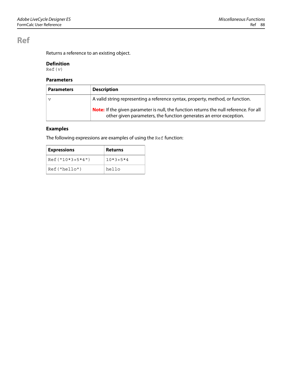### <span id="page-87-0"></span>**Ref**

Returns a reference to an existing object.

#### **Definition**

Ref(*v*)

#### **Parameters**

| <b>Parameters</b> | <b>Description</b>                                                                                                                                                  |
|-------------------|---------------------------------------------------------------------------------------------------------------------------------------------------------------------|
| $\overline{V}$    | A valid string representing a reference syntax, property, method, or function.                                                                                      |
|                   | <b>Note:</b> If the given parameter is null, the function returns the null reference. For all<br>other given parameters, the function generates an error exception. |

#### **Examples**

The following expressions are examples of using the Ref function:

| <b>Expressions</b> | Returns    |
|--------------------|------------|
| $Ref("10*3+5*4")$  | $10*3+5*4$ |
| Ref("hello")       | hello      |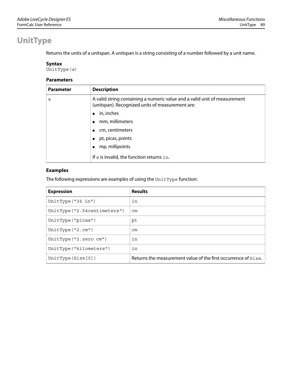# <span id="page-88-0"></span>**UnitType**

Returns the units of a unitspan. A unitspan is a string consisting of a number followed by a unit name.

#### **Syntax**

UnitType(*s*)

#### **Parameters**

| <b>Parameter</b> | <b>Description</b>                                                                                                            |
|------------------|-------------------------------------------------------------------------------------------------------------------------------|
| S                | A valid string containing a numeric value and a valid unit of measurement<br>(unitspan). Recognized units of measurement are: |
|                  | in, inches<br>$\bullet$                                                                                                       |
|                  | mm, millimeters<br>$\bullet$                                                                                                  |
|                  | cm, centimeters                                                                                                               |
|                  | pt, picas, points<br>$\bullet$                                                                                                |
|                  | mp, millipoints<br>$\bullet$                                                                                                  |
|                  | If $s$ is invalid, the function returns in.                                                                                   |

#### **Examples**

The following expressions are examples of using the UnitType function:

| <b>Expression</b>             | <b>Results</b>                                                 |
|-------------------------------|----------------------------------------------------------------|
| UnitType ("36 in")            | in                                                             |
| UnitType ("2.54 centimeters") | $cm$                                                           |
| UnitType ("picas")            | pt                                                             |
| UnitType("2.cm")              | $cm$                                                           |
| UnitType ("2.zero cm")        | in                                                             |
| UnitType ("kilometers")       | in                                                             |
| UnitType(Size[0])             | Returns the measurement value of the first occurrence of Size. |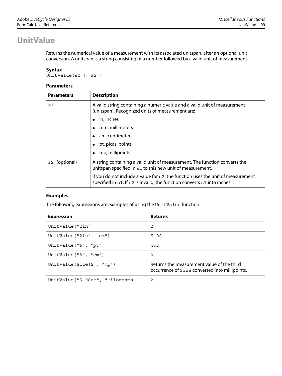### <span id="page-89-0"></span>**UnitValue**

Returns the numerical value of a measurement with its associated unitspan, after an optional unit conversion. A unitspan is a string consisting of a number followed by a valid unit of measurement.

#### **Syntax**

UnitValue(*s1* [, *s2* ])

#### **Parameters**

| <b>Parameters</b>         | <b>Description</b>                                                                                                                                          |  |
|---------------------------|-------------------------------------------------------------------------------------------------------------------------------------------------------------|--|
| s1                        | A valid string containing a numeric value and a valid unit of measurement<br>(unitspan). Recognized units of measurement are:                               |  |
|                           | in, inches                                                                                                                                                  |  |
|                           | mm, millimeters                                                                                                                                             |  |
|                           | cm, centimeters                                                                                                                                             |  |
|                           | pt, picas, points                                                                                                                                           |  |
|                           | mp, millipoints                                                                                                                                             |  |
| s <sub>2</sub> (optional) | A string containing a valid unit of measurement. The function converts the<br>unitspan specified in s1 to this new unit of measurement.                     |  |
|                           | If you do not include a value for s2, the function uses the unit of measurement<br>specified in s1. If s2 is invalid, the function converts s1 into inches. |  |

#### **Examples**

The following expressions are examples of using the UnitValue function:

| <b>Expression</b>                | <b>Returns</b>                                                                               |
|----------------------------------|----------------------------------------------------------------------------------------------|
| UnitValue ("2in")                | 2                                                                                            |
| UnitValue ("2in", "cm")          | 5.08                                                                                         |
| UnitValue("6", "pt")             | 432                                                                                          |
| UnitValue ("A", "cm")            | 0                                                                                            |
| UnitValue $(Size [2]$ , "mp")    | Returns the measurement value of the third<br>occurrence of Size converted into millipoints. |
| UnitValue("5.08cm", "kilograms") | 2                                                                                            |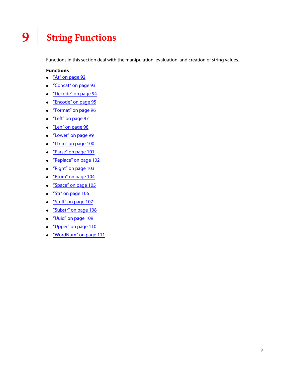Functions in this section deal with the manipulation, evaluation, and creation of string values.

#### **Functions**

- ["At" on page 92](#page-91-0)
- ["Concat" on page 93](#page-92-1)
- ["Decode" on page 94](#page-93-0)
- ["Encode" on page 95](#page-94-0)
- ["Format" on page 96](#page-95-0)
- ["Left" on page 97](#page-96-0)
- ["Len" on page 98](#page-97-0)
- ["Lower" on page 99](#page-98-0)
- ["Ltrim" on page 100](#page-99-0)
- ["Parse" on page 101](#page-100-0)
- ["Replace" on page 102](#page-101-0)
- ["Right" on page 103](#page-102-0)
- ["Rtrim" on page 104](#page-103-0)
- ["Space" on page 105](#page-104-0)
- ["Str" on page 106](#page-105-0)
- ["Stuff" on page 107](#page-106-0)
- ["Substr" on page 108](#page-107-0)
- ["Uuid" on page 109](#page-108-0)
- ["Upper" on page 110](#page-109-0)
- ["WordNum" on page 111](#page-110-0)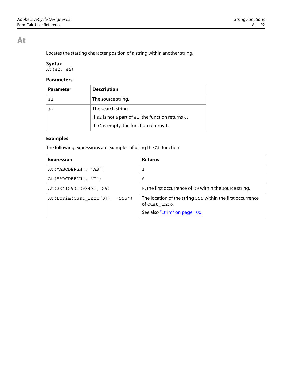### <span id="page-91-0"></span>**At**

Locates the starting character position of a string within another string.

**Syntax**

At(*s1*, *s2*)

#### **Parameters**

| <b>Parameter</b> | <b>Description</b>                                      |  |
|------------------|---------------------------------------------------------|--|
| s1               | The source string.                                      |  |
| s2               | The search string.                                      |  |
|                  | If $s2$ is not a part of $s1$ , the function returns 0. |  |
|                  | If $s2$ is empty, the function returns 1.               |  |

#### **Examples**

The following expressions are examples of using the At function:

| <b>Expression</b>                | <b>Returns</b>                                                              |
|----------------------------------|-----------------------------------------------------------------------------|
| At ("ABCDEFGH", "AB")            |                                                                             |
| At ("ABCDEFGH", "F")             | 6                                                                           |
| At (23412931298471, 29)          | 5, the first occurrence of 29 within the source string.                     |
| At (Ltrim (Cust Info[0]), "555") | The location of the string 555 within the first occurrence<br>of Cust Info. |
|                                  | See also "Ltrim" on page 100.                                               |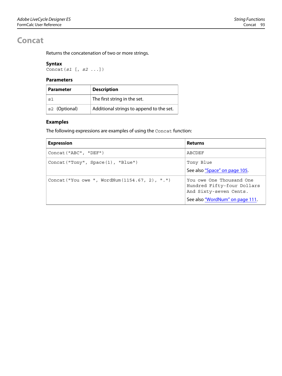### <span id="page-92-1"></span><span id="page-92-0"></span>**Concat**

Returns the concatenation of two or more strings.

#### **Syntax**

Concat(*s1* [, *s2* ...])

#### **Parameters**

| <b>Parameter</b>            | <b>Description</b>                       |
|-----------------------------|------------------------------------------|
| $\boldsymbol{\mathsf{s}}$ 1 | The first string in the set.             |
| s <sub>2</sub> (Optional)   | Additional strings to append to the set. |

#### **Examples**

The following expressions are examples of using the Concat function:

| <b>Expression</b>                                | <b>Returns</b>                                                                                                      |
|--------------------------------------------------|---------------------------------------------------------------------------------------------------------------------|
| Concat ("ABC", "DEF")                            | ABCDEF                                                                                                              |
| Concat ("Tony", $Space(1)$ , "Blue")             | Tony Blue<br>See also "Space" on page 105.                                                                          |
| Concat ("You owe ", $WordNum(1154.67, 2)$ , ".") | You owe One Thousand One<br>Hundred Fifty-four Dollars<br>And Sixty-seven Cents.<br>See also "WordNum" on page 111. |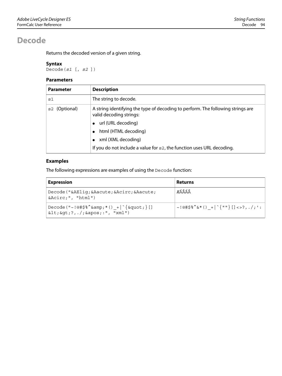### <span id="page-93-0"></span>**Decode**

Returns the decoded version of a given string.

#### **Syntax**

Decode(*s1* [, *s2* ])

#### **Parameters**

| <b>Parameter</b>          | <b>Description</b>                                                                                         |
|---------------------------|------------------------------------------------------------------------------------------------------------|
| s1                        | The string to decode.                                                                                      |
| s <sub>2</sub> (Optional) | A string identifying the type of decoding to perform. The following strings are<br>valid decoding strings: |
|                           | url (URL decoding)                                                                                         |
|                           | html (HTML decoding)                                                                                       |
|                           | xml (XML decoding)                                                                                         |
|                           | If you do not include a value for s2, the function uses URL decoding.                                      |

#### **Examples**

The following expressions are examples of using the Decode function:

| <b>Expression</b>                                                                           | <b>Returns</b>                  |
|---------------------------------------------------------------------------------------------|---------------------------------|
| Decode ("&AEliq Á Â Á                                                                       | ÆÁÂÁÂ                           |
| Decode ("~!@#\$*^& * () +   ` { & quot; } []<br>$\<$ it; $\>$ qt;?,./; $\>$ apos;:", "xml") | ~!@#\$%^&*() + `{""}[]<>?,./;': |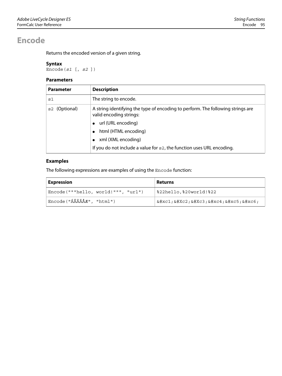## <span id="page-94-0"></span>**Encode**

Returns the encoded version of a given string.

#### **Syntax**

Encode(*s1* [, *s2* ])

#### **Parameters**

| <b>Parameter</b>          | <b>Description</b>                                                                                         |
|---------------------------|------------------------------------------------------------------------------------------------------------|
| s1                        | The string to encode.                                                                                      |
| s <sub>2</sub> (Optional) | A string identifying the type of encoding to perform. The following strings are<br>valid encoding strings: |
|                           | url (URL encoding)                                                                                         |
|                           | html (HTML encoding)                                                                                       |
|                           | xml (XML encoding)                                                                                         |
|                           | If you do not include a value for $s2$ , the function uses URL encoding.                                   |

#### **Examples**

The following expressions are examples of using the Encode function:

| <b>Expression</b>                                                                                                                                           | <b>Returns</b>                                    |
|-------------------------------------------------------------------------------------------------------------------------------------------------------------|---------------------------------------------------|
| Encode("""hello, world!""", "url")                                                                                                                          | %22hello,%20world!%22                             |
| $\text{Encode}$ (" $\widehat{\text{A}} \widehat{\text{A}} \widehat{\text{A}} \widehat{\text{A}} \widehat{\text{A}} \widehat{\text{B}}$ ", " $\text{html"$ ) | $x\#xc1; x\#Xc2; x\#Xc3; x\#xc4; x\#xc5; x\#xc6;$ |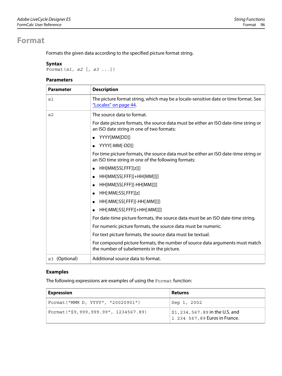### <span id="page-95-0"></span>**Format**

Formats the given data according to the specified picture format string.

#### **Syntax**

Format(*s1*, *s2* [, *s3* ...])

#### **Parameters**

| <b>Parameter</b> | <b>Description</b>                                                                                                                         |
|------------------|--------------------------------------------------------------------------------------------------------------------------------------------|
| s1               | The picture format string, which may be a locale-sensitive date or time format. See<br>"Locales" on page 44.                               |
| s2               | The source data to format.                                                                                                                 |
|                  | For date picture formats, the source data must be either an ISO date-time string or<br>an ISO date string in one of two formats:           |
|                  | YYYY[MM[DD]]<br>$\bullet$                                                                                                                  |
|                  | YYYY[-MM[-DD]]                                                                                                                             |
|                  | For time picture formats, the source data must be either an ISO date-time string or<br>an ISO time string in one of the following formats: |
|                  | HH[MM[SS[.FFF][z]]]<br>$\bullet$                                                                                                           |
|                  | HH[MM[SS[.FFF][+HH[MM]]]]<br>$\bullet$                                                                                                     |
|                  | HH[MM[SS[.FFF][-HH[MM]]]]<br>$\bullet$                                                                                                     |
|                  | HH[:MM[:SS[.FFF][z]<br>$\bullet$                                                                                                           |
|                  | HH[:MM[:SS[.FFF][-HH[:MM]]]]<br>$\bullet$                                                                                                  |
|                  | HH[:MM[:SS[.FFF][+HH[:MM]]]]                                                                                                               |
|                  | For date-time picture formats, the source data must be an ISO date-time string.                                                            |
|                  | For numeric picture formats, the source data must be numeric.                                                                              |
|                  | For text picture formats, the source data must be textual.                                                                                 |
|                  | For compound picture formats, the number of source data arguments must match<br>the number of subelements in the picture.                  |
| s3 (Optional)    | Additional source data to format.                                                                                                          |

#### **Examples**

The following expressions are examples of using the Format function:

| <b>Expression</b>                     | Returns                                                           |
|---------------------------------------|-------------------------------------------------------------------|
| Format ("MMM D, YYYY", "20020901")    | Sep 1, 2002                                                       |
| Format ("\$9,999,999.99", 1234567.89) | $$1,234,567.89$ in the U.S. and<br>1 234 567, 89 Euros in France. |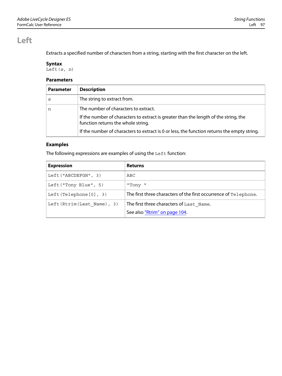## <span id="page-96-0"></span>**Left**

Extracts a specified number of characters from a string, starting with the first character on the left.

**Syntax**

Left(*s*, *n*)

#### **Parameters**

| <b>Parameter</b> | <b>Description</b>                                                                                                         |
|------------------|----------------------------------------------------------------------------------------------------------------------------|
| S                | The string to extract from.                                                                                                |
| n                | The number of characters to extract.                                                                                       |
|                  | If the number of characters to extract is greater than the length of the string, the<br>function returns the whole string. |
|                  | If the number of characters to extract is 0 or less, the function returns the empty string.                                |

#### **Examples**

The following expressions are examples of using the Left function:

| <b>Expression</b>           | <b>Returns</b>                                                   |  |
|-----------------------------|------------------------------------------------------------------|--|
| Left ("ABCDEFGH", 3)        | ABC                                                              |  |
| Left ("Tony Blue", $5$ )    | "Tony "                                                          |  |
| Left(Telephone $[0]$ , 3)   | The first three characters of the first occurrence of Telephone. |  |
| Left (Rtrim (Last Name), 3) | The first three characters of Last Name.                         |  |
|                             | See also "Rtrim" on page 104.                                    |  |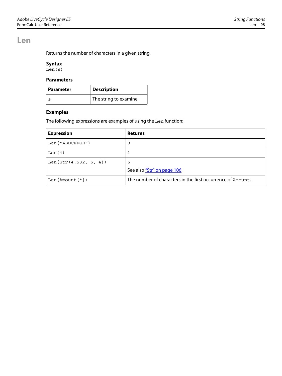### <span id="page-97-0"></span>**Len**

Returns the number of characters in a given string.

#### **Syntax**

Len(*s*)

#### **Parameters**

| <b>Parameter</b> | <b>Description</b>     |
|------------------|------------------------|
|                  | The string to examine. |

#### **Examples**

The following expressions are examples of using the Len function:

| <b>Expression</b>                                                                | <b>Returns</b>              |
|----------------------------------------------------------------------------------|-----------------------------|
| Len ("ABDCEFGH")                                                                 | 8                           |
| Len(4)                                                                           | 1                           |
| Len $(Str(4.532, 6, 4))$                                                         | 6                           |
|                                                                                  | See also "Str" on page 106. |
| The number of characters in the first occurrence of Amount.<br>Len $(Amount[*])$ |                             |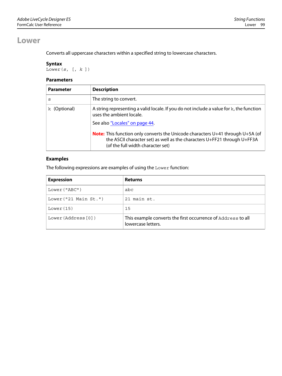### <span id="page-98-0"></span>**Lower**

Converts all uppercase characters within a specified string to lowercase characters.

#### **Syntax**

Lower(*s*, [, *k* ])

#### **Parameters**

| <b>Parameter</b> | <b>Description</b>                                                                                                                                                                                     |
|------------------|--------------------------------------------------------------------------------------------------------------------------------------------------------------------------------------------------------|
| S                | The string to convert.                                                                                                                                                                                 |
| (Optional)<br>k. | A string representing a valid locale. If you do not include a value for $k$ , the function<br>uses the ambient locale.                                                                                 |
|                  | See also "Locales" on page 44.                                                                                                                                                                         |
|                  | <b>Note:</b> This function only converts the Unicode characters U+41 through U+5A (of<br>the ASCII character set) as well as the characters U+FF21 through U+FF3A<br>(of the full width character set) |

#### **Examples**

The following expressions are examples of using the Lower function:

| <b>Expression</b>        | <b>Returns</b>                                                                     |
|--------------------------|------------------------------------------------------------------------------------|
| Lower ("ABC")            | abc                                                                                |
| Lower $("21 Main St." )$ | 21 main st.                                                                        |
| Lower(15)                | 15                                                                                 |
| Lower (Address [0])      | This example converts the first occurrence of Address to all<br>lowercase letters. |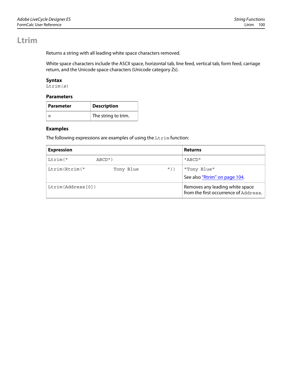### <span id="page-99-0"></span>**Ltrim**

Returns a string with all leading white space characters removed.

White space characters include the ASCII space, horizontal tab, line feed, vertical tab, form feed, carriage return, and the Unicode space characters (Unicode category Zs).

#### **Syntax**

Ltrim(*s*)

#### **Parameters**

| <b>Parameter</b> | <b>Description</b>  |
|------------------|---------------------|
|                  | The string to trim. |

#### **Examples**

The following expressions are examples of using the Ltrim function:

| <b>Expression</b> |           |              | <b>Returns</b>                                                           |
|-------------------|-----------|--------------|--------------------------------------------------------------------------|
| Ltrim ("          | ABCD"     |              | "ABCD"                                                                   |
| Ltrim (Rtrim ("   | Tony Blue | $\sqrt{2}$ ) | "Tony Blue"<br>See also "Rtrim" on page 104.                             |
| Ltrim(Address[0]) |           |              | Removes any leading white space<br>from the first occurrence of Address. |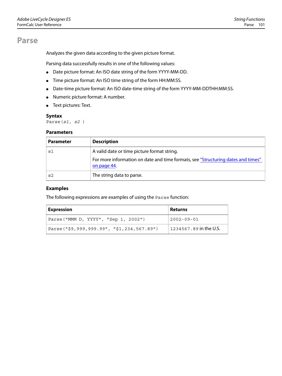### <span id="page-100-0"></span>**Parse**

Analyzes the given data according to the given picture format.

Parsing data successfully results in one of the following values:

- Date picture format: An ISO date string of the form YYYY-MM-DD.
- Time picture format: An ISO time string of the form HH:MM:SS.
- Date-time picture format: An ISO date-time string of the form YYYY-MM-DDTHH:MM:SS.
- Numeric picture format: A number.
- Text pictures: Text.

#### **Syntax**

Parse(*s1*, *s2* )

#### **Parameters**

| <b>Parameter</b> | <b>Description</b>                                                                              |
|------------------|-------------------------------------------------------------------------------------------------|
| s1               | A valid date or time picture format string.                                                     |
|                  | For more information on date and time formats, see "Structuring dates and times"<br>on page 44. |
| s2               | The string data to parse.                                                                       |

#### **Examples**

The following expressions are examples of using the Parse function:

| <b>Expression</b>                         | Returns                |
|-------------------------------------------|------------------------|
| Parse("MMM D, YYYY", "Sep 1, 2002")       | $2002 - 09 - 01$       |
| Parse("\$9,999,999.99", "\$1,234,567.89") | 1234567.89 in the U.S. |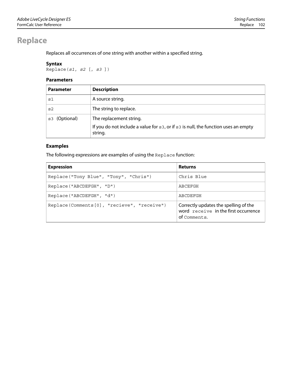# <span id="page-101-0"></span>**Replace**

Replaces all occurrences of one string with another within a specified string.

#### **Syntax**

Replace(*s1*, *s2* [, *s3* ])

#### **Parameters**

| <b>Parameter</b> | <b>Description</b>                                                                                                            |
|------------------|-------------------------------------------------------------------------------------------------------------------------------|
| s1               | A source string.                                                                                                              |
| s2               | The string to replace.                                                                                                        |
| s3 (Optional)    | The replacement string.<br>If you do not include a value for $s3$ , or if $s3$ is null, the function uses an empty<br>string. |

#### **Examples**

The following expressions are examples of using the Replace function:

| <b>Expression</b>                            | <b>Returns</b>                                                                                |
|----------------------------------------------|-----------------------------------------------------------------------------------------------|
| Replace ("Tony Blue", "Tony", "Chris")       | Chris Blue                                                                                    |
| Replace ("ABCDEFGH", "D")                    | ABCEFGH                                                                                       |
| Replace ("ABCDEFGH", "d")                    | ABCDEFGH                                                                                      |
| Replace (Comments [0], "recieve", "receive") | Correctly updates the spelling of the<br>word receive in the first occurrence<br>of Comments. |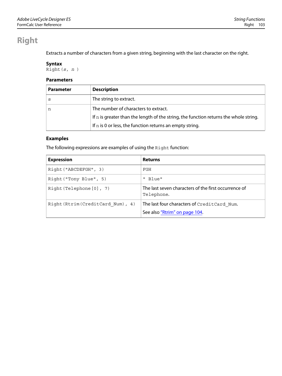# <span id="page-102-0"></span>**Right**

Extracts a number of characters from a given string, beginning with the last character on the right.

**Syntax** Right(*s*, *n* )

#### **Parameters**

| <b>Parameter</b> | <b>Description</b>                                                                      |
|------------------|-----------------------------------------------------------------------------------------|
| S                | The string to extract.                                                                  |
| n                | The number of characters to extract.                                                    |
|                  | If $n$ is greater than the length of the string, the function returns the whole string. |
|                  | If $n$ is 0 or less, the function returns an empty string.                              |

#### **Examples**

The following expressions are examples of using the Right function:

| <b>Expression</b>                 | <b>Returns</b>                                                     |
|-----------------------------------|--------------------------------------------------------------------|
| Right ("ABCDEFGH", 3)             | FGH                                                                |
| Right ("Tony Blue", 5)            | $"$ Blue"                                                          |
| $Right$ (Telephone $[0]$ , 7)     | The last seven characters of the first occurrence of<br>Telephone. |
| Right (Rtrim (CreditCard Num), 4) | The last four characters of CreditCard Num.                        |
|                                   | See also "Rtrim" on page 104.                                      |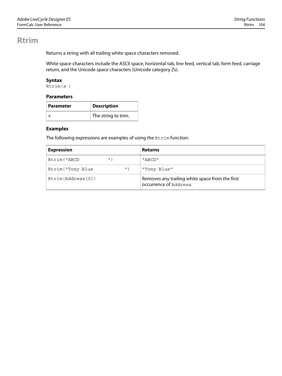### <span id="page-103-0"></span>**Rtrim**

Returns a string with all trailing white space characters removed.

White space characters include the ASCII space, horizontal tab, line feed, vertical tab, form feed, carriage return, and the Unicode space characters (Unicode category Zs).

#### **Syntax**

Rtrim(*s* )

#### **Parameters**

| <b>Parameter</b> | <b>Description</b>  |
|------------------|---------------------|
|                  | The string to trim. |

#### **Examples**

The following expressions are examples of using the Rtrim function:

| <b>Expression</b>                        | <b>Returns</b>                                                            |
|------------------------------------------|---------------------------------------------------------------------------|
| Rtrim ("ABCD<br>п)                       | "ABCD"                                                                    |
| Rtrim ("Tony Blue<br>$^{\prime\prime}$ ) | "Tony Blue"                                                               |
| Rtrim(Address[0])                        | Removes any trailing white space from the first<br>occurrence of Address. |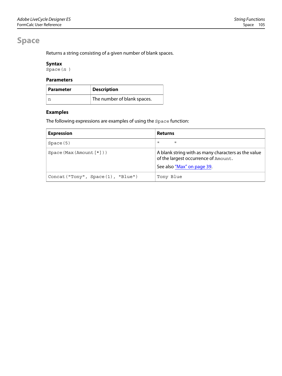### <span id="page-104-0"></span>**Space**

Returns a string consisting of a given number of blank spaces.

#### **Syntax**

Space(*n* )

#### **Parameters**

| Parameter | <b>Description</b>          |
|-----------|-----------------------------|
|           | The number of blank spaces. |

#### **Examples**

The following expressions are examples of using the Space function:

| <b>Expression</b>                  | <b>Returns</b>                                                                                                            |
|------------------------------------|---------------------------------------------------------------------------------------------------------------------------|
| Space(5)                           | $\mathbf{H}$<br>$\mathbf{H}$                                                                                              |
| $Space(Max(Amount[*]))$            | A blank string with as many characters as the value<br>of the largest occurrence of Amount.<br>See also "Max" on page 39. |
| Concat ("Tony", Space (1), "Blue") | Tony Blue                                                                                                                 |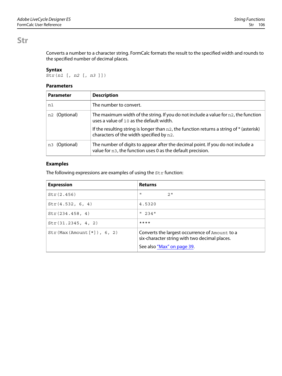### <span id="page-105-0"></span>**Str**

Converts a number to a character string. FormCalc formats the result to the specified width and rounds to the specified number of decimal places.

#### **Syntax**

Str(*n1* [, *n2* [, *n3* ]])

#### **Parameters**

| <b>Parameter</b>          | <b>Description</b>                                                                                                                             |
|---------------------------|------------------------------------------------------------------------------------------------------------------------------------------------|
| n1                        | The number to convert.                                                                                                                         |
| n2 (Optional)             | The maximum width of the string. If you do not include a value for $n2$ , the function<br>uses a value of 10 as the default width.             |
|                           | If the resulting string is longer than $n2$ , the function returns a string of $*$ (asterisk)<br>characters of the width specified by n2.      |
| n <sub>3</sub> (Optional) | The number of digits to appear after the decimal point. If you do not include a<br>value for n3, the function uses 0 as the default precision. |

#### **Examples**

The following expressions are examples of using the  $str$  function:

| <b>Expression</b>           | <b>Returns</b>                                                                                  |
|-----------------------------|-------------------------------------------------------------------------------------------------|
| Str(2.456)                  | $\mathbf{H}$<br>$2^{\mathsf{II}}$                                                               |
| Str(4.532, 6, 4)            | 4.5320                                                                                          |
| Str(234.458, 4)             | 11, 2341                                                                                        |
| Str(31.2345, 4, 2)          | $***$ * * *                                                                                     |
| $Str(Max(Amount[*]), 6, 2)$ | Converts the largest occurrence of Amount to a<br>six-character string with two decimal places. |
|                             | See also "Max" on page 39.                                                                      |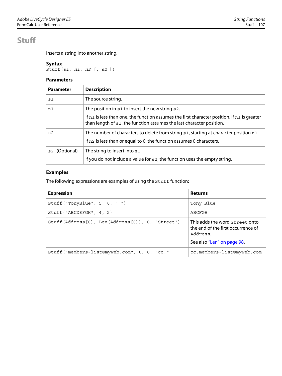## <span id="page-106-0"></span>**Stuff**

Inserts a string into another string.

#### **Syntax**

Stuff(*s1*, *n1*, *n2* [, *s2* ])

#### **Parameters**

| <b>Parameter</b>          | <b>Description</b>                                                                                                                                                     |
|---------------------------|------------------------------------------------------------------------------------------------------------------------------------------------------------------------|
| s1                        | The source string.                                                                                                                                                     |
| n1                        | The position in $s1$ to insert the new string $s2$ .                                                                                                                   |
|                           | If n1 is less than one, the function assumes the first character position. If n1 is greater<br>than length of $s1$ , the function assumes the last character position. |
| n2                        | The number of characters to delete from string $s1$ , starting at character position $n1$ .                                                                            |
|                           | If $n2$ is less than or equal to 0, the function assumes 0 characters.                                                                                                 |
| s <sub>2</sub> (Optional) | The string to insert into s1.                                                                                                                                          |
|                           | If you do not include a value for $s2$ , the function uses the empty string.                                                                                           |

#### **Examples**

The following expressions are examples of using the Stuff function:

| <b>Expression</b>                                 | <b>Returns</b>                                                                                                 |
|---------------------------------------------------|----------------------------------------------------------------------------------------------------------------|
| Stuff ("TonyBlue", $5, 0, " "$                    | Tony Blue                                                                                                      |
| Stuff("ABCDEFGH", 4, 2)                           | ABCFGH                                                                                                         |
| $Stuff(Address[0], Len(Address[0]), 0, "Street")$ | This adds the word Street onto<br>the end of the first occurrence of<br>Address.<br>See also "Len" on page 98. |
| Stuff ("members-list@myweb.com", 0, 0, "cc:"      | cc:members-list@myweb.com                                                                                      |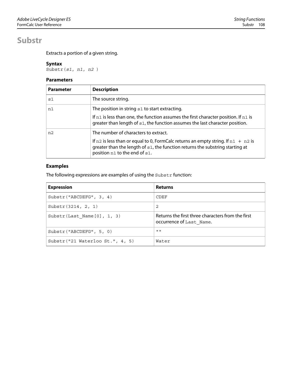### <span id="page-107-0"></span>**Substr**

Extracts a portion of a given string.

#### **Syntax**

Substr(*s1*, *n1*, *n2* )

#### **Parameters**

| <b>Parameter</b> | <b>Description</b>                                                                                                                                                                                                                            |
|------------------|-----------------------------------------------------------------------------------------------------------------------------------------------------------------------------------------------------------------------------------------------|
| s1               | The source string.                                                                                                                                                                                                                            |
| n1               | The position in string $s1$ to start extracting.<br>If $n1$ is less than one, the function assumes the first character position. If $n1$ is<br>greater than length of $s1$ , the function assumes the last character position.                |
| n2               | The number of characters to extract.<br>If n2 is less than or equal to 0, FormCalc returns an empty string. If $n1 + n2$ is<br>greater than the length of s1, the function returns the substring starting at<br>position n1 to the end of s1. |

#### **Examples**

The following expressions are examples of using the Substr function:

| <b>Expression</b>                  | <b>Returns</b>                                                                |
|------------------------------------|-------------------------------------------------------------------------------|
| Substr("ABCDEFG", 3, 4)            | CDEF                                                                          |
| Substr(3214, 2, 1)                 | 2                                                                             |
| Substr(Last Name $[0]$ , 1, 3)     | Returns the first three characters from the first<br>occurrence of Last Name. |
| Substr("ABCDEFG", 5, 0)            | $\mathbf{H}$ $\mathbf{H}$                                                     |
| Substr("21 Waterloo St.", $4, 5$ ) | Water                                                                         |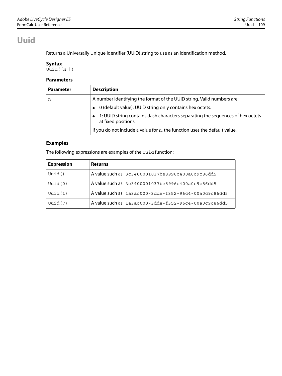# <span id="page-108-0"></span>**Uuid**

Returns a Universally Unique Identifier (UUID) string to use as an identification method.

# **Syntax**

Uuid([*n* ])

### **Parameters**

| <b>Parameter</b> | <b>Description</b>                                                                                    |
|------------------|-------------------------------------------------------------------------------------------------------|
| n                | A number identifying the format of the UUID string. Valid numbers are:                                |
|                  | 0 (default value): UUID string only contains hex octets.<br>$\bullet$                                 |
|                  | 1: UUID string contains dash characters separating the sequences of hex octets<br>at fixed positions. |
|                  | If you do not include a value for $n$ , the function uses the default value.                          |

### **Examples**

The following expressions are examples of the Uuid function:

| <b>Expression</b> | <b>Returns</b>                                       |
|-------------------|------------------------------------------------------|
| Uuid $()$         | A value such as 3c3400001037be8996c400a0c9c86dd5     |
| Uuid(0)           | A value such as 3c3400001037be8996c400a0c9c86dd5     |
| Uuid(1)           | A value such as 1a3ac000-3dde-f352-96c4-00a0c9c86dd5 |
| Uuid(7)           | A value such as 1a3ac000-3dde-f352-96c4-00a0c9c86dd5 |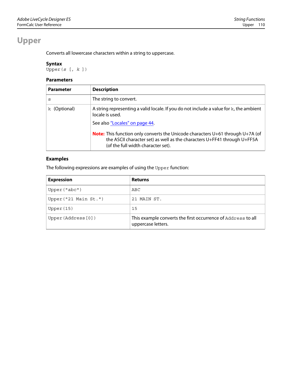# <span id="page-109-0"></span>**Upper**

Converts all lowercase characters within a string to uppercase.

# **Syntax**

Upper(*s* [, *k* ])

### **Parameters**

| <b>Parameter</b> | <b>Description</b>                                                                                                                                                                                      |
|------------------|---------------------------------------------------------------------------------------------------------------------------------------------------------------------------------------------------------|
| S                | The string to convert.                                                                                                                                                                                  |
| (Optional)<br>k. | A string representing a valid locale. If you do not include a value for $k$ , the ambient<br>locale is used.                                                                                            |
|                  | See also "Locales" on page 44.                                                                                                                                                                          |
|                  | <b>Note:</b> This function only converts the Unicode characters U+61 through U+7A (of<br>the ASCII character set) as well as the characters U+FF41 through U+FF5A<br>(of the full width character set). |

# **Examples**

The following expressions are examples of using the Upper function:

| <b>Expression</b>    | <b>Returns</b>                                                                     |
|----------------------|------------------------------------------------------------------------------------|
| Upper("abc")         | ABC                                                                                |
| Upper('21 Main St.") | 21 MAIN ST.                                                                        |
| Upper(15)            | 15                                                                                 |
| Upper (Address [0])  | This example converts the first occurrence of Address to all<br>uppercase letters. |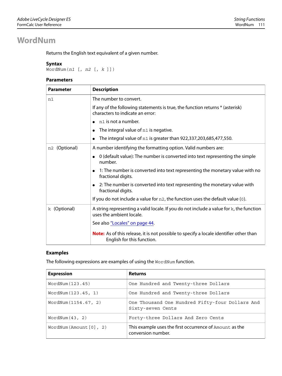# **WordNum**

<span id="page-110-0"></span>Returns the English text equivalent of a given number.

### **Syntax**

WordNum(*n1* [, *n2* [, *k* ]])

#### **Parameters**

| <b>Parameter</b>          | <b>Description</b>                                                                                                          |  |
|---------------------------|-----------------------------------------------------------------------------------------------------------------------------|--|
| n1                        | The number to convert.                                                                                                      |  |
|                           | If any of the following statements is true, the function returns * (asterisk)<br>characters to indicate an error:           |  |
|                           | n1 is not a number.                                                                                                         |  |
|                           | The integral value of $n1$ is negative.<br>$\bullet$                                                                        |  |
|                           | The integral value of $n1$ is greater than 922,337,203,685,477,550.                                                         |  |
| n <sub>2</sub> (Optional) | A number identifying the formatting option. Valid numbers are:                                                              |  |
|                           | 0 (default value): The number is converted into text representing the simple<br>number.                                     |  |
|                           | 1: The number is converted into text representing the monetary value with no<br>$\bullet$<br>fractional digits.             |  |
|                           | 2: The number is converted into text representing the monetary value with<br>$\bullet$<br>fractional digits.                |  |
|                           | If you do not include a value for $n2$ , the function uses the default value (0).                                           |  |
| k (Optional)              | A string representing a valid locale. If you do not include a value for $k$ , the function<br>uses the ambient locale.      |  |
|                           | See also "Locales" on page 44.                                                                                              |  |
|                           | <b>Note:</b> As of this release, it is not possible to specify a locale identifier other than<br>English for this function. |  |

### **Examples**

The following expressions are examples of using the WordNum function.

| <b>Expression</b>     | <b>Returns</b>                                                                |  |
|-----------------------|-------------------------------------------------------------------------------|--|
| WordNum(123.45)       | One Hundred and Twenty-three Dollars                                          |  |
| WordNum(123.45, 1)    | One Hundred and Twenty-three Dollars                                          |  |
| WordNum(1154.67, 2)   | One Thousand One Hundred Fifty-four Dollars And<br>Sixty-seven Cents          |  |
| WordNum(43, 2)        | Forty-three Dollars And Zero Cents                                            |  |
| WordNum(Amount[0], 2) | This example uses the first occurrence of Amount as the<br>conversion number. |  |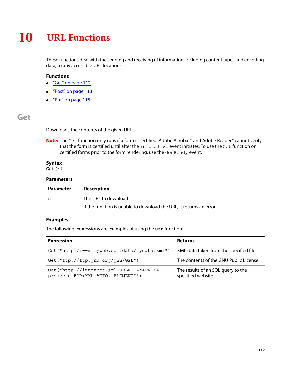These functions deal with the sending and receiving of information, including content types and encoding data, to any accessible URL locations.

### **Functions**

- ["Get" on page 112](#page-111-0)
- ["Post" on page 113](#page-112-0)
- ["Put" on page 115](#page-114-0)

# <span id="page-111-0"></span>**Get**

<span id="page-111-1"></span>Downloads the contents of the given URL.

**Note:** The Get function only runs if a form is certified. Adobe Acrobat® and Adobe Reader® cannot verify that the form is certified until after the initialize event initiates. To use the Get function on certified forms prior to the form rendering, use the docReady event.

### **Syntax**

Get(*s*)

#### **Parameters**

| <b>Parameter</b> | <b>Description</b>                                                  |  |
|------------------|---------------------------------------------------------------------|--|
| S                | The URL to download.                                                |  |
|                  | If the function is unable to download the URL, it returns an error. |  |

### **Examples**

The following expressions are examples of using the Get function.

| <b>Expression</b>                                                            | <b>Returns</b>                                           |
|------------------------------------------------------------------------------|----------------------------------------------------------|
| $Get('http://www.myweb.com/data/mydata.xml")$                                | XML data taken from the specified file.                  |
| Get("ftp://ftp.qnu.org/qnu/GPL")                                             | The contents of the GNU Public License.                  |
| Get("http://intranet?sql=SELECT+*+FROM+<br>projects+FOR+XML+AUTO,+ELEMENTS") | The results of an SQL query to the<br>specified website. |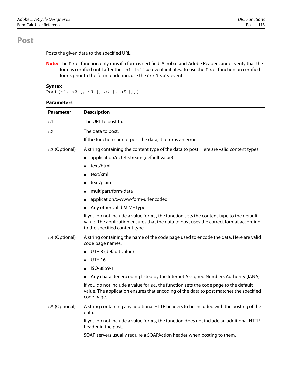# <span id="page-112-0"></span>**Post**

<span id="page-112-1"></span>Posts the given data to the specified URL.

**Note:** The Post function only runs if a form is certified. Acrobat and Adobe Reader cannot verify that the form is certified until after the initialize event initiates. To use the Post function on certified forms prior to the form rendering, use the docReady event.

### **Syntax**

Post(*s1*, *s2* [, *s3* [, *s4* [, *s5* ]]])

### **Parameters**

| Parameter     | <b>Description</b>                                                                                                                                                                                                     |
|---------------|------------------------------------------------------------------------------------------------------------------------------------------------------------------------------------------------------------------------|
| s1            | The URL to post to.                                                                                                                                                                                                    |
| s2            | The data to post.                                                                                                                                                                                                      |
|               | If the function cannot post the data, it returns an error.                                                                                                                                                             |
| s3 (Optional) | A string containing the content type of the data to post. Here are valid content types:                                                                                                                                |
|               | application/octet-stream (default value)<br>$\bullet$                                                                                                                                                                  |
|               | text/html                                                                                                                                                                                                              |
|               | text/xml                                                                                                                                                                                                               |
|               | text/plain<br>$\bullet$                                                                                                                                                                                                |
|               | multipart/form-data                                                                                                                                                                                                    |
|               | application/x-www-form-urlencoded                                                                                                                                                                                      |
|               | Any other valid MIME type<br>$\bullet$                                                                                                                                                                                 |
|               | If you do not include a value for $s3$ , the function sets the content type to the default<br>value. The application ensures that the data to post uses the correct format according<br>to the specified content type. |
| s4 (Optional) | A string containing the name of the code page used to encode the data. Here are valid<br>code page names:                                                                                                              |
|               | UTF-8 (default value)                                                                                                                                                                                                  |
|               | $UTF-16$                                                                                                                                                                                                               |
|               | ISO-8859-1                                                                                                                                                                                                             |
|               | Any character encoding listed by the Internet Assigned Numbers Authority (IANA)                                                                                                                                        |
|               | If you do not include a value for s4, the function sets the code page to the default<br>value. The application ensures that encoding of the data to post matches the specified<br>code page.                           |
| s5 (Optional) | A string containing any additional HTTP headers to be included with the posting of the<br>data.                                                                                                                        |
|               | If you do not include a value for s5, the function does not include an additional HTTP<br>header in the post.                                                                                                          |
|               | SOAP servers usually require a SOAPAction header when posting to them.                                                                                                                                                 |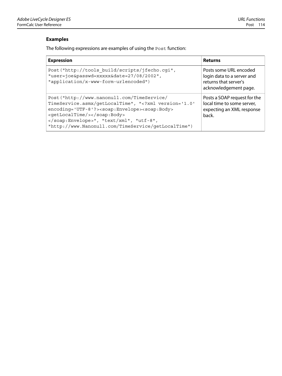### **Examples**

The following expressions are examples of using the Post function:

| <b>Expression</b>                                                                                                                                                                                                                                                                                    | <b>Returns</b>                                                                                         |
|------------------------------------------------------------------------------------------------------------------------------------------------------------------------------------------------------------------------------------------------------------------------------------------------------|--------------------------------------------------------------------------------------------------------|
| Post("http://tools build/scripts/jfecho.cgi",<br>"user=joe&passwd=xxxxx&date=27/08/2002",<br>"application/x-www-form-urlencoded")                                                                                                                                                                    | Posts some URL encoded<br>login data to a server and<br>returns that server's<br>acknowledgement page. |
| Post("http://www.nanonull.com/TimeService/<br>TimeService.asmx/qetLocalTime", " xml version='1.0'<br encoding='UTF-8'?> <soap:envelope><soap:body><br/><qetlocaltime></qetlocaltime></soap:body><br/></soap:envelope> ", "text/xml", "utf-8",<br>"http://www.Nanonull.com/TimeService/getLocalTime") | Posts a SOAP request for the<br>local time to some server,<br>expecting an XML response<br>back.       |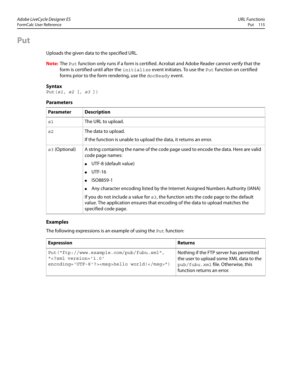# <span id="page-114-0"></span>**Put**

<span id="page-114-1"></span>Uploads the given data to the specified URL.

**Note:** The Put function only runs if a form is certified. Acrobat and Adobe Reader cannot verify that the form is certified until after the initialize event initiates. To use the Put function on certified forms prior to the form rendering, use the docReady event.

### **Syntax**

Put(*s1*, *s2* [, *s3* ])

# **Parameters**

| <b>Parameter</b> | <b>Description</b>                                                                                                                                                                                          |
|------------------|-------------------------------------------------------------------------------------------------------------------------------------------------------------------------------------------------------------|
| s1               | The URL to upload.                                                                                                                                                                                          |
| s2               | The data to upload.                                                                                                                                                                                         |
|                  | If the function is unable to upload the data, it returns an error.                                                                                                                                          |
| s3 (Optional)    | A string containing the name of the code page used to encode the data. Here are valid<br>code page names:                                                                                                   |
|                  | $\bullet$ UTF-8 (default value)                                                                                                                                                                             |
|                  | UTF-16                                                                                                                                                                                                      |
|                  | ISO8859-1                                                                                                                                                                                                   |
|                  | Any character encoding listed by the Internet Assigned Numbers Authority (IANA)                                                                                                                             |
|                  | If you do not include a value for s <sub>3</sub> , the function sets the code page to the default<br>value. The application ensures that encoding of the data to upload matches the<br>specified code page. |

### **Examples**

The following expressions is an example of using the Put function:

| <b>Expression</b>                                                                                                     | <b>Returns</b>                                                                                                                                         |
|-----------------------------------------------------------------------------------------------------------------------|--------------------------------------------------------------------------------------------------------------------------------------------------------|
| Put ("ftp://www.example.com/pub/fubu.xml",<br>" xml version='1.0'<br $encoding='UTF-8'$ ?> <msq>hello world!</msq> ") | Nothing if the FTP server has permitted<br>the user to upload some XML data to the<br>pub/fubu.xml file. Otherwise, this<br>function returns an error. |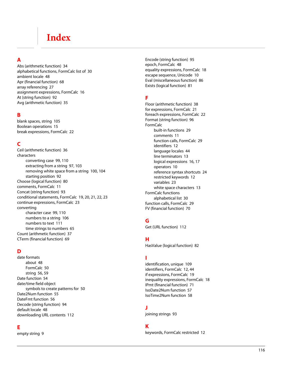# **Index**

# **A**

[Abs \(arithmetic function\) 34](#page-33-0) [alphabetical functions, FormCalc list of 30](#page-29-0) [ambient locale 48](#page-47-0) [Apr \(financial function\) 68](#page-67-0) [array referencing 27](#page-26-0) [assignment expressions, FormCalc 16](#page-15-0) [At \(string function\) 92](#page-91-0) [Avg \(arithmetic function\) 35](#page-34-0)

### **B**

[blank spaces, string 105](#page-104-0) [Boolean operations 15](#page-14-0) [break expressions, FormCalc 22](#page-21-0)

# **C**

[Ceil \(arithmetic function\) 36](#page-35-0) characters [converting case 99,](#page-98-0) [110](#page-109-0) [extracting from a string 97,](#page-96-0) [103](#page-102-0) [removing white space from a string 100,](#page-99-0) [104](#page-103-0) [starting position 92](#page-91-0) [Choose \(logical function\) 80](#page-79-0) [comments, FormCalc 11](#page-10-0) [Concat \(string function\) 93](#page-92-0) [conditional statements, FormCalc 19,](#page-18-0) [20,](#page-19-0) [21,](#page-20-0) [22,](#page-21-1) [23](#page-22-0) [continue expressions, FormCalc 23](#page-22-0) converting [character case 99,](#page-98-0) [110](#page-109-0) [numbers to a string 106](#page-105-0) [numbers to text 111](#page-110-0) [time strings to numbers 65](#page-64-0) [Count \(arithmetic function\) 37](#page-36-0) [CTerm \(financial function\) 69](#page-68-0)

# **D**

date formats [about 48](#page-47-1) [FormCalc 50](#page-49-0) [string 56,](#page-55-0) [59](#page-58-0) [Date function 54](#page-53-0) date/time field object [symbols to create patterns for 50](#page-49-0) [Date2Num function 55](#page-54-0) [DateFmt function 56](#page-55-0) [Decode \(string function\) 94](#page-93-0) [default locale 48](#page-47-0) [downloading URL contents 112](#page-111-1)

# **E**

[empty string 9](#page-8-0)

[Encode \(string function\) 95](#page-94-0) [epoch, FormCalc 48](#page-47-2) [equality expressions, FormCalc 18](#page-17-0) [escape sequence, Unicode 10](#page-9-0) [Eval \(miscellaneous function\) 86](#page-85-0) [Exists \(logical function\) 81](#page-80-0)

# **F**

[Floor \(arithmetic function\) 38](#page-37-0) [for expressions, FormCalc 21](#page-20-0) [foreach expressions, FormCalc 22](#page-21-1) [Format \(string function\) 96](#page-95-0) FormCalc [built-in functions 29](#page-28-0) [comments 11](#page-10-0) [function calls, FormCalc 29](#page-28-0) [identifiers 12](#page-11-0) [language locales 44](#page-43-1) [line terminators 13](#page-12-0) [logical expressions 16,](#page-15-1) [17](#page-16-0) [operators 10](#page-9-1) [reference syntax shortcuts 24](#page-23-0) [restricted keywords 12](#page-11-1) [variables 23](#page-22-1) [white space characters 13](#page-12-1) FormCalc functions [alphabetical list 30](#page-29-0) [function calls, FormCalc 29](#page-28-0) [FV \(financial function\) 70](#page-69-0)

# **G**

[Get \(URL function\) 112](#page-111-1)

# **H**

[HasValue \(logical function\) 82](#page-81-0)

# **I**

[identification, unique 109](#page-108-0) [identifiers, FormCalc 12,](#page-11-0) [44](#page-43-1) [if expressions, FormCalc 19](#page-18-0) [inequality expressions, FormCalc 18](#page-17-0) [IPmt \(financial function\) 71](#page-70-0) [IsoDate2Num function 57](#page-56-0) [IsoTime2Num function 58](#page-57-0)

# **J**

[joining strings 93](#page-92-0)

# **K**

[keywords, FormCalc restricted 12](#page-11-1)